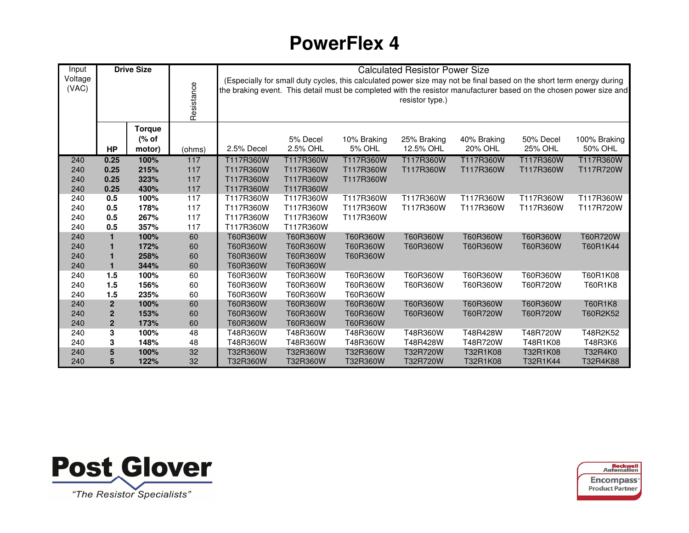| Input            |                | <b>Drive Size</b> |            |                                                                                                                                                                                                                                                               |           | <b>Calculated Resistor Power Size</b> |             |             |                |              |  |  |  |  |
|------------------|----------------|-------------------|------------|---------------------------------------------------------------------------------------------------------------------------------------------------------------------------------------------------------------------------------------------------------------|-----------|---------------------------------------|-------------|-------------|----------------|--------------|--|--|--|--|
| Voltage<br>(VAC) |                |                   | Resistance | (Especially for small duty cycles, this calculated power size may not be final based on the short term energy during<br>the braking event. This detail must be completed with the resistor manufacturer based on the chosen power size and<br>resistor type.) |           |                                       |             |             |                |              |  |  |  |  |
|                  |                | <b>Torque</b>     |            |                                                                                                                                                                                                                                                               |           |                                       |             |             |                |              |  |  |  |  |
|                  |                | (% of             |            |                                                                                                                                                                                                                                                               | 5% Decel  | 10% Braking                           | 25% Braking | 40% Braking | 50% Decel      | 100% Braking |  |  |  |  |
|                  | <b>HP</b>      | motor)            | (ohms)     | 2.5% Decel                                                                                                                                                                                                                                                    | 2.5% OHL  | <b>5% OHL</b>                         | 12.5% OHL   | 20% OHL     | <b>25% OHL</b> | 50% OHL      |  |  |  |  |
| 240              | 0.25           | 100%              | 117        | T117R360W                                                                                                                                                                                                                                                     | T117R360W | T117R360W                             | T117R360W   | T117R360W   | T117R360W      | T117R360W    |  |  |  |  |
| 240              | 0.25           | 215%              | 117        | T117R360W                                                                                                                                                                                                                                                     | T117R360W | T117R360W                             | T117R360W   | T117R360W   | T117R360W      | T117R720W    |  |  |  |  |
| 240              | 0.25           | 323%              | 117        | T117R360W                                                                                                                                                                                                                                                     | T117R360W | T117R360W                             |             |             |                |              |  |  |  |  |
| 240              | 0.25           | 430%              | 117        | T117R360W                                                                                                                                                                                                                                                     | T117R360W |                                       |             |             |                |              |  |  |  |  |
| 240              | 0.5            | 100%              | 117        | T117R360W                                                                                                                                                                                                                                                     | T117R360W | T117R360W                             | T117R360W   | T117R360W   | T117R360W      | T117R360W    |  |  |  |  |
| 240              | 0.5            | 178%              | 117        | T117R360W                                                                                                                                                                                                                                                     | T117R360W | T117R360W                             | T117R360W   | T117R360W   | T117R360W      | T117R720W    |  |  |  |  |
| 240              | 0.5            | 267%              | 117        | T117R360W                                                                                                                                                                                                                                                     | T117R360W | T117R360W                             |             |             |                |              |  |  |  |  |
| 240              | 0.5            | 357%              | 117        | T117R360W                                                                                                                                                                                                                                                     | T117R360W |                                       |             |             |                |              |  |  |  |  |
| 240              | 1              | 100%              | 60         | T60R360W                                                                                                                                                                                                                                                      | T60R360W  | T60R360W                              | T60R360W    | T60R360W    | T60R360W       | T60R720W     |  |  |  |  |
| 240              |                | 172%              | 60         | T60R360W                                                                                                                                                                                                                                                      | T60R360W  | T60R360W                              | T60R360W    | T60R360W    | T60R360W       | T60R1K44     |  |  |  |  |
| 240              |                | 258%              | 60         | T60R360W                                                                                                                                                                                                                                                      | T60R360W  | T60R360W                              |             |             |                |              |  |  |  |  |
| 240              | 1              | 344%              | 60         | T60R360W                                                                                                                                                                                                                                                      | T60R360W  |                                       |             |             |                |              |  |  |  |  |
| 240              | 1.5            | 100%              | 60         | T60R360W                                                                                                                                                                                                                                                      | T60R360W  | T60R360W                              | T60R360W    | T60R360W    | T60R360W       | T60R1K08     |  |  |  |  |
| 240              | 1.5            | 156%              | 60         | T60R360W                                                                                                                                                                                                                                                      | T60R360W  | T60R360W                              | T60R360W    | T60R360W    | T60R720W       | T60R1K8      |  |  |  |  |
| 240              | 1.5            | 235%              | 60         | T60R360W                                                                                                                                                                                                                                                      | T60R360W  | T60R360W                              |             |             |                |              |  |  |  |  |
| 240              | $\overline{2}$ | 100%              | 60         | T60R360W                                                                                                                                                                                                                                                      | T60R360W  | T60R360W                              | T60R360W    | T60R360W    | T60R360W       | T60R1K8      |  |  |  |  |
| 240              | $\mathbf 2$    | 153%              | 60         | T60R360W                                                                                                                                                                                                                                                      | T60R360W  | T60R360W                              | T60R360W    | T60R720W    | T60R720W       | T60R2K52     |  |  |  |  |
| 240              | $\overline{2}$ | 173%              | 60         | T60R360W                                                                                                                                                                                                                                                      | T60R360W  | T60R360W                              |             |             |                |              |  |  |  |  |
| 240              | 3              | 100%              | 48         | T48R360W                                                                                                                                                                                                                                                      | T48R360W  | T48R360W                              | T48R360W    | T48R428W    | T48R720W       | T48R2K52     |  |  |  |  |
| 240              | 3              | 148%              | 48         | T48R360W                                                                                                                                                                                                                                                      | T48R360W  | T48R360W                              | T48R428W    | T48R720W    | T48R1K08       | T48R3K6      |  |  |  |  |
| 240              | 5              | 100%              | 32         | T32R360W                                                                                                                                                                                                                                                      | T32R360W  | T32R360W                              | T32R720W    | T32R1K08    | T32R1K08       | T32R4K0      |  |  |  |  |
| 240              | 5              | 122%              | 32         | T32R360W                                                                                                                                                                                                                                                      | T32R360W  | T32R360W                              | T32R720W    | T32R1K08    | T32R1K44       | T32R4K88     |  |  |  |  |

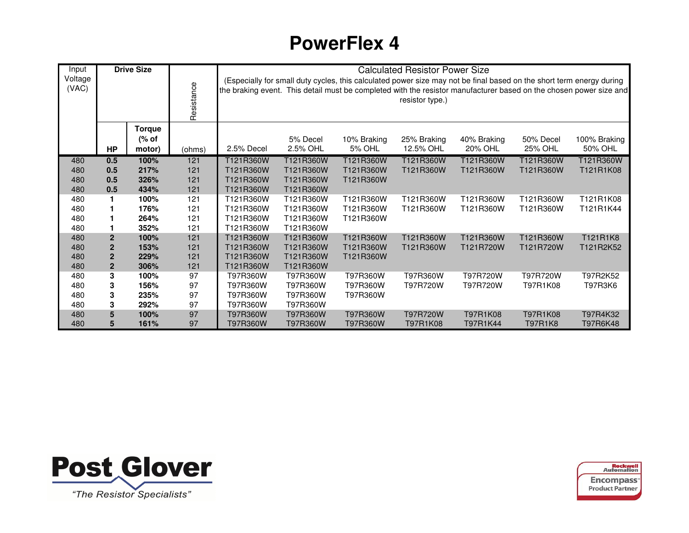| Input            |                | <b>Drive Size</b> |            |            |           |               | <b>Calculated Resistor Power Size</b>                                                                                                   |             |                |                                                                                                                    |
|------------------|----------------|-------------------|------------|------------|-----------|---------------|-----------------------------------------------------------------------------------------------------------------------------------------|-------------|----------------|--------------------------------------------------------------------------------------------------------------------|
| Voltage<br>(VAC) |                |                   | Resistance |            |           |               | (Especially for small duty cycles, this calculated power size may not be final based on the short term energy during<br>resistor type.) |             |                | the braking event. This detail must be completed with the resistor manufacturer based on the chosen power size and |
|                  |                | <b>Torque</b>     |            |            |           |               |                                                                                                                                         |             |                |                                                                                                                    |
|                  |                | (% of             |            |            | 5% Decel  | 10% Braking   | 25% Braking                                                                                                                             | 40% Braking | 50% Decel      | 100% Braking                                                                                                       |
|                  | <b>HP</b>      | motor)            | (ohms)     | 2.5% Decel | 2.5% OHL  | <b>5% OHL</b> | 12.5% OHL                                                                                                                               | 20% OHL     | 25% OHL        | 50% OHL                                                                                                            |
| 480              | 0.5            | 100%              | 121        | T121R360W  | T121R360W | T121R360W     | T121R360W                                                                                                                               | T121R360W   | T121R360W      | T121R360W                                                                                                          |
| 480              | 0.5            | 217%              | 121        | T121R360W  | T121R360W | T121R360W     | T121R360W                                                                                                                               | T121R360W   | T121R360W      | T121R1K08                                                                                                          |
| 480              | 0.5            | 326%              | 121        | T121R360W  | T121R360W | T121R360W     |                                                                                                                                         |             |                |                                                                                                                    |
| 480              | 0.5            | 434%              | 121        | T121R360W  | T121R360W |               |                                                                                                                                         |             |                |                                                                                                                    |
| 480              | 1              | 100%              | 121        | T121R360W  | T121R360W | T121R360W     | T121R360W                                                                                                                               | T121R360W   | T121R360W      | T121R1K08                                                                                                          |
| 480              |                | 176%              | 121        | T121R360W  | T121R360W | T121R360W     | T121R360W                                                                                                                               | T121R360W   | T121R360W      | T121R1K44                                                                                                          |
| 480              |                | 264%              | 121        | T121R360W  | T121R360W | T121R360W     |                                                                                                                                         |             |                |                                                                                                                    |
| 480              |                | 352%              | 121        | T121R360W  | T121R360W |               |                                                                                                                                         |             |                |                                                                                                                    |
| 480              | $\mathbf{2}$   | 100%              | 121        | T121R360W  | T121R360W | T121R360W     | T121R360W                                                                                                                               | T121R360W   | T121R360W      | T121R1K8                                                                                                           |
| 480              | $\overline{2}$ | 153%              | 121        | T121R360W  | T121R360W | T121R360W     | T121R360W                                                                                                                               | T121R720W   | T121R720W      | T121R2K52                                                                                                          |
| 480              | $\mathbf 2$    | 229%              | 121        | T121R360W  | T121R360W | T121R360W     |                                                                                                                                         |             |                |                                                                                                                    |
| 480              | $\mathbf{2}$   | 306%              | 121        | T121R360W  | T121R360W |               |                                                                                                                                         |             |                |                                                                                                                    |
| 480              | 3              | 100%              | 97         | T97R360W   | T97R360W  | T97R360W      | T97R360W                                                                                                                                | T97R720W    | T97R720W       | T97R2K52                                                                                                           |
| 480              | 3              | 156%              | 97         | T97R360W   | T97R360W  | T97R360W      | T97R720W                                                                                                                                | T97R720W    | T97R1K08       | T97R3K6                                                                                                            |
| 480              | 3              | 235%              | 97         | T97R360W   | T97R360W  | T97R360W      |                                                                                                                                         |             |                |                                                                                                                    |
| 480              | 3              | 292%              | 97         | T97R360W   | T97R360W  |               |                                                                                                                                         |             |                |                                                                                                                    |
| 480              | 5              | 100%              | 97         | T97R360W   | T97R360W  | T97R360W      | T97R720W                                                                                                                                | T97R1K08    | T97R1K08       | T97R4K32                                                                                                           |
| 480              | 5              | 161%              | 97         | T97R360W   | T97R360W  | T97R360W      | T97R1K08                                                                                                                                | T97R1K44    | <b>T97R1K8</b> | T97R6K48                                                                                                           |

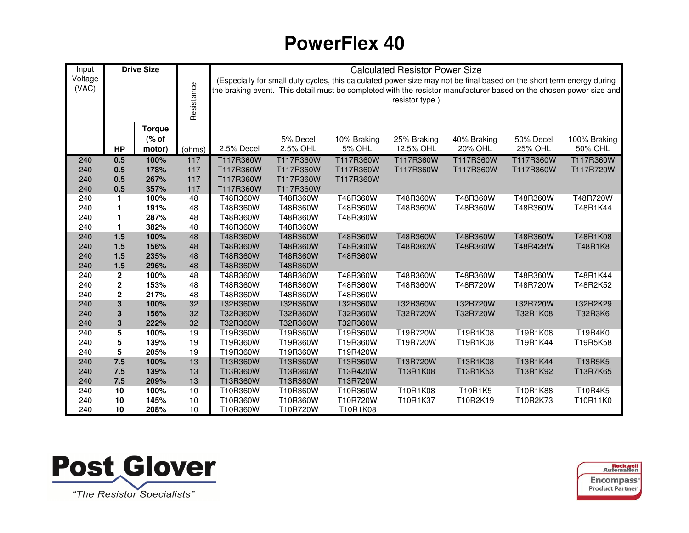| Input      |                         | <b>Drive Size</b> |            |                        |                                                                                                                      |                      | <b>Calculated Resistor Power Size</b> |             |                |                                                                                                                    |
|------------|-------------------------|-------------------|------------|------------------------|----------------------------------------------------------------------------------------------------------------------|----------------------|---------------------------------------|-------------|----------------|--------------------------------------------------------------------------------------------------------------------|
| Voltage    |                         |                   |            |                        | (Especially for small duty cycles, this calculated power size may not be final based on the short term energy during |                      |                                       |             |                |                                                                                                                    |
| (VAC)      |                         |                   |            |                        |                                                                                                                      |                      |                                       |             |                | the braking event. This detail must be completed with the resistor manufacturer based on the chosen power size and |
|            |                         |                   |            |                        |                                                                                                                      |                      | resistor type.)                       |             |                |                                                                                                                    |
|            |                         |                   | Resistance |                        |                                                                                                                      |                      |                                       |             |                |                                                                                                                    |
|            |                         |                   |            |                        |                                                                                                                      |                      |                                       |             |                |                                                                                                                    |
|            |                         | <b>Torque</b>     |            |                        |                                                                                                                      |                      |                                       |             |                |                                                                                                                    |
|            |                         | (% of             |            |                        | 5% Decel                                                                                                             | 10% Braking          | 25% Braking                           | 40% Braking | 50% Decel      | 100% Braking                                                                                                       |
|            | <b>HP</b>               | motor)            | (ohms)     | 2.5% Decel             | 2.5% OHL                                                                                                             | <b>5% OHL</b>        | 12.5% OHL                             | 20% OHL     | <b>25% OHL</b> | 50% OHL                                                                                                            |
| 240        | 0.5                     | 100%              | 117        | T117R360W              | T117R360W                                                                                                            | T117R360W            | T117R360W                             | T117R360W   | T117R360W      | T117R360W                                                                                                          |
| 240        | 0.5                     | 178%              | 117        | T117R360W              | T117R360W                                                                                                            | T117R360W            | T117R360W                             | T117R360W   | T117R360W      | T117R720W                                                                                                          |
| 240<br>240 | 0.5<br>0.5              | 267%<br>357%      | 117<br>117 | T117R360W<br>T117R360W | T117R360W<br>T117R360W                                                                                               | T117R360W            |                                       |             |                |                                                                                                                    |
| 240        | 1                       | 100%              | 48         | T48R360W               | T48R360W                                                                                                             | T48R360W             | T48R360W                              | T48R360W    | T48R360W       | T48R720W                                                                                                           |
| 240        | $\mathbf 1$             | 191%              | 48         | T48R360W               | T48R360W                                                                                                             | T48R360W             | T48R360W                              | T48R360W    | T48R360W       | T48R1K44                                                                                                           |
| 240        | $\mathbf 1$             | 287%              | 48         | T48R360W               | T48R360W                                                                                                             | T48R360W             |                                       |             |                |                                                                                                                    |
| 240        | $\mathbf{1}$            | 382%              | 48         | T48R360W               | T48R360W                                                                                                             |                      |                                       |             |                |                                                                                                                    |
| 240        | 1.5                     | 100%              | 48         | T48R360W               | T48R360W                                                                                                             | T48R360W             | T48R360W                              | T48R360W    | T48R360W       | T48R1K08                                                                                                           |
| 240        | 1.5                     | 156%              | 48         | T48R360W               | T48R360W                                                                                                             | T48R360W             | T48R360W                              | T48R360W    | T48R428W       | T48R1K8                                                                                                            |
| 240        | 1.5                     | 235%              | 48         | T48R360W               | T48R360W                                                                                                             | T48R360W             |                                       |             |                |                                                                                                                    |
| 240        | 1.5                     | 296%              | 48         | T48R360W               | T48R360W                                                                                                             |                      |                                       |             |                |                                                                                                                    |
| 240        | $\mathbf 2$             | 100%              | 48         | T48R360W               | T48R360W                                                                                                             | T48R360W             | T48R360W                              | T48R360W    | T48R360W       | T48R1K44                                                                                                           |
| 240        | $\mathbf 2$             | 153%              | 48         | T48R360W               | T48R360W                                                                                                             | T48R360W             | T48R360W                              | T48R720W    | T48R720W       | T48R2K52                                                                                                           |
| 240        | $\mathbf 2$             | 217%              | 48         | T48R360W               | T48R360W                                                                                                             | T48R360W             |                                       |             |                |                                                                                                                    |
| 240        | $\overline{\mathbf{3}}$ | 100%              | 32         | T32R360W               | T32R360W                                                                                                             | T32R360W             | T32R360W                              | T32R720W    | T32R720W       | T32R2K29                                                                                                           |
| 240        | $\mathbf 3$             | 156%              | 32         | T32R360W               | T32R360W                                                                                                             | T32R360W             | T32R720W                              | T32R720W    | T32R1K08       | T32R3K6                                                                                                            |
| 240        | ${\bf 3}$               | 222%              | 32         | T32R360W               | T32R360W                                                                                                             | T32R360W             |                                       |             |                |                                                                                                                    |
| 240        | 5                       | 100%              | 19         | T19R360W               | T19R360W                                                                                                             | T19R360W             | T19R720W                              | T19R1K08    | T19R1K08       | T19R4K0                                                                                                            |
| 240        | 5                       | 139%              | 19         | T19R360W               | T19R360W                                                                                                             | T19R360W             | T19R720W                              | T19R1K08    | T19R1K44       | T19R5K58                                                                                                           |
| 240        | 5                       | 205%              | 19         | T19R360W               | T19R360W                                                                                                             | T19R420W             |                                       |             |                |                                                                                                                    |
| 240        | 7.5                     | 100%              | 13         | T13R360W               | T13R360W                                                                                                             | T13R360W             | T13R720W                              | T13R1K08    | T13R1K44       | T13R5K5                                                                                                            |
| 240<br>240 | 7.5<br>7.5              | 139%<br>209%      | 13<br>13   | T13R360W<br>T13R360W   | T13R360W<br>T13R360W                                                                                                 | T13R420W<br>T13R720W | T13R1K08                              | T13R1K53    | T13R1K92       | T13R7K65                                                                                                           |
| 240        | 10                      | 100%              | 10         | T10R360W               | T10R360W                                                                                                             | T10R360W             | T10R1K08                              | T10R1K5     | T10R1K88       | T10R4K5                                                                                                            |
| 240        | 10                      | 145%              | 10         | T10R360W               | T10R360W                                                                                                             | T10R720W             | T10R1K37                              | T10R2K19    | T10R2K73       | T10R11K0                                                                                                           |
| 240        | 10                      | 208%              | 10         | T10R360W               | T10R720W                                                                                                             | T10R1K08             |                                       |             |                |                                                                                                                    |
|            |                         |                   |            |                        |                                                                                                                      |                      |                                       |             |                |                                                                                                                    |



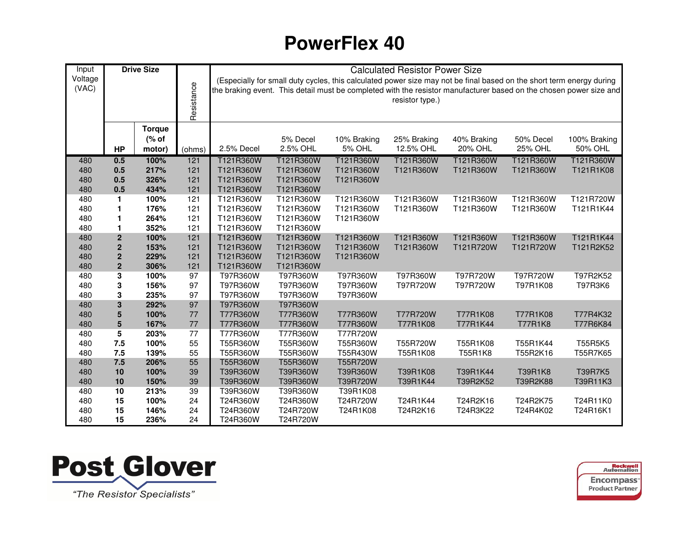| Input      |                         | <b>Drive Size</b> |            | <b>Calculated Resistor Power Size</b><br>(Especially for small duty cycles, this calculated power size may not be final based on the short term energy during |                       |               |                 |             |           |                                                                                                                    |  |  |  |  |  |
|------------|-------------------------|-------------------|------------|---------------------------------------------------------------------------------------------------------------------------------------------------------------|-----------------------|---------------|-----------------|-------------|-----------|--------------------------------------------------------------------------------------------------------------------|--|--|--|--|--|
| Voltage    |                         |                   |            |                                                                                                                                                               |                       |               |                 |             |           |                                                                                                                    |  |  |  |  |  |
| (VAC)      |                         |                   |            |                                                                                                                                                               |                       |               |                 |             |           | the braking event. This detail must be completed with the resistor manufacturer based on the chosen power size and |  |  |  |  |  |
|            |                         |                   |            |                                                                                                                                                               |                       |               | resistor type.) |             |           |                                                                                                                    |  |  |  |  |  |
|            |                         |                   | Resistance |                                                                                                                                                               |                       |               |                 |             |           |                                                                                                                    |  |  |  |  |  |
|            |                         |                   |            |                                                                                                                                                               |                       |               |                 |             |           |                                                                                                                    |  |  |  |  |  |
|            |                         | <b>Torque</b>     |            |                                                                                                                                                               |                       |               |                 |             |           |                                                                                                                    |  |  |  |  |  |
|            |                         | (% of             |            |                                                                                                                                                               | 5% Decel              | 10% Braking   | 25% Braking     | 40% Braking | 50% Decel | 100% Braking                                                                                                       |  |  |  |  |  |
|            | <b>HP</b>               | motor)            | (ohms)     | 2.5% Decel                                                                                                                                                    | 2.5% OHL              | <b>5% OHL</b> | 12.5% OHL       | 20% OHL     | 25% OHL   | 50% OHL                                                                                                            |  |  |  |  |  |
| 480        | 0.5                     | 100%              | 121        | T121R360W                                                                                                                                                     | T121R360W             | T121R360W     | T121R360W       | T121R360W   | T121R360W | T121R360W                                                                                                          |  |  |  |  |  |
| 480        | 0.5                     | 217%              | 121        | T121R360W                                                                                                                                                     | T121R360W             | T121R360W     | T121R360W       | T121R360W   | T121R360W | T121R1K08                                                                                                          |  |  |  |  |  |
| 480        | 0.5                     | 326%              | 121        | T121R360W                                                                                                                                                     | T121R360W             | T121R360W     |                 |             |           |                                                                                                                    |  |  |  |  |  |
| 480        | 0.5                     | 434%              | 121        | T121R360W                                                                                                                                                     | T121R360W             |               |                 |             |           |                                                                                                                    |  |  |  |  |  |
| 480        | $\mathbf{1}$            | 100%              | 121        | T121R360W                                                                                                                                                     | T121R360W             | T121R360W     | T121R360W       | T121R360W   | T121R360W | T121R720W                                                                                                          |  |  |  |  |  |
| 480        | $\mathbf{1}$            | 176%              | 121        | T121R360W                                                                                                                                                     | T121R360W             | T121R360W     | T121R360W       | T121R360W   | T121R360W | T121R1K44                                                                                                          |  |  |  |  |  |
| 480        | $\blacksquare$          | 264%              | 121        | T121R360W                                                                                                                                                     | T121R360W             | T121R360W     |                 |             |           |                                                                                                                    |  |  |  |  |  |
| 480        | $\mathbf{1}$            | 352%              | 121        | T121R360W                                                                                                                                                     | T121R360W             |               |                 |             |           |                                                                                                                    |  |  |  |  |  |
| 480        | $\mathbf 2$             | 100%              | 121        | T121R360W                                                                                                                                                     | T121R360W             | T121R360W     | T121R360W       | T121R360W   | T121R360W | T121R1K44                                                                                                          |  |  |  |  |  |
| 480        | $\boldsymbol{2}$        | 153%              | 121        | T121R360W                                                                                                                                                     | T121R360W             | T121R360W     | T121R360W       | T121R720W   | T121R720W | T121R2K52                                                                                                          |  |  |  |  |  |
| 480        | $\mathbf 2$             | 229%              | 121        | T121R360W                                                                                                                                                     | T121R360W             | T121R360W     |                 |             |           |                                                                                                                    |  |  |  |  |  |
| 480<br>480 | $\mathbf{2}$<br>3       | 306%<br>100%      | 121<br>97  | T121R360W<br>T97R360W                                                                                                                                         | T121R360W<br>T97R360W | T97R360W      | T97R360W        | T97R720W    | T97R720W  | T97R2K52                                                                                                           |  |  |  |  |  |
| 480        | 3                       | 156%              | 97         | T97R360W                                                                                                                                                      | T97R360W              | T97R360W      | T97R720W        | T97R720W    | T97R1K08  | T97R3K6                                                                                                            |  |  |  |  |  |
| 480        | 3                       | 235%              | 97         | T97R360W                                                                                                                                                      | T97R360W              | T97R360W      |                 |             |           |                                                                                                                    |  |  |  |  |  |
| 480        | $\overline{\mathbf{3}}$ | 292%              | 97         | T97R360W                                                                                                                                                      | T97R360W              |               |                 |             |           |                                                                                                                    |  |  |  |  |  |
| 480        | 5                       | 100%              | 77         | T77R360W                                                                                                                                                      | T77R360W              | T77R360W      | T77R720W        | T77R1K08    | T77R1K08  | T77R4K32                                                                                                           |  |  |  |  |  |
| 480        | $5\phantom{1}$          | 167%              | 77         | T77R360W                                                                                                                                                      | T77R360W              | T77R360W      | T77R1K08        | T77R1K44    | T77R1K8   | T77R6K84                                                                                                           |  |  |  |  |  |
| 480        | 5                       | 203%              | 77         | T77R360W                                                                                                                                                      | T77R360W              | T77R720W      |                 |             |           |                                                                                                                    |  |  |  |  |  |
| 480        | 7.5                     | 100%              | 55         | T55R360W                                                                                                                                                      | T55R360W              | T55R360W      | T55R720W        | T55R1K08    | T55R1K44  | T55R5K5                                                                                                            |  |  |  |  |  |
| 480        | 7.5                     | 139%              | 55         | T55R360W                                                                                                                                                      | T55R360W              | T55R430W      | T55R1K08        | T55R1K8     | T55R2K16  | T55R7K65                                                                                                           |  |  |  |  |  |
| 480        | 7.5                     | 206%              | 55         | T55R360W                                                                                                                                                      | T55R360W              | T55R720W      |                 |             |           |                                                                                                                    |  |  |  |  |  |
| 480        | 10                      | 100%              | 39         | T39R360W                                                                                                                                                      | T39R360W              | T39R360W      | T39R1K08        | T39R1K44    | T39R1K8   | T39R7K5                                                                                                            |  |  |  |  |  |
| 480        | 10                      | 150%              | 39         | T39R360W                                                                                                                                                      | T39R360W              | T39R720W      | T39R1K44        | T39R2K52    | T39R2K88  | T39R11K3                                                                                                           |  |  |  |  |  |
| 480        | 10                      | 213%              | 39         | T39R360W                                                                                                                                                      | T39R360W              | T39R1K08      |                 |             |           |                                                                                                                    |  |  |  |  |  |
| 480        | 15                      | 100%              | 24         | T24R360W                                                                                                                                                      | T24R360W              | T24R720W      | T24R1K44        | T24R2K16    | T24R2K75  | T24R11K0                                                                                                           |  |  |  |  |  |
| 480        | 15                      | 146%              | 24         | T24R360W                                                                                                                                                      | T24R720W              | T24R1K08      | T24R2K16        | T24R3K22    | T24R4K02  | T24R16K1                                                                                                           |  |  |  |  |  |
| 480        | 15                      | 236%              | 24         | T24R360W                                                                                                                                                      | T24R720W              |               |                 |             |           |                                                                                                                    |  |  |  |  |  |



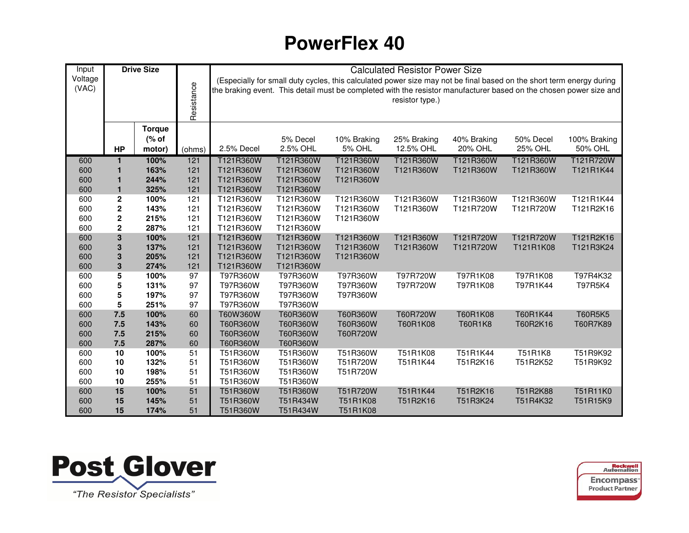| Input      |              | <b>Drive Size</b> |            | <b>Calculated Resistor Power Size</b><br>(Especially for small duty cycles, this calculated power size may not be final based on the short term energy during |                      |             |                      |                            |                      |                                                                                                                    |  |  |  |  |  |
|------------|--------------|-------------------|------------|---------------------------------------------------------------------------------------------------------------------------------------------------------------|----------------------|-------------|----------------------|----------------------------|----------------------|--------------------------------------------------------------------------------------------------------------------|--|--|--|--|--|
| Voltage    |              |                   |            |                                                                                                                                                               |                      |             |                      |                            |                      |                                                                                                                    |  |  |  |  |  |
| (VAC)      |              |                   |            |                                                                                                                                                               |                      |             |                      |                            |                      | the braking event. This detail must be completed with the resistor manufacturer based on the chosen power size and |  |  |  |  |  |
|            |              |                   |            |                                                                                                                                                               |                      |             | resistor type.)      |                            |                      |                                                                                                                    |  |  |  |  |  |
|            |              |                   | Resistance |                                                                                                                                                               |                      |             |                      |                            |                      |                                                                                                                    |  |  |  |  |  |
|            |              | <b>Torque</b>     |            |                                                                                                                                                               |                      |             |                      |                            |                      |                                                                                                                    |  |  |  |  |  |
|            |              | (% of             |            |                                                                                                                                                               | 5% Decel             | 10% Braking | 25% Braking          | 40% Braking                | 50% Decel            | 100% Braking                                                                                                       |  |  |  |  |  |
|            | <b>HP</b>    | motor)            | (ohms)     | 2.5% Decel                                                                                                                                                    | 2.5% OHL             | 5% OHL      | 12.5% OHL            | 20% OHL                    | <b>25% OHL</b>       | 50% OHL                                                                                                            |  |  |  |  |  |
|            | $\mathbf{1}$ | 100%              | 121        | T121R360W                                                                                                                                                     | T121R360W            | T121R360W   | T121R360W            | T121R360W                  | T121R360W            | T121R720W                                                                                                          |  |  |  |  |  |
| 600<br>600 | 1            | 163%              | 121        | T121R360W                                                                                                                                                     | T121R360W            | T121R360W   | T121R360W            | T121R360W                  | T121R360W            | T121R1K44                                                                                                          |  |  |  |  |  |
| 600        | 1            | 244%              | 121        | T121R360W                                                                                                                                                     | T121R360W            | T121R360W   |                      |                            |                      |                                                                                                                    |  |  |  |  |  |
| 600        | $\mathbf{1}$ | 325%              | 121        | T121R360W                                                                                                                                                     | T121R360W            |             |                      |                            |                      |                                                                                                                    |  |  |  |  |  |
| 600        | $\mathbf 2$  | 100%              | 121        | T121R360W                                                                                                                                                     | T121R360W            | T121R360W   | T121R360W            | T121R360W                  | T121R360W            | T121R1K44                                                                                                          |  |  |  |  |  |
| 600        | $\mathbf 2$  | 143%              | 121        | T121R360W                                                                                                                                                     | T121R360W            | T121R360W   | T121R360W            | T121R720W                  | T121R720W            | T121R2K16                                                                                                          |  |  |  |  |  |
| 600        | $\mathbf 2$  | 215%              | 121        | T121R360W                                                                                                                                                     | T121R360W            | T121R360W   |                      |                            |                      |                                                                                                                    |  |  |  |  |  |
| 600        | $\mathbf 2$  | 287%              | 121        | T121R360W                                                                                                                                                     | T121R360W            |             |                      |                            |                      |                                                                                                                    |  |  |  |  |  |
| 600        | $\mathbf{3}$ | 100%              | 121        | T121R360W                                                                                                                                                     | T121R360W            | T121R360W   | T121R360W            | T121R720W                  | T121R720W            | T121R2K16                                                                                                          |  |  |  |  |  |
| 600        | $\mathbf 3$  | 137%              | 121        | T121R360W                                                                                                                                                     | T121R360W            | T121R360W   | T121R360W            | T121R720W                  | T121R1K08            | T121R3K24                                                                                                          |  |  |  |  |  |
| 600        | $\mathbf 3$  | 205%              | 121        | T121R360W                                                                                                                                                     | T121R360W            | T121R360W   |                      |                            |                      |                                                                                                                    |  |  |  |  |  |
| 600        | ${\bf 3}$    | 274%              | 121        | T121R360W                                                                                                                                                     | T121R360W            |             |                      |                            |                      |                                                                                                                    |  |  |  |  |  |
| 600        | 5            | 100%              | 97         | T97R360W                                                                                                                                                      | T97R360W             | T97R360W    | T97R720W             | T97R1K08                   | T97R1K08             | T97R4K32                                                                                                           |  |  |  |  |  |
| 600        | 5            | 131%              | 97         | T97R360W                                                                                                                                                      | T97R360W             | T97R360W    | T97R720W             | T97R1K08                   | T97R1K44             | T97R5K4                                                                                                            |  |  |  |  |  |
| 600        | 5            | 197%              | 97         | T97R360W                                                                                                                                                      | T97R360W             | T97R360W    |                      |                            |                      |                                                                                                                    |  |  |  |  |  |
| 600        | 5<br>7.5     | 251%              | 97<br>60   | T97R360W                                                                                                                                                      | T97R360W             | T60R360W    |                      |                            |                      | <b>T60R5K5</b>                                                                                                     |  |  |  |  |  |
| 600<br>600 | 7.5          | 100%<br>143%      | 60         | T60W360W<br>T60R360W                                                                                                                                          | T60R360W<br>T60R360W | T60R360W    | T60R720W<br>T60R1K08 | T60R1K08<br><b>T60R1K8</b> | T60R1K44<br>T60R2K16 | T60R7K89                                                                                                           |  |  |  |  |  |
| 600        | 7.5          | 215%              | 60         | T60R360W                                                                                                                                                      | T60R360W             | T60R720W    |                      |                            |                      |                                                                                                                    |  |  |  |  |  |
| 600        | 7.5          | 287%              | 60         | T60R360W                                                                                                                                                      | T60R360W             |             |                      |                            |                      |                                                                                                                    |  |  |  |  |  |
| 600        | 10           | 100%              | 51         | T51R360W                                                                                                                                                      | T51R360W             | T51R360W    | T51R1K08             | T51R1K44                   | T51R1K8              | T51R9K92                                                                                                           |  |  |  |  |  |
| 600        | 10           | 132%              | 51         | T51R360W                                                                                                                                                      | T51R360W             | T51R720W    | T51R1K44             | T51R2K16                   | T51R2K52             | T51R9K92                                                                                                           |  |  |  |  |  |
| 600        | 10           | 198%              | 51         | T51R360W                                                                                                                                                      | T51R360W             | T51R720W    |                      |                            |                      |                                                                                                                    |  |  |  |  |  |
| 600        | 10           | 255%              | 51         | T51R360W                                                                                                                                                      | T51R360W             |             |                      |                            |                      |                                                                                                                    |  |  |  |  |  |
| 600        | 15           | 100%              | 51         | T51R360W                                                                                                                                                      | T51R360W             | T51R720W    | T51R1K44             | T51R2K16                   | T51R2K88             | T51R11K0                                                                                                           |  |  |  |  |  |
| 600        | 15           | 145%              | 51         | T51R360W                                                                                                                                                      | T51R434W             | T51R1K08    | T51R2K16             | T51R3K24                   | T51R4K32             | T51R15K9                                                                                                           |  |  |  |  |  |
| 600        | 15           | 174%              | 51         | T51R360W                                                                                                                                                      | T51R434W             | T51R1K08    |                      |                            |                      |                                                                                                                    |  |  |  |  |  |



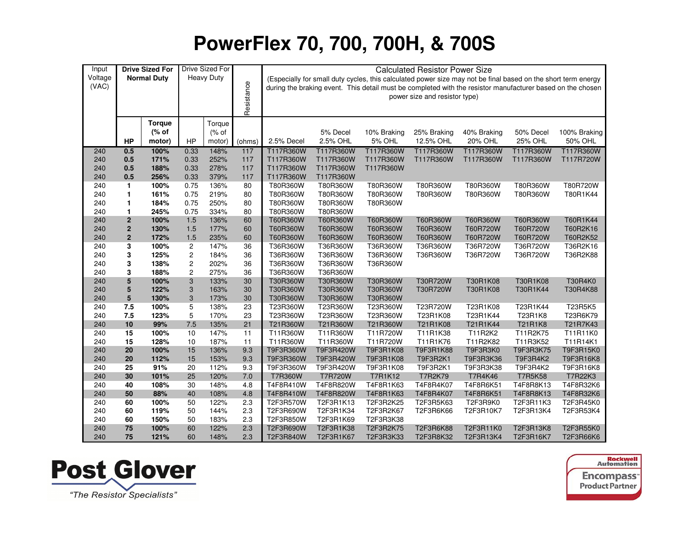| Input      |              | <b>Drive Sized For</b> |                                    | Drive Sized For   |            |                      |                      |                      | <b>Calculated Resistor Power Size</b>                                                                         |                 |                |              |
|------------|--------------|------------------------|------------------------------------|-------------------|------------|----------------------|----------------------|----------------------|---------------------------------------------------------------------------------------------------------------|-----------------|----------------|--------------|
| Voltage    |              | <b>Normal Duty</b>     |                                    | <b>Heavy Duty</b> |            |                      |                      |                      | (Especially for small duty cycles, this calculated power size may not be final based on the short term energy |                 |                |              |
| (VAC)      |              |                        |                                    |                   |            |                      |                      |                      | during the braking event. This detail must be completed with the resistor manufacturer based on the chosen    |                 |                |              |
|            |              |                        |                                    |                   |            |                      |                      |                      | power size and resistor type)                                                                                 |                 |                |              |
|            |              |                        |                                    |                   | Resistance |                      |                      |                      |                                                                                                               |                 |                |              |
|            |              |                        |                                    |                   |            |                      |                      |                      |                                                                                                               |                 |                |              |
|            |              | <b>Torque</b>          |                                    | Torque            |            |                      |                      |                      |                                                                                                               |                 |                |              |
|            |              | (% of                  |                                    | % of              |            |                      | 5% Decel             | 10% Braking          | 25% Braking                                                                                                   | 40% Braking     | 50% Decel      | 100% Braking |
|            | HP           | motor)                 | HP                                 | motor)            | (ohms)     | 2.5% Decel           | 2.5% OHL             | 5% OHL               | 12.5% OHL                                                                                                     | 20% OHL         | <b>25% OHL</b> | 50% OHL      |
| 240        | 0.5          | 100%                   | 0.33                               | 148%              | 117        | T117R360W            | T117R360W            | T117R360W            | T117R360W                                                                                                     | T117R360W       | T117R360W      | T117R360W    |
| 240        | 0.5          | 171%                   | 0.33                               | 252%              | 117        | T117R360W            | T117R360W            | T117R360W            | T117R360W                                                                                                     | T117R360W       | T117R360W      | T117R720W    |
| 240        | 0.5          | 188%                   | 0.33                               | 278%              | 117        | T117R360W            | T117R360W            | T117R360W            |                                                                                                               |                 |                |              |
| 240        | 0.5          | 256%                   | 0.33                               | 379%              | 117        | T117R360W            | T117R360W            |                      |                                                                                                               |                 |                |              |
| 240        | $\mathbf{1}$ | 100%                   | 0.75                               | 136%              | 80         | T80R360W             | T80R360W             | T80R360W             | T80R360W                                                                                                      | T80R360W        | T80R360W       | T80R720W     |
| 240        | 1            | 161%                   | 0.75                               | 219%              | 80         | T80R360W             | T80R360W             | T80R360W             | T80R360W                                                                                                      | T80R360W        | T80R360W       | T80R1K44     |
| 240        | 1            | 184%                   | 0.75                               | 250%              | 80         | T80R360W             | T80R360W             | T80R360W             |                                                                                                               |                 |                |              |
| 240        | 1            | 245%                   | 0.75                               | 334%              | 80         | T80R360W             | T80R360W             |                      |                                                                                                               |                 |                |              |
| 240        | $\mathbf 2$  | 100%                   | 1.5                                | 136%              | 60         | T60R360W             | T60R360W             | T60R360W             | T60R360W                                                                                                      | T60R360W        | T60R360W       | T60R1K44     |
| 240        | $\mathbf 2$  | 130%                   | 1.5                                | 177%              | 60         | T60R360W             | T60R360W             | T60R360W             | T60R360W                                                                                                      | T60R720W        | T60R720W       | T60R2K16     |
| 240        | $\mathbf 2$  | 172%                   | 1.5                                | 235%              | 60         | T60R360W             | T60R360W             | T60R360W             | T60R360W                                                                                                      | T60R720W        | T60R720W       | T60R2K52     |
| 240        | 3            | 100%                   | $\sqrt{2}$                         | 147%              | 36         | T36R360W             | T36R360W             | T36R360W             | T36R360W                                                                                                      | T36R720W        | T36R720W       | T36R2K16     |
| 240        | 3            | 125%                   | 2                                  | 184%              | 36         | T36R360W             | T36R360W             | T36R360W             | T36R360W                                                                                                      | T36R720W        | T36R720W       | T36R2K88     |
| 240        | 3            | 138%                   | $\boldsymbol{2}$<br>$\overline{c}$ | 202%              | 36         | T36R360W             | T36R360W             | T36R360W             |                                                                                                               |                 |                |              |
| 240        | 3            | 188%                   |                                    | 275%              | 36         | T36R360W             | T36R360W             |                      |                                                                                                               |                 |                |              |
| 240        | 5            | 100%                   | 3                                  | 133%              | 30         | T30R360W<br>T30R360W | T30R360W             | T30R360W<br>T30R360W | T30R720W<br>T30R720W                                                                                          | T30R1K08        | T30R1K08       | T30R4K0      |
| 240<br>240 | 5<br>5       | 122%<br>130%           | 3<br>3                             | 163%<br>173%      | 30<br>30   | T30R360W             | T30R360W<br>T30R360W | T30R360W             |                                                                                                               | T30R1K08        | T30R1K44       | T30R4K88     |
| 240        | 7.5          | 100%                   | 5                                  | 138%              | 23         | T23R360W             | T23R360W             | T23R360W             | T23R720W                                                                                                      | T23R1K08        | T23R1K44       | T23R5K5      |
| 240        | 7.5          | 123%                   | 5                                  | 170%              | 23         | T23R360W             | T23R360W             | T23R360W             | T23R1K08                                                                                                      | T23R1K44        | T23R1K8        | T23R6K79     |
| 240        | 10           | 99%                    | 7.5                                | 135%              | 21         | T21R360W             | T21R360W             | T21R360W             | T21R1K08                                                                                                      | T21R1K44        | T21R1K8        | T21R7K43     |
| 240        | 15           | 100%                   | 10                                 | 147%              | 11         | T11R360W             | T11R360W             | T11R720W             | T11R1K38                                                                                                      | T11R2K2         | T11R2K75       | T11R11K0     |
| 240        | 15           | 128%                   | $10$                               | 187%              | 11         | T11R360W             | T11R360W             | T11R720W             | T11R1K76                                                                                                      | T11R2K82        | T11R3K52       | T11R14K1     |
| 240        | 20           | 100%                   | 15                                 | 136%              | 9.3        | T9F3R360W            | T9F3R420W            | T9F3R1K08            | T9F3R1K88                                                                                                     | <b>T9F3R3K0</b> | T9F3R3K75      | T9F3R15K0    |
| 240        | 20           | 112%                   | 15                                 | 153%              | 9.3        | T9F3R360W            | T9F3R420W            | T9F3R1K08            | T9F3R2K1                                                                                                      | T9F3R3K36       | T9F3R4K2       | T9F3R16K8    |
| 240        | 25           | 91%                    | 20                                 | 112%              | 9.3        | T9F3R360W            | T9F3R420W            | T9F3R1K08            | T9F3R2K1                                                                                                      | T9F3R3K38       | T9F3R4K2       | T9F3R16K8    |
| 240        | 30           | 101%                   | 25                                 | 120%              | 7.0        | T7R360W              | <b>T7R720W</b>       | <b>T7R1K12</b>       | T7R2K79                                                                                                       | T7R4K46         | <b>T7R5K58</b> | T7R22K3      |
| 240        | 40           | 108%                   | 30                                 | 148%              | 4.8        | T4F8R410W            | T4F8R820W            | T4F8R1K63            | T4F8R4K07                                                                                                     | T4F8R6K51       | T4F8R8K13      | T4F8R32K6    |
| 240        | 50           | 88%                    | 40                                 | 108%              | 4.8        | T4F8R410W            | T4F8R820W            | T4F8R1K63            | T4F8R4K07                                                                                                     | T4F8R6K51       | T4F8R8K13      | T4F8R32K6    |
| 240        | 60           | 100%                   | 50                                 | 122%              | 2.3        | T2F3R570W            | T2F3R1K13            | T2F3R2K25            | T2F3R5K63                                                                                                     | T2F3R9K0        | T2F3R11K3      | T2F3R45K0    |
| 240        | 60           | 119%                   | 50                                 | 144%              | 2.3        | T2F3R690W            | T2F3R1K34            | T2F3R2K67            | T2F3R6K66                                                                                                     | T2F3R10K7       | T2F3R13K4      | T2F3R53K4    |
| 240        | 60           | 150%                   | 50                                 | 183%              | 2.3        | T2F3R850W            | T2F3R1K69            | T2F3R3K38            |                                                                                                               |                 |                |              |
| 240        | 75           | 100%                   | 60                                 | 122%              | 2.3        | T2F3R690W            | T2F3R1K38            | T2F3R2K75            | T2F3R6K88                                                                                                     | T2F3R11K0       | T2F3R13K8      | T2F3R55K0    |
| 240        | 75           | 121%                   | 60                                 | 148%              | 2.3        | T2F3R840W            | T2F3R1K67            | T2F3R3K33            | T2F3R8K32                                                                                                     | T2F3R13K4       | T2F3R16K7      | T2F3R66K6    |



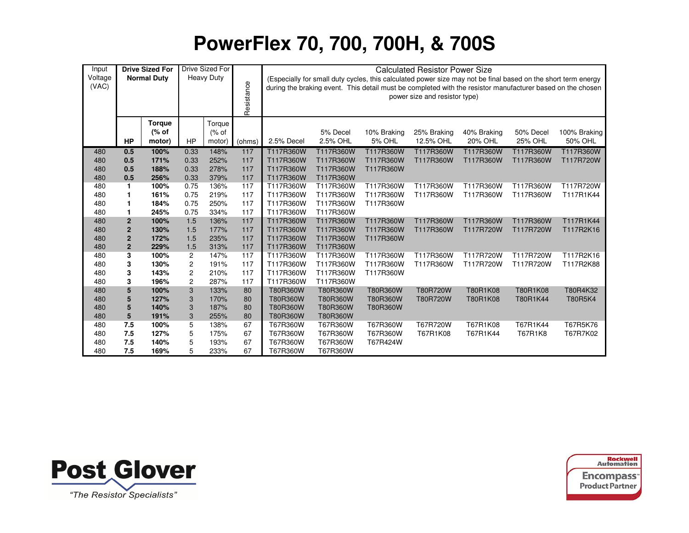| Input            |                         | <b>Drive Sized For</b>           |                         | Drive Sized For           |            |                        |                        |                              | <b>Calculated Resistor Power Size</b> |                                                                                                                                                                                                                             |                      |                         |
|------------------|-------------------------|----------------------------------|-------------------------|---------------------------|------------|------------------------|------------------------|------------------------------|---------------------------------------|-----------------------------------------------------------------------------------------------------------------------------------------------------------------------------------------------------------------------------|----------------------|-------------------------|
| Voltage<br>(VAC) |                         | <b>Normal Duty</b>               |                         | <b>Heavy Duty</b>         | Resistance |                        |                        |                              | power size and resistor type)         | (Especially for small duty cycles, this calculated power size may not be final based on the short term energy<br>during the braking event. This detail must be completed with the resistor manufacturer based on the chosen |                      |                         |
|                  | <b>HP</b>               | <b>Torque</b><br>(% of<br>motor) | <b>HP</b>               | Torque<br>(% of<br>motor) | (ohms)     | 2.5% Decel             | 5% Decel<br>2.5% OHL   | 10% Braking<br><b>5% OHL</b> | 25% Braking<br>12.5% OHL              | 40% Braking<br>20% OHL                                                                                                                                                                                                      | 50% Decel<br>25% OHL | 100% Braking<br>50% OHL |
| 480              | 0.5                     | 100%                             | 0.33                    | 148%                      | 117        | T117R360W              | T117R360W              | T117R360W                    | T117R360W                             | T117R360W                                                                                                                                                                                                                   | T117R360W            | T117R360W               |
| 480              | 0.5                     | 171%                             | 0.33                    | 252%                      | 117        | T117R360W              | T117R360W              | T117R360W                    | T117R360W                             | T117R360W                                                                                                                                                                                                                   | T117R360W            | T117R720W               |
| 480              | 0.5                     | 188%                             | 0.33                    | 278%                      | 117        | T117R360W              | T117R360W              | T117R360W                    |                                       |                                                                                                                                                                                                                             |                      |                         |
| 480              | 0.5                     | 256%                             | 0.33                    | 379%                      | 117        | T117R360W              | T117R360W              |                              |                                       |                                                                                                                                                                                                                             |                      |                         |
| 480              | 1                       | 100%                             | 0.75                    | 136%                      | 117        | T117R360W              | T117R360W              | T117R360W                    | T117R360W                             | T117R360W                                                                                                                                                                                                                   | T117R360W            | T117R720W               |
| 480              | 1                       | 161%                             | 0.75                    | 219%                      | 117        | T117R360W              | T117R360W              | T117R360W                    | T117R360W                             | T117R360W                                                                                                                                                                                                                   | T117R360W            | T117R1K44               |
| 480<br>480       | 1<br>1                  | 184%<br>245%                     | 0.75<br>0.75            | 250%<br>334%              | 117<br>117 | T117R360W<br>T117R360W | T117R360W<br>T117R360W | T117R360W                    |                                       |                                                                                                                                                                                                                             |                      |                         |
| 480              | $\boldsymbol{2}$        | 100%                             | 1.5                     | 136%                      | 117        | T117R360W              | T117R360W              | T117R360W                    | T117R360W                             | T117R360W                                                                                                                                                                                                                   | T117R360W            | T117R1K44               |
| 480              | $\mathbf{2}$            | 130%                             | 1.5                     | 177%                      | 117        | T117R360W              | T117R360W              | T117R360W                    | T117R360W                             | T117R720W                                                                                                                                                                                                                   | T117R720W            | T117R2K16               |
| 480              | $\mathbf 2$             | 172%                             | 1.5                     | 235%                      | 117        | T117R360W              | T117R360W              | T117R360W                    |                                       |                                                                                                                                                                                                                             |                      |                         |
| 480              | $\overline{\mathbf{c}}$ | 229%                             | 1.5                     | 313%                      | 117        | T117R360W              | T117R360W              |                              |                                       |                                                                                                                                                                                                                             |                      |                         |
| 480              | 3                       | 100%                             | 2                       | 147%                      | 117        | T117R360W              | T117R360W              | T117R360W                    | T117R360W                             | T117R720W                                                                                                                                                                                                                   | T117R720W            | T117R2K16               |
| 480              | 3                       | 130%                             | $\overline{\mathbf{c}}$ | 191%                      | 117        | T117R360W              | T117R360W              | T117R360W                    | T117R360W                             | T117R720W                                                                                                                                                                                                                   | T117R720W            | T117R2K88               |
| 480              | 3                       | 143%                             | $\overline{\mathbf{c}}$ | 210%                      | 117        | T117R360W              | T117R360W              | T117R360W                    |                                       |                                                                                                                                                                                                                             |                      |                         |
| 480              | 3                       | 196%                             | 2                       | 287%                      | 117        | T117R360W              | T117R360W              |                              |                                       |                                                                                                                                                                                                                             |                      |                         |
| 480              | 5                       | 100%                             | 3                       | 133%                      | 80         | T80R360W               | T80R360W               | T80R360W                     | T80R720W                              | T80R1K08                                                                                                                                                                                                                    | T80R1K08             | T80R4K32                |
| 480              | 5                       | 127%                             | 3                       | 170%                      | 80         | T80R360W               | T80R360W               | T80R360W                     | T80R720W                              | T80R1K08                                                                                                                                                                                                                    | T80R1K44             | <b>T80R5K4</b>          |
| 480              | 5                       | 140%                             | 3                       | 187%                      | 80         | T80R360W               | T80R360W               | T80R360W                     |                                       |                                                                                                                                                                                                                             |                      |                         |
| 480              | 5                       | 191%                             | 3                       | 255%                      | 80         | T80R360W               | T80R360W               |                              |                                       |                                                                                                                                                                                                                             |                      |                         |
| 480              | 7.5                     | 100%                             | 5                       | 138%                      | 67         | T67R360W               | T67R360W               | T67R360W                     | T67R720W                              | T67R1K08                                                                                                                                                                                                                    | T67R1K44             | T67R5K76                |
| 480              | 7.5                     | 127%                             | 5                       | 175%                      | 67         | T67R360W               | T67R360W               | T67R360W                     | T67R1K08                              | T67R1K44                                                                                                                                                                                                                    | T67R1K8              | T67R7K02                |
| 480              | 7.5                     | 140%                             | 5                       | 193%                      | 67         | T67R360W               | T67R360W               | T67R424W                     |                                       |                                                                                                                                                                                                                             |                      |                         |
| 480              | 7.5                     | 169%                             | 5                       | 233%                      | 67         | T67R360W               | T67R360W               |                              |                                       |                                                                                                                                                                                                                             |                      |                         |



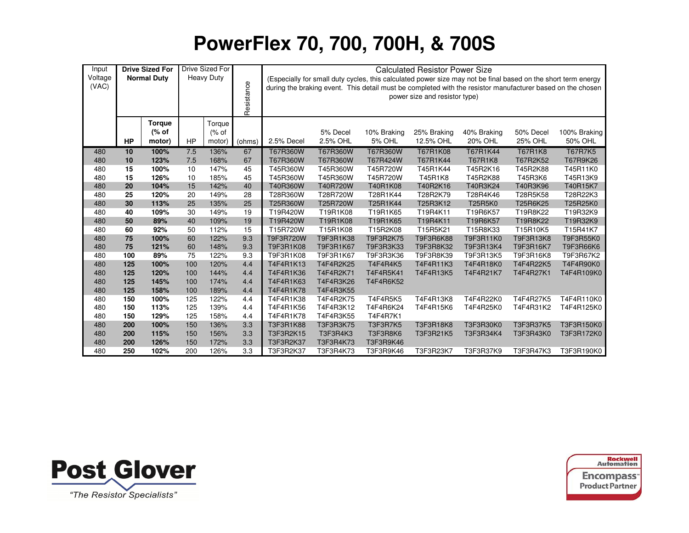| Input<br>Voltage |           | <b>Drive Sized For</b><br><b>Normal Duty</b> |     | <b>Drive Sized For</b><br><b>Heavy Duty</b> |            |                                                                                  |                      |                              | <b>Calculated Resistor Power Size</b> |                                                                                                                                                                                                                             |                      |                         |  |  |
|------------------|-----------|----------------------------------------------|-----|---------------------------------------------|------------|----------------------------------------------------------------------------------|----------------------|------------------------------|---------------------------------------|-----------------------------------------------------------------------------------------------------------------------------------------------------------------------------------------------------------------------------|----------------------|-------------------------|--|--|
| (VAC)            |           |                                              |     |                                             | Resistance |                                                                                  |                      |                              | power size and resistor type)         | (Especially for small duty cycles, this calculated power size may not be final based on the short term energy<br>during the braking event. This detail must be completed with the resistor manufacturer based on the chosen |                      |                         |  |  |
|                  | <b>HP</b> | <b>Torque</b><br>(% of<br>motor)             | HP  | Torque<br>(% of<br>motor)                   | (ohms)     | 2.5% Decel                                                                       | 5% Decel<br>2.5% OHL | 10% Braking<br><b>5% OHL</b> | 25% Braking<br>12.5% OHL              | 40% Braking<br>20% OHL                                                                                                                                                                                                      | 50% Decel<br>25% OHL | 100% Braking<br>50% OHL |  |  |
| 480              | 10        | 100%                                         | 7.5 | 136%                                        | 67         | T67R360W                                                                         | T67R360W             | T67R360W                     | T67R1K08                              | T67R1K44                                                                                                                                                                                                                    | <b>T67R1K8</b>       | <b>T67R7K5</b>          |  |  |
| 480              | 10        | 123%                                         | 7.5 | 168%                                        | 67         | T67R360W                                                                         | T67R360W             | T67R424W                     | T67R1K44                              | T67R1K8                                                                                                                                                                                                                     | T67R2K52             | T67R9K26                |  |  |
| 480              | 15        | 100%                                         | 10  | 147%                                        | 45         | T45R360W                                                                         | T45R360W             | T45R720W                     | T45R1K44                              | T45R2K16                                                                                                                                                                                                                    | T45R2K88             | T45R11K0                |  |  |
| 480              | 15        | 126%                                         | 10  | 185%                                        | 45         | T45R360W                                                                         | T45R360W             | T45R720W                     | T45R1K8                               | T45R2K88                                                                                                                                                                                                                    | T45R3K6              | T45R13K9                |  |  |
| 480              | 20        | 104%                                         | 15  | 142%                                        | 40         | T40R2K16<br>T40R3K24<br>T40R15K7<br>T40R360W<br>T40R720W<br>T40R1K08<br>T40R3K96 |                      |                              |                                       |                                                                                                                                                                                                                             |                      |                         |  |  |
| 480              | 25        | 120%                                         | 20  | 149%                                        | 28         | T28R360W<br>T28R720W<br>T28R1K44<br>T28R2K79<br>T28R4K46<br>T28R5K58<br>T28R22K3 |                      |                              |                                       |                                                                                                                                                                                                                             |                      |                         |  |  |
| 480              | 30        | 113%                                         | 25  | 135%                                        | 25         | T25R360W                                                                         | T25R720W             | T25R1K44                     | T25R3K12                              | T25R5K0                                                                                                                                                                                                                     | T25R6K25             | T25R25K0                |  |  |
| 480              | 40        | 109%                                         | 30  | 149%                                        | 19         | T19R420W                                                                         | T19R1K08             | T19R1K65                     | T19R4K11                              | T19R6K57                                                                                                                                                                                                                    | T19R8K22             | T19R32K9                |  |  |
| 480              | 50        | 89%                                          | 40  | 109%                                        | 19         | T19R420W                                                                         | T19R1K08             | T19R1K65                     | T19R4K11                              | T19R6K57                                                                                                                                                                                                                    | T19R8K22             | T19R32K9                |  |  |
| 480              | 60        | 92%                                          | 50  | 112%                                        | 15         | T15R720W                                                                         | T15R1K08             | T15R2K08                     | T15R5K21                              | T15R8K33                                                                                                                                                                                                                    | T15R10K5             | T15R41K7                |  |  |
| 480              | 75        | 100%                                         | 60  | 122%                                        | 9.3        | T9F3R720W                                                                        | T9F3R1K38            | T9F3R2K75                    | T9F3R6K88                             | T9F3R11K0                                                                                                                                                                                                                   | T9F3R13K8            | T9F3R55K0               |  |  |
| 480              | 75        | 121%                                         | 60  | 148%                                        | 9.3        | T9F3R1K08                                                                        | T9F3R1K67            | T9F3R3K33                    | T9F3R8K32                             | T9F3R13K4                                                                                                                                                                                                                   | T9F3R16K7            | T9F3R66K6               |  |  |
| 480              | 100       | 89%                                          | 75  | 122%                                        | 9.3        | T9F3R1K08                                                                        | T9F3R1K67            | T9F3R3K36                    | T9F3R8K39                             | T9F3R13K5                                                                                                                                                                                                                   | T9F3R16K8            | T9F3R67K2               |  |  |
| 480              | 125       | 100%                                         | 100 | 120%                                        | 4.4        | T4F4R1K13                                                                        | T4F4R2K25            | <b>T4F4R4K5</b>              | T4F4R11K3                             | T4F4R18K0                                                                                                                                                                                                                   | T4F4R22K5            | T4F4R90K0               |  |  |
| 480              | 125       | 120%                                         | 100 | 144%                                        | 4.4        | T4F4R1K36                                                                        | T4F4R2K71            | T4F4R5K41                    | T4F4R13K5                             | T4F4R21K7                                                                                                                                                                                                                   | T4F4R27K1            | T4F4R109K0              |  |  |
| 480              | 125       | 145%                                         | 100 | 174%                                        |            | 4.4<br>T4F4R1K63<br>T4F4R3K26<br>T4F4R6K52                                       |                      |                              |                                       |                                                                                                                                                                                                                             |                      |                         |  |  |
| 480              | 125       | 158%                                         | 100 | 189%                                        | 4.4        | T4F4R1K78                                                                        | T4F4R3K55            |                              |                                       |                                                                                                                                                                                                                             |                      |                         |  |  |
| 480              | 150       | 100%                                         | 125 | 122%                                        | 4.4        | T4F4R1K38                                                                        | T4F4R2K75            | T4F4R5K5                     | T4F4R13K8                             | T4F4R22K0                                                                                                                                                                                                                   | T4F4R27K5            | T4F4R110K0              |  |  |
| 480              | 150       | 113%                                         | 125 | 139%                                        | 4.4        | T4F4R1K56                                                                        | T4F4R3K12            | T4F4R6K24                    | T4F4R15K6                             | T4F4R25K0                                                                                                                                                                                                                   | T4F4R31K2            | T4F4R125K0              |  |  |
| 480              | 150       | 129%                                         | 125 | 158%                                        | 4.4        | T4F4R1K78                                                                        | T4F4R3K55            | T4F4R7K1                     |                                       |                                                                                                                                                                                                                             |                      |                         |  |  |
| 480              | 200       | 100%                                         | 150 | 136%                                        | 3.3        | T3F3R1K88                                                                        | T3F3R3K75            | <b>T3F3R7K5</b>              | T3F3R18K8                             | T3F3R30K0                                                                                                                                                                                                                   | <b>T3F3R37K5</b>     | T3F3R150K0              |  |  |
| 480              | 200       | 115%                                         | 150 | 156%                                        | 3.3        | T3F3R2K15                                                                        | T3F3R4K3             | T3F3R8K6                     | T3F3R21K5                             | T3F3R34K4                                                                                                                                                                                                                   | T3F3R43K0            | T3F3R172K0              |  |  |
| 480              | 200       | 126%                                         | 150 | 172%                                        | 3.3        | T3F3R2K37                                                                        | T3F3R4K73            | T3F3R9K46                    |                                       |                                                                                                                                                                                                                             |                      |                         |  |  |
| 480              | 250       | 102%                                         | 200 | 126%                                        | 3.3        | T3F3R2K37                                                                        | T3F3R4K73            | T3F3R9K46                    | T3F3R23K7                             | T3F3R37K9                                                                                                                                                                                                                   | T3F3R47K3            | T3F3R190K0              |  |  |



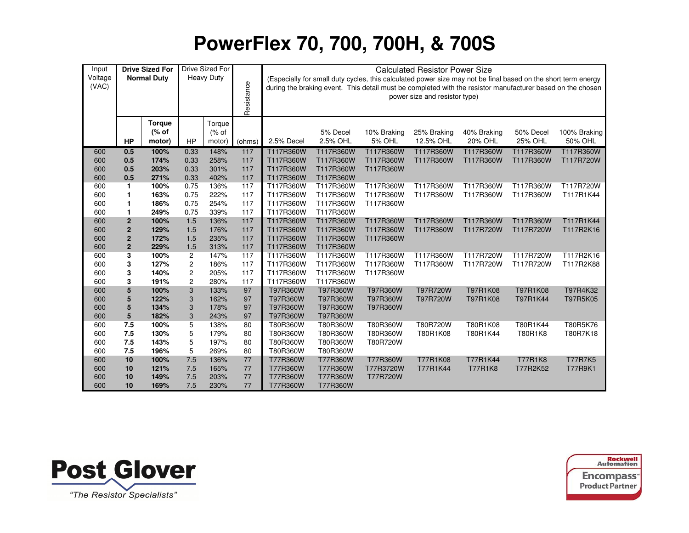| Input            |                                | <b>Drive Sized For</b> |                | Drive Sized For   |            |                        |                        |                        | <b>Calculated Resistor Power Size</b>                                                                                                          |                |                |                                                                                                            |
|------------------|--------------------------------|------------------------|----------------|-------------------|------------|------------------------|------------------------|------------------------|------------------------------------------------------------------------------------------------------------------------------------------------|----------------|----------------|------------------------------------------------------------------------------------------------------------|
| Voltage<br>(VAC) |                                | <b>Normal Duty</b>     |                | <b>Heavy Duty</b> | Resistance |                        |                        |                        | (Especially for small duty cycles, this calculated power size may not be final based on the short term energy<br>power size and resistor type) |                |                | during the braking event. This detail must be completed with the resistor manufacturer based on the chosen |
|                  |                                | <b>Torque</b><br>(% of |                | Torque<br>(% of   |            |                        | 5% Decel               | 10% Braking            | 25% Braking                                                                                                                                    | 40% Braking    | 50% Decel      | 100% Braking                                                                                               |
|                  | <b>HP</b>                      | motor)                 | <b>HP</b>      | motor)            | (ohms)     | 2.5% Decel             | 2.5% OHL               | <b>5% OHL</b>          | 12.5% OHL                                                                                                                                      | 20% OHL        | 25% OHL        | 50% OHL                                                                                                    |
| 600              | 0.5                            | 100%                   | 0.33           | 148%              | 117        | T117R360W              | T117R360W              | T117R360W              | T117R360W                                                                                                                                      | T117R360W      | T117R360W      | T117R360W                                                                                                  |
| 600              | 0.5                            | 174%                   | 0.33           | 258%              | 117        | T117R360W              | T117R360W              | T117R360W              | T117R360W                                                                                                                                      | T117R360W      | T117R360W      | T117R720W                                                                                                  |
| 600              | 0.5                            | 203%                   | 0.33           | 301%              | 117        | T117R360W              | T117R360W              | T117R360W              |                                                                                                                                                |                |                |                                                                                                            |
| 600              | 0.5                            | 271%                   | 0.33           | 402%              | 117        | T117R360W              | T117R360W              |                        |                                                                                                                                                |                |                |                                                                                                            |
| 600              | $\mathbf{1}$                   | 100%                   | 0.75           | 136%              | 117        | T117R360W              | T117R360W              | T117R360W              | T117R360W                                                                                                                                      | T117R360W      | T117R360W      | T117R720W                                                                                                  |
| 600              | 1                              | 163%                   | 0.75           | 222%              | 117        | T117R360W              | T117R360W              | T117R360W              | T117R360W                                                                                                                                      | T117R360W      | T117R360W      | T117R1K44                                                                                                  |
| 600              | 1                              | 186%                   | 0.75           | 254%              | 117        | T117R360W              | T117R360W              | T117R360W              |                                                                                                                                                |                |                |                                                                                                            |
| 600              | 1                              | 249%                   | 0.75           | 339%              | 117        | T117R360W              | T117R360W              |                        |                                                                                                                                                |                |                |                                                                                                            |
| 600              | $\mathbf 2$                    | 100%                   | 1.5            | 136%              | 117        | T117R360W              | T117R360W              | T117R360W              | T117R360W                                                                                                                                      | T117R360W      | T117R360W      | T117R1K44                                                                                                  |
| 600<br>600       | $\mathbf 2$                    | 129%<br>172%           | 1.5<br>1.5     | 176%<br>235%      | 117<br>117 | T117R360W<br>T117R360W | T117R360W<br>T117R360W | T117R360W<br>T117R360W | T117R360W                                                                                                                                      | T117R720W      | T117R720W      | T117R2K16                                                                                                  |
| 600              | $\mathbf{2}$<br>$\overline{2}$ | 229%                   | 1.5            | 313%              | 117        | T117R360W              | T117R360W              |                        |                                                                                                                                                |                |                |                                                                                                            |
| 600              | 3                              | 100%                   | $\overline{2}$ | 147%              | 117        | T117R360W              | T117R360W              | T117R360W              | T117R360W                                                                                                                                      | T117R720W      | T117R720W      | T117R2K16                                                                                                  |
| 600              | 3                              | 127%                   | 2              | 186%              | 117        | T117R360W              | T117R360W              | T117R360W              | T117R360W                                                                                                                                      | T117R720W      | T117R720W      | T117R2K88                                                                                                  |
| 600              | 3                              | 140%                   | 2              | 205%              | 117        | T117R360W              | T117R360W              | T117R360W              |                                                                                                                                                |                |                |                                                                                                            |
| 600              | 3                              | 191%                   | $\overline{c}$ | 280%              | 117        | T117R360W              | T117R360W              |                        |                                                                                                                                                |                |                |                                                                                                            |
| 600              | 5                              | 100%                   | 3              | 133%              | 97         | T97R360W               | T97R360W               | T97R360W               | T97R720W                                                                                                                                       | T97R1K08       | T97R1K08       | T97R4K32                                                                                                   |
| 600              | 5                              | 122%                   | 3              | 162%              | 97         | T97R360W               | T97R360W               | T97R360W               | T97R720W                                                                                                                                       | T97R1K08       | T97R1K44       | T97R5K05                                                                                                   |
| 600              | 5                              | 134%                   | 3              | 178%              | 97         | T97R360W               | T97R360W               | T97R360W               |                                                                                                                                                |                |                |                                                                                                            |
| 600              | 5                              | 182%                   | 3              | 243%              | 97         | T97R360W               | T97R360W               |                        |                                                                                                                                                |                |                |                                                                                                            |
| 600              | 7.5                            | 100%                   | 5              | 138%              | 80         | T80R360W               | T80R360W               | T80R360W               | T80R720W                                                                                                                                       | T80R1K08       | T80R1K44       | T80R5K76                                                                                                   |
| 600              | 7.5                            | 130%                   | 5              | 179%              | 80         | T80R360W               | T80R360W               | T80R360W               | T80R1K08                                                                                                                                       | T80R1K44       | T80R1K8        | T80R7K18                                                                                                   |
| 600              | 7.5                            | 143%                   | 5              | 197%              | 80         | T80R360W               | T80R360W               | T80R720W               |                                                                                                                                                |                |                |                                                                                                            |
| 600              | 7.5                            | 196%                   | 5              | 269%              | 80         | T80R360W               | T80R360W               |                        |                                                                                                                                                |                |                |                                                                                                            |
| 600              | 10                             | 100%                   | 7.5            | 136%              | 77         | T77R360W               | T77R360W               | T77R360W               | T77R1K08                                                                                                                                       | T77R1K44       | <b>T77R1K8</b> | <b>T77R7K5</b>                                                                                             |
| 600              | 10                             | 121%                   | 7.5            | 165%              | 77         | T77R360W               | T77R360W               | T77R3720W              | T77R1K44                                                                                                                                       | <b>T77R1K8</b> | T77R2K52       | <b>T77R9K1</b>                                                                                             |
| 600              | 10                             | 149%                   | 7.5            | 203%              | 77         | T77R360W               | T77R360W               | T77R720W               |                                                                                                                                                |                |                |                                                                                                            |
| 600              | 10                             | 169%                   | 7.5            | 230%              | 77         | T77R360W               | T77R360W               |                        |                                                                                                                                                |                |                |                                                                                                            |



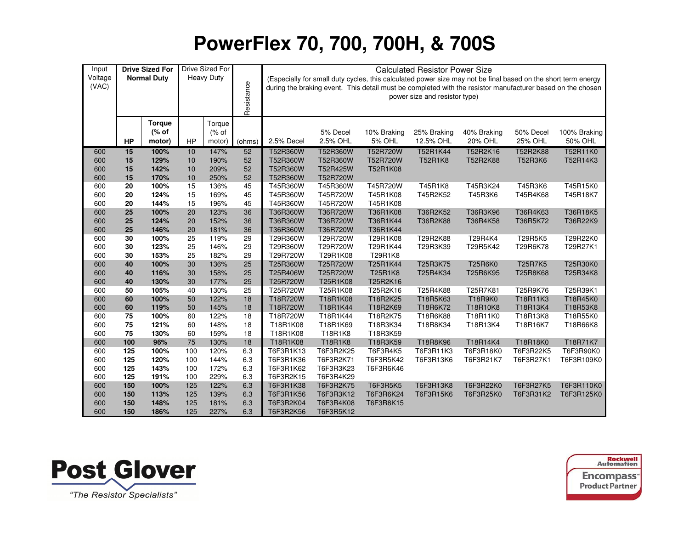| Input   |           | <b>Drive Sized For</b> |        | Drive Sized For   |            |            |           |                                                                                                               | <b>Calculated Resistor Power Size</b> |             |                |              |
|---------|-----------|------------------------|--------|-------------------|------------|------------|-----------|---------------------------------------------------------------------------------------------------------------|---------------------------------------|-------------|----------------|--------------|
| Voltage |           | <b>Normal Duty</b>     |        | <b>Heavy Duty</b> |            |            |           | (Especially for small duty cycles, this calculated power size may not be final based on the short term energy |                                       |             |                |              |
| (VAC)   |           |                        |        |                   | Resistance |            |           | during the braking event. This detail must be completed with the resistor manufacturer based on the chosen    |                                       |             |                |              |
|         |           |                        |        |                   |            |            |           |                                                                                                               | power size and resistor type)         |             |                |              |
|         |           |                        |        |                   |            |            |           |                                                                                                               |                                       |             |                |              |
|         |           | <b>Torque</b>          |        | Torque            |            |            |           |                                                                                                               |                                       |             |                |              |
|         |           | (% of                  |        | $(\%$ of          |            |            | 5% Decel  | 10% Braking                                                                                                   | 25% Braking                           | 40% Braking | 50% Decel      | 100% Braking |
|         | <b>HP</b> | motor)                 | HP     | motor)            | (ohms)     | 2.5% Decel | 2.5% OHL  | <b>5% OHL</b>                                                                                                 | 12.5% OHL                             | 20% OHL     | <b>25% OHL</b> | 50% OHL      |
| 600     | 15        | 100%                   | 10     | 147%              | 52         | T52R360W   | T52R360W  | T52R720W                                                                                                      | T52R1K44                              | T52R2K16    | T52R2K88       | T52R11K0     |
| 600     | 15        | 129%                   | 10     | 190%              | 52         | T52R360W   | T52R360W  | T52R720W                                                                                                      | T52R1K8                               | T52R2K88    | T52R3K6        | T52R14K3     |
| 600     | 15        | 142%                   | 10     | 209%              | 52         | T52R360W   | T52R425W  | T52R1K08                                                                                                      |                                       |             |                |              |
| 600     | 15        | 170%                   | 10     | 250%              | 52         | T52R360W   | T52R720W  |                                                                                                               |                                       |             |                |              |
| 600     | 20        | 100%                   | 15     | 136%              | 45         | T45R360W   | T45R360W  | T45R720W                                                                                                      | T45R1K8                               | T45R3K24    | T45R3K6        | T45R15K0     |
| 600     | 20        | 124%                   | 15     | 169%              | 45         | T45R360W   | T45R720W  | T45R1K08                                                                                                      | T45R2K52                              | T45R3K6     | T45R4K68       | T45R18K7     |
| 600     | 20        | 144%                   | 15     | 196%              | 45         | T45R360W   | T45R720W  | T45R1K08                                                                                                      |                                       |             |                |              |
| 600     | 25        | 100%                   | $20\,$ | 123%              | 36         | T36R360W   | T36R720W  | T36R1K08                                                                                                      | T36R2K52                              | T36R3K96    | T36R4K63       | T36R18K5     |
| 600     | 25        | 124%                   | 20     | 152%              | 36         | T36R360W   | T36R720W  | T36R1K44                                                                                                      | T36R2K88                              | T36R4K58    | T36R5K72       | T36R22K9     |
| 600     | 25        | 146%                   | 20     | 181%              | 36         | T36R360W   | T36R720W  | T36R1K44                                                                                                      |                                       |             |                |              |
| 600     | 30        | 100%                   | 25     | 119%              | 29         | T29R360W   | T29R720W  | T29R1K08                                                                                                      | T29R2K88                              | T29R4K4     | T29R5K5        | T29R22K0     |
| 600     | 30        | 123%                   | 25     | 146%              | 29         | T29R360W   | T29R720W  | T29R1K44                                                                                                      | T29R3K39                              | T29R5K42    | T29R6K78       | T29R27K1     |
| 600     | 30        | 153%                   | 25     | 182%              | 29         | T29R720W   | T29R1K08  | T29R1K8                                                                                                       |                                       |             |                |              |
| 600     | 40        | 100%                   | 30     | 136%              | 25         | T25R360W   | T25R720W  | T25R1K44                                                                                                      | T25R3K75                              | T25R6K0     | T25R7K5        | T25R30K0     |
| 600     | 40        | 116%                   | 30     | 158%              | 25         | T25R406W   | T25R720W  | T25R1K8                                                                                                       | T25R4K34                              | T25R6K95    | T25R8K68       | T25R34K8     |
| 600     | 40        | 130%                   | 30     | 177%              | 25         | T25R720W   | T25R1K08  | T25R2K16                                                                                                      |                                       |             |                |              |
| 600     | 50        | 105%                   | 40     | 130%              | 25         | T25R720W   | T25R1K08  | T25R2K16                                                                                                      | T25R4K88                              | T25R7K81    | T25R9K76       | T25R39K1     |
| 600     | 60        | 100%                   | 50     | 122%              | 18         | T18R720W   | T18R1K08  | T18R2K25                                                                                                      | T18R5K63                              | T18R9K0     | T18R11K3       | T18R45K0     |
| 600     | 60        | 119%                   | 50     | 145%              | 18         | T18R720W   | T18R1K44  | T18R2K69                                                                                                      | T18R6K72                              | T18R10K8    | T18R13K4       | T18R53K8     |
| 600     | 75        | 100%                   | 60     | 122%              | 18         | T18R720W   | T18R1K44  | T18R2K75                                                                                                      | T18R6K88                              | T18R11K0    | T18R13K8       | T18R55K0     |
| 600     | 75        | 121%                   | 60     | 148%              | 18         | T18R1K08   | T18R1K69  | T18R3K34                                                                                                      | T18R8K34                              | T18R13K4    | T18R16K7       | T18R66K8     |
| 600     | 75        | 130%                   | 60     | 159%              | 18         | T18R1K08   | T18R1K8   | T18R3K59                                                                                                      |                                       |             |                |              |
| 600     | 100       | 96%                    | 75     | 130%              | 18         | T18R1K08   | T18R1K8   | T18R3K59                                                                                                      | T18R8K96                              | T18R14K4    | T18R18K0       | T18R71K7     |
| 600     | 125       | 100%                   | 100    | 120%              | 6.3        | T6F3R1K13  | T6F3R2K25 | T6F3R4K5                                                                                                      | T6F3R11K3                             | T6F3R18K0   | T6F3R22K5      | T6F3R90K0    |
| 600     | 125       | 120%                   | 100    | 144%              | 6.3        | T6F3R1K36  | T6F3R2K71 | T6F3R5K42                                                                                                     | T6F3R13K6                             | T6F3R21K7   | T6F3R27K1      | T6F3R109K0   |
| 600     | 125       | 143%                   | 100    | 172%              | 6.3        | T6F3R1K62  | T6F3R3K23 | T6F3R6K46                                                                                                     |                                       |             |                |              |
| 600     | 125       | 191%                   | 100    | 229%              | 6.3        | T6F3R2K15  | T6F3R4K29 |                                                                                                               |                                       |             |                |              |
| 600     | 150       | 100%                   | 125    | 122%              | 6.3        | T6F3R1K38  | T6F3R2K75 | <b>T6F3R5K5</b>                                                                                               | T6F3R13K8                             | T6F3R22K0   | T6F3R27K5      | T6F3R110K0   |
| 600     | 150       | 113%                   | 125    | 139%              | 6.3        | T6F3R1K56  | T6F3R3K12 | T6F3R6K24                                                                                                     | T6F3R15K6                             | T6F3R25K0   | T6F3R31K2      | T6F3R125K0   |
| 600     | 150       | 148%                   | 125    | 181%              | 6.3        | T6F3R2K04  | T6F3R4K08 | T6F3R8K15                                                                                                     |                                       |             |                |              |
| 600     | 150       | 186%                   | 125    | 227%              | 6.3        | T6F3R2K56  | T6F3R5K12 |                                                                                                               |                                       |             |                |              |



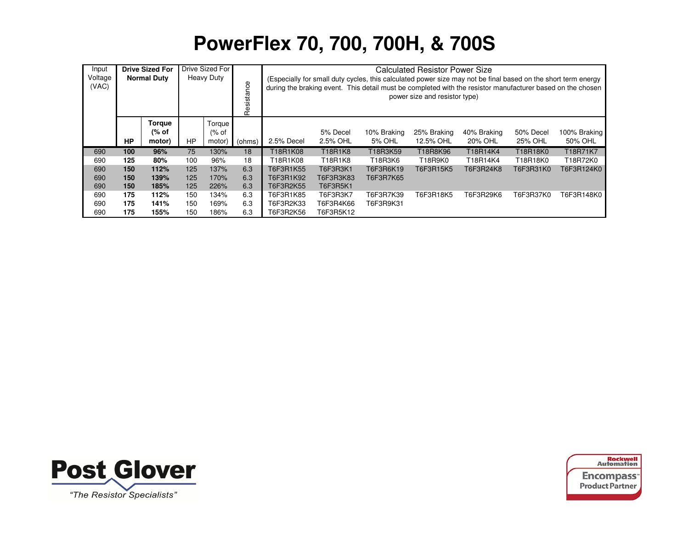| Input                                                              |                                   | <b>Drive Sized For</b>           |           | Drive Sized For            |            |            |                      |                                                                                                                                                                                                                             | <b>Calculated Resistor Power Size</b> |                        |                      |                         |
|--------------------------------------------------------------------|-----------------------------------|----------------------------------|-----------|----------------------------|------------|------------|----------------------|-----------------------------------------------------------------------------------------------------------------------------------------------------------------------------------------------------------------------------|---------------------------------------|------------------------|----------------------|-------------------------|
| Voltage<br>(VAC)                                                   |                                   | <b>Normal Duty</b>               |           | <b>Heavy Duty</b>          | Resistance |            |                      | (Especially for small duty cycles, this calculated power size may not be final based on the short term energy<br>during the braking event. This detail must be completed with the resistor manufacturer based on the chosen | power size and resistor type)         |                        |                      |                         |
|                                                                    | HP                                | <b>Torque</b><br>(% of<br>motor) | <b>HP</b> | Torque<br>$%$ of<br>motor) | (ohms)     | 2.5% Decel | 5% Decel<br>2.5% OHL | 10% Braking<br>5% OHL                                                                                                                                                                                                       | 25% Braking<br>12.5% OHL              | 40% Braking<br>20% OHL | 50% Decel<br>25% OHL | 100% Braking<br>50% OHL |
| 690                                                                | 100                               | 96%                              | 75        | 130%                       | 18         | T18R1K08   | T18R1K8              | T18R3K59                                                                                                                                                                                                                    | T18R14K4                              | T18R18K0               | T18R71K7             |                         |
| 690                                                                | 125                               | 80%                              | 100       | 96%                        | 18         | T18R1K08   | T18R1K8              | T18R3K6                                                                                                                                                                                                                     | T18R9K0                               | T18R14K4               | T18R18K0             | T18R72K0                |
| 690                                                                | 150                               | 112%                             | 125       | 137%                       | 6.3        | T6F3R1K55  | T6F3R3K1             | T6F3R6K19                                                                                                                                                                                                                   | T6F3R15K5                             | T6F3R24K8              | T6F3R31K0            | T6F3R124K0              |
| 690                                                                | 150                               | 139%                             | 125       | 170%                       | 6.3        | T6F3R1K92  | T6F3R3K83            | T6F3R7K65                                                                                                                                                                                                                   |                                       |                        |                      |                         |
| 690                                                                | 125<br>150<br>185%<br>226%        |                                  | 6.3       | T6F3R2K55                  | T6F3R5K1   |            |                      |                                                                                                                                                                                                                             |                                       |                        |                      |                         |
| 690                                                                | 175                               | 112%                             | 150       | 134%                       | 6.3        | T6F3R1K85  | T6F3R3K7             | T6F3R7K39                                                                                                                                                                                                                   | T6F3R18K5                             | T6F3R29K6              | T6F3R37K0            | T6F3R148K0              |
| 690                                                                | 6.3<br>175<br>141%<br>150<br>169% |                                  |           | T6F3R2K33                  | T6F3R4K66  | T6F3R9K31  |                      |                                                                                                                                                                                                                             |                                       |                        |                      |                         |
| 175<br>6.3<br>T6F3R5K12<br>690<br>155%<br>150<br>186%<br>T6F3R2K56 |                                   |                                  |           |                            |            |            |                      |                                                                                                                                                                                                                             |                                       |                        |                      |                         |

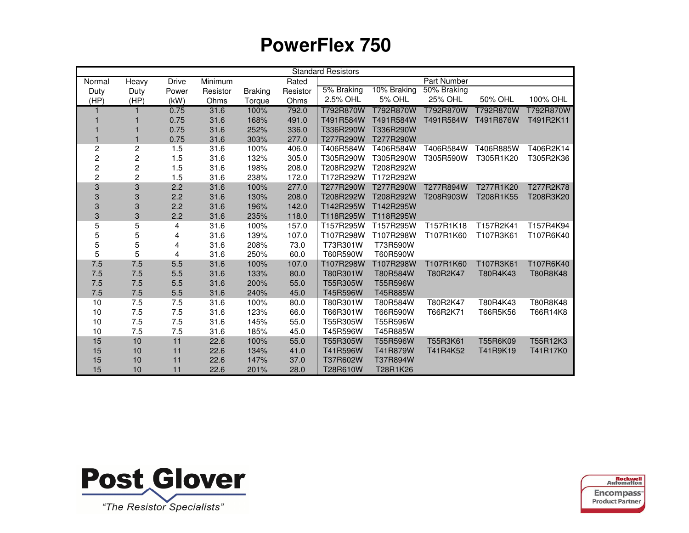|                         |                |              |          |                |          | <b>Standard Resistors</b> |             |             |           |           |
|-------------------------|----------------|--------------|----------|----------------|----------|---------------------------|-------------|-------------|-----------|-----------|
| Normal                  | Heavy          | <b>Drive</b> | Minimum  |                | Rated    |                           |             | Part Number |           |           |
| Duty                    | Duty           | Power        | Resistor | <b>Braking</b> | Resistor | 5% Braking                | 10% Braking | 50% Braking |           |           |
| (HP)                    | (HP)           | (kW)         | Ohms     | Torque         | Ohms     | 2.5% OHL                  | 5% OHL      | 25% OHL     | 50% OHL   | 100% OHL  |
| 1                       | 1              | 0.75         | 31.6     | 100%           | 792.0    | T792R870W                 | T792R870W   | T792R870W   | T792R870W | T792R870W |
|                         |                | 0.75         | 31.6     | 168%           | 491.0    | T491R584W                 | T491R584W   | T491R584W   | T491R876W | T491R2K11 |
|                         |                | 0.75         | 31.6     | 252%           | 336.0    | T336R290W                 | T336R290W   |             |           |           |
|                         | 1              | 0.75         | 31.6     | 303%           | 277.0    | T277R290W                 | T277R290W   |             |           |           |
| $\overline{c}$          | $\overline{c}$ | 1.5          | 31.6     | 100%           | 406.0    | T406R584W                 | T406R584W   | T406R584W   | T406R885W | T406R2K14 |
| $\overline{c}$          | $\overline{c}$ | 1.5          | 31.6     | 132%           | 305.0    | T305R290W                 | T305R290W   | T305R590W   | T305R1K20 | T305R2K36 |
| $\overline{\mathbf{c}}$ | 2              | 1.5          | 31.6     | 198%           | 208.0    | T208R292W                 | T208R292W   |             |           |           |
| $\overline{c}$          | $\overline{c}$ | 1.5          | 31.6     | 238%           | 172.0    | T172R292W                 | T172R292W   |             |           |           |
| 3                       | 3              | 2.2          | 31.6     | 100%           | 277.0    | T277R290W                 | T277R290W   | T277R894W   | T277R1K20 | T277R2K78 |
| 3                       | 3              | 2.2          | 31.6     | 130%           | 208.0    | T208R292W                 | T208R292W   | T208R903W   | T208R1K55 | T208R3K20 |
| 3                       | 3              | 2.2          | 31.6     | 196%           | 142.0    | T142R295W                 | T142R295W   |             |           |           |
| 3                       | 3              | 2.2          | 31.6     | 235%           | 118.0    | T118R295W                 | T118R295W   |             |           |           |
| 5                       | 5              | 4            | 31.6     | 100%           | 157.0    | T157R295W                 | T157R295W   | T157R1K18   | T157R2K41 | T157R4K94 |
| 5                       | 5              | 4            | 31.6     | 139%           | 107.0    | T107R298W                 | T107R298W   | T107R1K60   | T107R3K61 | T107R6K40 |
| 5                       | 5              | 4            | 31.6     | 208%           | 73.0     | T73R301W                  | T73R590W    |             |           |           |
| 5                       | 5              | 4            | 31.6     | 250%           | 60.0     | T60R590W                  | T60R590W    |             |           |           |
| $7.5\,$                 | 7.5            | 5.5          | 31.6     | 100%           | 107.0    | T107R298W                 | T107R298W   | T107R1K60   | T107R3K61 | T107R6K40 |
| 7.5                     | 7.5            | 5.5          | 31.6     | 133%           | 80.0     | T80R301W                  | T80R584W    | T80R2K47    | T80R4K43  | T80R8K48  |
| 7.5                     | 7.5            | 5.5          | 31.6     | 200%           | 55.0     | T55R305W                  | T55R596W    |             |           |           |
| 7.5                     | 7.5            | 5.5          | 31.6     | 240%           | 45.0     | T45R596W                  | T45R885W    |             |           |           |
| 10                      | 7.5            | 7.5          | 31.6     | 100%           | 80.0     | T80R301W                  | T80R584W    | T80R2K47    | T80R4K43  | T80R8K48  |
| 10                      | 7.5            | 7.5          | 31.6     | 123%           | 66.0     | T66R301W                  | T66R590W    | T66R2K71    | T66R5K56  | T66R14K8  |
| 10                      | 7.5            | 7.5          | 31.6     | 145%           | 55.0     | T55R305W                  | T55R596W    |             |           |           |
| 10                      | 7.5            | 7.5          | 31.6     | 185%           | 45.0     | T45R596W                  | T45R885W    |             |           |           |
| 15                      | 10             | 11           | 22.6     | 100%           | 55.0     | T55R305W                  | T55R596W    | T55R3K61    | T55R6K09  | T55R12K3  |
| 15                      | 10             | 11           | 22.6     | 134%           | 41.0     | T41R596W                  | T41R879W    | T41R4K52    | T41R9K19  | T41R17K0  |
| 15                      | 10             | 11           | 22.6     | 147%           | 37.0     | T37R602W                  | T37R894W    |             |           |           |
| 15                      | 10             | 11           | 22.6     | 201%           | 28.0     | T28R610W                  | T28R1K26    |             |           |           |



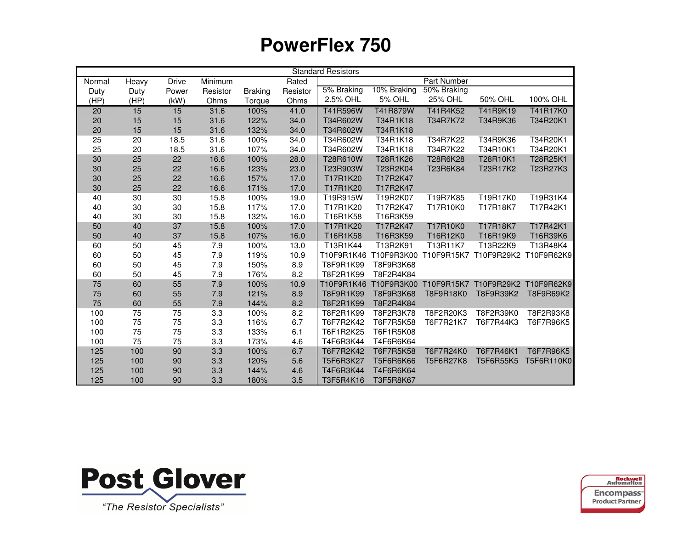|        | <b>Standard Resistors</b> |              |          |                |          |            |               |                       |            |            |
|--------|---------------------------|--------------|----------|----------------|----------|------------|---------------|-----------------------|------------|------------|
| Normal | Heavy                     | <b>Drive</b> | Minimum  |                | Rated    |            |               | Part Number           |            |            |
| Duty   | Duty                      | Power        | Resistor | <b>Braking</b> | Resistor | 5% Braking | 10% Braking   | 50% Braking           |            |            |
| (HP)   | (HP)                      | (kW)         | Ohms     | Torque         | Ohms     | 2.5% OHL   | <b>5% OHL</b> | 25% OHL               | 50% OHL    | 100% OHL   |
| 20     | 15                        | 15           | 31.6     | 100%           | 41.0     | T41R596W   | T41R879W      | T41R4K52              | T41R9K19   | T41R17K0   |
| 20     | 15                        | 15           | 31.6     | 122%           | 34.0     | T34R602W   | T34R1K18      | T34R7K72              | T34R9K36   | T34R20K1   |
| 20     | 15                        | 15           | 31.6     | 132%           | 34.0     | T34R602W   | T34R1K18      |                       |            |            |
| 25     | 20                        | 18.5         | 31.6     | 100%           | 34.0     | T34R602W   | T34R1K18      | T34R7K22              | T34R9K36   | T34R20K1   |
| 25     | 20                        | 18.5         | 31.6     | 107%           | 34.0     | T34R602W   | T34R1K18      | T34R7K22              | T34R10K1   | T34R20K1   |
| 30     | 25                        | 22           | 16.6     | 100%           | 28.0     | T28R610W   | T28R1K26      | T28R6K28              | T28R10K1   | T28R25K1   |
| 30     | 25                        | 22           | 16.6     | 123%           | 23.0     | T23R903W   | T23R2K04      | T23R6K84              | T23R17K2   | T23R27K3   |
| 30     | 25                        | 22           | 16.6     | 157%           | 17.0     | T17R1K20   | T17R2K47      |                       |            |            |
| 30     | 25                        | 22           | 16.6     | 171%           | 17.0     | T17R1K20   | T17R2K47      |                       |            |            |
| 40     | 30                        | 30           | 15.8     | 100%           | 19.0     | T19R915W   | T19R2K07      | T19R7K85              | T19R17K0   | T19R31K4   |
| 40     | 30                        | 30           | 15.8     | 117%           | 17.0     | T17R1K20   | T17R2K47      | T17R10K0              | T17R18K7   | T17R42K1   |
| 40     | 30                        | 30           | 15.8     | 132%           | 16.0     | T16R1K58   | T16R3K59      |                       |            |            |
| 50     | 40                        | 37           | 15.8     | 100%           | 17.0     | T17R1K20   | T17R2K47      | T17R10K0              | T17R18K7   | T17R42K1   |
| 50     | 40                        | 37           | 15.8     | 107%           | 16.0     | T16R1K58   | T16R3K59      | T16R12K0              | T16R19K9   | T16R39K6   |
| 60     | 50                        | 45           | 7.9      | 100%           | 13.0     | T13R1K44   | T13R2K91      | T13R11K7              | T13R22K9   | T13R48K4   |
| 60     | 50                        | 45           | 7.9      | 119%           | 10.9     | T10F9R1K46 | T10F9R3K00    | T10F9R15K7            | T10F9R29K2 | T10F9R62K9 |
| 60     | 50                        | 45           | 7.9      | 150%           | 8.9      | T8F9R1K99  | T8F9R3K68     |                       |            |            |
| 60     | 50                        | 45           | 7.9      | 176%           | 8.2      | T8F2R1K99  | T8F2R4K84     |                       |            |            |
| 75     | 60                        | 55           | $7.9$    | 100%           | 10.9     | T10F9R1K46 |               | T10F9R3K00 T10F9R15K7 | T10F9R29K2 | T10F9R62K9 |
| 75     | 60                        | 55           | 7.9      | 121%           | 8.9      | T8F9R1K99  | T8F9R3K68     | T8F9R18K0             | T8F9R39K2  | T8F9R69K2  |
| 75     | 60                        | 55           | 7.9      | 144%           | 8.2      | T8F2R1K99  | T8F2R4K84     |                       |            |            |
| 100    | 75                        | 75           | 3.3      | 100%           | 8.2      | T8F2R1K99  | T8F2R3K78     | T8F2R20K3             | T8F2R39K0  | T8F2R93K8  |
| 100    | 75                        | 75           | 3.3      | 116%           | 6.7      | T6F7R2K42  | T6F7R5K58     | T6F7R21K7             | T6F7R44K3  | T6F7R96K5  |
| 100    | 75                        | 75           | 3.3      | 133%           | 6.1      | T6F1R2K25  | T6F1R5K08     |                       |            |            |
| 100    | 75                        | 75           | 3.3      | 173%           | 4.6      | T4F6R3K44  | T4F6R6K64     |                       |            |            |
| 125    | 100                       | 90           | 3.3      | 100%           | 6.7      | T6F7R2K42  | T6F7R5K58     | T6F7R24K0             | T6F7R46K1  | T6F7R96K5  |
| 125    | 100                       | 90           | 3.3      | 120%           | 5.6      | T5F6R3K27  | T5F6R6K66     | T5F6R27K8             | T5F6R55K5  | T5F6R110K0 |
| 125    | 100                       | 90           | 3.3      | 144%           | 4.6      | T4F6R3K44  | T4F6R6K64     |                       |            |            |
| 125    | 100                       | 90           | 3.3      | 180%           | 3.5      | T3F5R4K16  | T3F5R8K67     |                       |            |            |



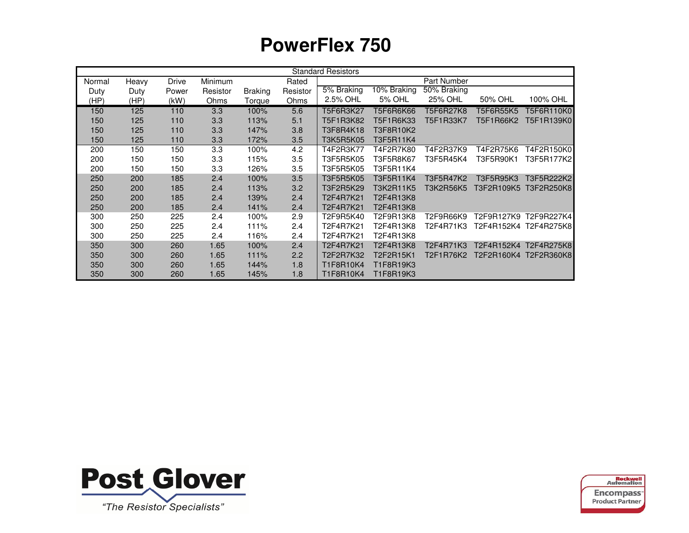|        |       |              |                |                |          | <b>Standard Resistors</b> |             |                    |            |                       |
|--------|-------|--------------|----------------|----------------|----------|---------------------------|-------------|--------------------|------------|-----------------------|
| Normal | Heavy | <b>Drive</b> | <b>Minimum</b> |                | Rated    |                           |             | <b>Part Number</b> |            |                       |
| Duty   | Duty  | Power        | Resistor       | <b>Braking</b> | Resistor | 5% Braking                | 10% Braking | 50% Braking        |            |                       |
| (HP)   | (HP)  | (kW)         | Ohms           | <b>Torque</b>  | Ohms     | 2.5% OHL                  | 5% OHL      | 25% OHL            | 50% OHL    | 100% OHL              |
| 150    | 125   | 110          | 3.3            | 100%           | 5.6      | T5F6R3K27                 | T5F6R6K66   | T5F6R27K8          | T5F6R55K5  | T5F6R110K01           |
| 150    | 125   | 110          | 3.3            | 113%           | 5.1      | T5F1R3K82                 | T5F1R6K33   | T5F1R33K7          | T5F1R66K2  | T5F1R139K0            |
| 150    | 125   | 110          | 3.3            | 147%           | 3.8      | T3F8R4K18                 | T3F8R10K2   |                    |            |                       |
| 150    | 125   | 110          | 3.3            | 172%           | 3.5      | T3K5R5K05                 | T3F5R11K4   |                    |            |                       |
| 200    | 150   | 150          | 3.3            | 100%           | 4.2      | T4F2R3K77                 | T4F2R7K80   | T4F2R37K9          | T4F2R75K6  | T4F2R150K0            |
| 200    | 150   | 150          | 3.3            | 115%           | 3.5      | T3F5R5K05                 | T3F5R8K67   | T3F5R45K4          | T3F5R90K1  | T3F5R177K2            |
| 200    | 150   | 150          | 3.3            | 126%           | 3.5      | T3F5R5K05                 | T3F5R11K4   |                    |            |                       |
| 250    | 200   | 185          | 2.4            | 100%           | 3.5      | T3F5R5K05                 | T3F5R11K4   | T3F5R47K2          | T3F5R95K3  | T3F5R222K21           |
| 250    | 200   | 185          | 2.4            | 113%           | 3.2      | T3F2R5K29                 | T3K2R11K5   | T3K2R56K5          | T3F2R109K5 | T3F2R250K8            |
| 250    | 200   | 185          | 2.4            | 139%           | 2.4      | T2F4R7K21                 | T2F4R13K8   |                    |            |                       |
| 250    | 200   | 185          | 2.4            | 141%           | 2.4      | T2F4R7K21                 | T2F4R13K8   |                    |            |                       |
| 300    | 250   | 225          | 2.4            | 100%           | 2.9      | T2F9R5K40                 | T2F9R13K8   | T2F9R66K9          |            | T2F9R127K9 T2F9R227K4 |
| 300    | 250   | 225          | 2.4            | 111%           | 2.4      | T2F4R7K21                 | T2F4R13K8   | T2F4R71K3          |            | T2F4R152K4 T2F4R275K8 |
| 300    | 250   | 225          | 2.4            | 116%           | 2.4      | T2F4R7K21                 | T2F4R13K8   |                    |            |                       |
| 350    | 300   | 260          | 1.65           | 100%           | 2.4      | T2F4R7K21                 | T2F4R13K8   | T2F4R71K3          |            | T2F4R152K4 T2F4R275K8 |
| 350    | 300   | 260          | 1.65           | 111%           | 2.2      | T2F2R7K32                 | T2F2R15K1   | T2F1R76K2          |            | T2F2R160K4 T2F2R360K8 |
| 350    | 300   | 260          | 1.65           | 144%           | 1.8      | T1F8R10K4                 | T1F8R19K3   |                    |            |                       |
| 350    | 300   | 260          | 1.65           | 145%           | 1.8      | T1F8R10K4                 | T1F8R19K3   |                    |            |                       |



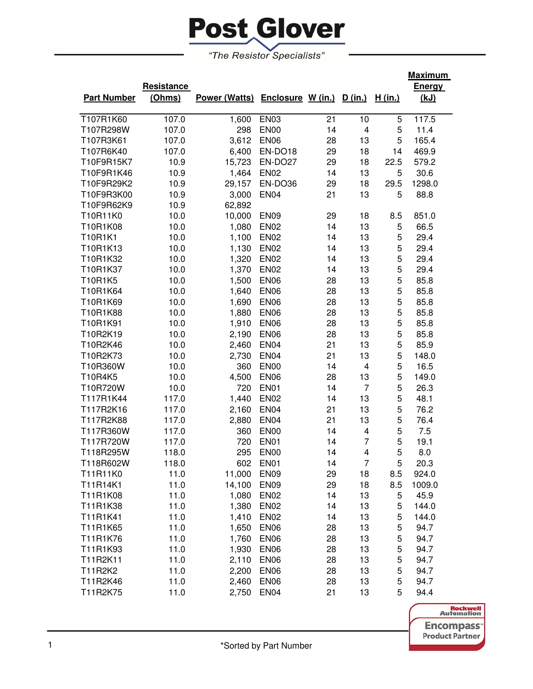

| "The Resistor Specialists" |
|----------------------------|
|----------------------------|

|                    |            |                                         |                  |    |                |         | <b>Maximum</b> |
|--------------------|------------|-----------------------------------------|------------------|----|----------------|---------|----------------|
|                    | Resistance |                                         |                  |    |                |         | <b>Energy</b>  |
| <b>Part Number</b> | (Ohms)     | Power (Watts) Enclosure W (in.) D (in.) |                  |    |                | H (in.) | (kJ)           |
| T107R1K60          | 107.0      | 1,600                                   | <b>EN03</b>      | 21 | 10             | 5       | 117.5          |
| T107R298W          | 107.0      | 298                                     | <b>EN00</b>      | 14 | 4              | 5       | 11.4           |
| T107R3K61          | 107.0      | 3,612                                   | <b>EN06</b>      | 28 | 13             | 5       | 165.4          |
| T107R6K40          | 107.0      | 6,400                                   | EN-DO18          | 29 | 18             | 14      | 469.9          |
| T10F9R15K7         | 10.9       | 15,723                                  | EN-DO27          | 29 | 18             | 22.5    | 579.2          |
| T10F9R1K46         | 10.9       | 1,464                                   | <b>EN02</b>      | 14 | 13             | 5       | 30.6           |
| T10F9R29K2         | 10.9       | 29,157                                  | EN-DO36          | 29 | 18             | 29.5    | 1298.0         |
| T10F9R3K00         | 10.9       | 3,000                                   | <b>EN04</b>      | 21 | 13             | 5       | 88.8           |
| T10F9R62K9         | 10.9       | 62,892                                  |                  |    |                |         |                |
| T10R11K0           | 10.0       | 10,000                                  | <b>EN09</b>      | 29 | 18             | 8.5     | 851.0          |
| T10R1K08           | 10.0       | 1,080                                   | <b>EN02</b>      | 14 | 13             | 5       | 66.5           |
| T10R1K1            | 10.0       | 1,100                                   | <b>EN02</b>      | 14 | 13             | 5       | 29.4           |
| T10R1K13           | 10.0       | 1,130                                   | <b>EN02</b>      | 14 | 13             | 5       | 29.4           |
| T10R1K32           | 10.0       | 1,320                                   | <b>EN02</b>      | 14 | 13             | 5       | 29.4           |
| T10R1K37           | 10.0       | 1,370                                   | <b>EN02</b>      | 14 | 13             | 5       | 29.4           |
| T10R1K5            | 10.0       | 1,500                                   | <b>EN06</b>      | 28 | 13             | 5       | 85.8           |
| T10R1K64           | 10.0       | 1,640                                   | <b>EN06</b>      | 28 | 13             | 5       | 85.8           |
| T10R1K69           | 10.0       | 1,690                                   | <b>EN06</b>      | 28 | 13             | 5       | 85.8           |
| T10R1K88           | 10.0       | 1,880                                   | <b>EN06</b>      | 28 | 13             | 5       | 85.8           |
| T10R1K91           | 10.0       | 1,910                                   | <b>EN06</b>      | 28 | 13             | 5       | 85.8           |
| T10R2K19           | 10.0       | 2,190                                   | <b>EN06</b>      | 28 | 13             | 5       | 85.8           |
| T10R2K46           | 10.0       | 2,460                                   | <b>EN04</b>      | 21 | 13             | 5       | 85.9           |
| T10R2K73           | 10.0       | 2,730                                   | <b>EN04</b>      | 21 | 13             | 5       | 148.0          |
| T10R360W           | 10.0       | 360                                     | <b>EN00</b>      | 14 | 4              | 5       | 16.5           |
| T10R4K5            | 10.0       | 4,500                                   | <b>EN06</b>      | 28 | 13             | 5       | 149.0          |
| T10R720W           | 10.0       | 720                                     | <b>EN01</b>      | 14 | $\overline{7}$ | 5       | 26.3           |
| T117R1K44          | 117.0      | 1,440                                   | <b>EN02</b>      | 14 | 13             | 5       | 48.1           |
| T117R2K16          | 117.0      | 2,160                                   | <b>EN04</b>      | 21 | 13             | 5       | 76.2           |
| T117R2K88          | 117.0      | 2,880                                   | <b>EN04</b>      | 21 | 13             | 5       | 76.4           |
| T117R360W          | 117.0      | 360                                     | <b>EN00</b>      | 14 | 4              | 5       | 7.5            |
| T117R720W          | 117.0      | 720                                     | <b>EN01</b>      | 14 | 7              | 5       | 19.1           |
| T118R295W          | 118.0      | 295                                     | <b>EN00</b>      | 14 | 4              | 5       | 8.0            |
| T118R602W          | 118.0      | 602                                     | <b>EN01</b>      | 14 | $\overline{7}$ | 5       | 20.3           |
| T11R11K0           | 11.0       | 11,000                                  | EN <sub>09</sub> | 29 | 18             | 8.5     | 924.0          |
| T11R14K1           | 11.0       | 14,100                                  | EN <sub>09</sub> | 29 | 18             | 8.5     | 1009.0         |
| T11R1K08           | 11.0       | 1,080                                   | <b>EN02</b>      | 14 | 13             | 5       | 45.9           |
| T11R1K38           | 11.0       | 1,380                                   | <b>EN02</b>      | 14 | 13             | 5       | 144.0          |
| T11R1K41           | 11.0       | 1,410                                   | EN <sub>02</sub> | 14 | 13             | 5       | 144.0          |
| T11R1K65           | 11.0       | 1,650                                   | EN <sub>06</sub> | 28 | 13             | 5       | 94.7           |
| T11R1K76           | 11.0       | 1,760                                   | EN <sub>06</sub> | 28 | 13             | 5       | 94.7           |
| T11R1K93           | 11.0       | 1,930                                   | <b>EN06</b>      | 28 | 13             | 5       | 94.7           |
| T11R2K11           | 11.0       | 2,110                                   | <b>EN06</b>      | 28 | 13             | 5       | 94.7           |
| T11R2K2            | 11.0       | 2,200                                   | <b>EN06</b>      | 28 | 13             | 5       | 94.7           |
| T11R2K46           | 11.0       | 2,460                                   | <b>EN06</b>      | 28 | 13             | 5       | 94.7           |
| T11R2K75           | 11.0       | 2,750                                   | <b>EN04</b>      | 21 | 13             | 5       | 94.4           |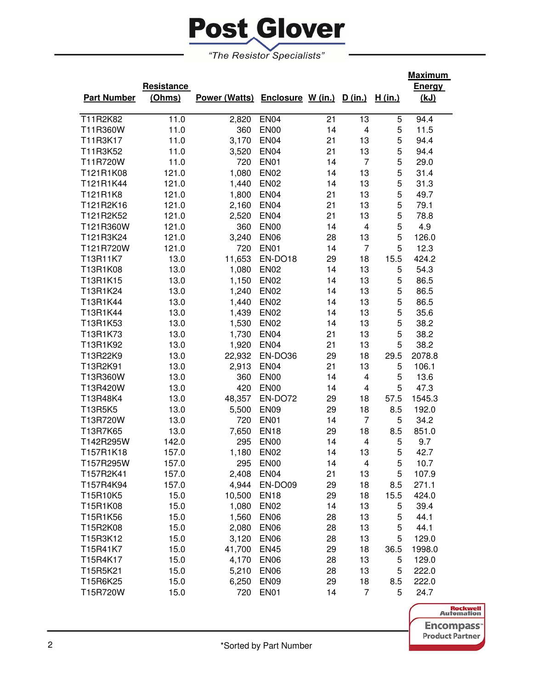

**Resistance** 

|                    | Resistance |                      |                   |    |         |                | ⊏⊓erg       |
|--------------------|------------|----------------------|-------------------|----|---------|----------------|-------------|
| <b>Part Number</b> | (Ohms)     | <b>Power (Watts)</b> | Enclosure W (in.) |    | D (in.) | <u>H (in.)</u> | <u>(kJ)</u> |
| T11R2K82           | 11.0       | 2,820                | EN <sub>04</sub>  | 21 | 13      | 5              | 94.4        |
| T11R360W           | 11.0       | 360                  | EN <sub>00</sub>  | 14 | 4       | 5              | 11.5        |
| T11R3K17           | 11.0       | 3.170                | EN <sub>04</sub>  | 21 | 13      | 5              | 94.4        |
| T11R3K52           | 11.0       | 3,520                | EN <sub>04</sub>  | 21 | 13      | 5              | 94.4        |
| T11R720W           | 11.0       | 720                  | EN <sub>01</sub>  | 14 | 7       | 5              | 29.0        |
| T121R1K08          | 121.0      | 1,080                | EN <sub>02</sub>  | 14 | 13      | 5              | 31.4        |
| T121R1K44          | 121.0      | 1,440                | EN <sub>02</sub>  | 14 | 13      | 5              | 31.3        |
| T121R1K8           | 121.0      | 1,800                | EN <sub>04</sub>  | 21 | 13      | 5              | 49.7        |
| T121R2K16          | 121.0      | 2,160                | EN <sub>04</sub>  | 21 | 13      | 5              | 79.1        |
| T121R2K52          | 121.0      | 2,520                | EN <sub>04</sub>  | 21 | 13      | 5              | 78.8        |
| T121R360W          | 121.0      | 360                  | EN <sub>00</sub>  | 14 | 4       | 5              | 4.9         |
| T121R3K24          | 121.0      | 3.240                | EN <sub>06</sub>  | 28 | 13      | 5              | 126.0       |

T121R720W 121.0 720 EN01 14 7 5 12.3 T13R11K7 13.0 11,653 EN-DO18 29 18 15.5 424.2 T13R1K08 13.0 1,080 EN02 14 13 5 54.3 T13R1K15 13.0 1,150 EN02 14 13 5 86.5 T13R1K24 13.0 1,240 EN02 14 13 5 86.5 T13R1K44 13.0 1,440 EN02 14 13 5 86.5 T13R1K44 13.0 1,439 EN02 14 13 5 35.6 T13R1K53 13.0 1,530 EN02 14 13 5 38.2 T13R1K73 13.0 1,730 EN04 21 13 5 38.2 T13R1K92 13.0 1,920 EN04 21 13 5 38.2 T13R22K9 13.0 22,932 EN-DO36 29 18 29.5 2078.8 T13R2K91 13.0 2,913 EN04 21 13 5 106.1 T13R360W 13.0 360 EN00 14 4 5 13.6 T13R420W 13.0 420 EN00 14 4 5 47.3 T13R48K4 13.0 48,357 EN-DO72 29 18 57.5 1545.3 T13R5K5 13.0 5,500 EN09 29 18 8.5 192.0 T13R720W 13.0 720 EN01 14 7 5 34.2 T13R7K65 13.0 7,650 EN18 29 18 8.5 851.0 T142R295W 142.0 295 EN00 14 4 5 9.7 T157R1K18 157.0 1,180 EN02 14 13 5 42.7 T157R295W 157.0 295 EN00 14 4 5 10.7 T157R2K41 157.0 2,408 EN04 21 13 5 107.9 T157R4K94 157.0 4,944 EN-DO09 29 18 8.5 271.1 T15R10K5 15.0 10,500 EN18 29 18 15.5 424.0 T15R1K08 15.0 1,080 EN02 14 13 5 39.4 T15R1K56 15.0 1,560 EN06 28 13 5 44.1 T15R2K08 15.0 2,080 EN06 28 13 5 44.1 T15R3K12 15.0 3,120 EN06 28 13 5 129.0 T15R41K7 15.0 41,700 EN45 29 18 36.5 1998.0

|                               | 129.0 | b.  | 13 | 28 |                  | 4.170 EN06 | 15.U | 115R4K17 |
|-------------------------------|-------|-----|----|----|------------------|------------|------|----------|
|                               | 222.0 | 5   | 13 | 28 | EN <sub>06</sub> | 5.210      | 15.0 | T15R5K21 |
|                               | 222.0 | 8.5 | 18 | 29 | EN <sub>09</sub> | 6.250      | 15.0 | T15R6K25 |
|                               | 24.7  | 5.  |    | 14 | EN <sub>01</sub> | 720        | 15.0 | T15R720W |
| <b>Rockwell</b><br>Automation |       |     |    |    |                  |            |      |          |
| <u>incompass</u>              |       |     |    |    |                  |            |      |          |

**Maximum Energy (kJ)**

> **ISS Product Partner**

| *Sorted by Part Number |
|------------------------|
|                        |

T15R4K17 15.0 4,170 EN06 28 T15R5K21 15.0 5,210 EN06 28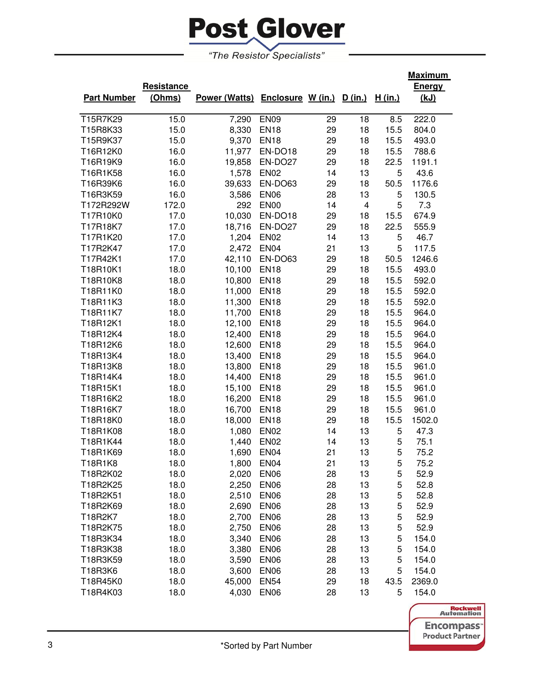

|                    |            |                                         |                  |    |    |         | <u>Maximum</u> |
|--------------------|------------|-----------------------------------------|------------------|----|----|---------|----------------|
|                    | Resistance |                                         |                  |    |    |         | <b>Energy</b>  |
| <b>Part Number</b> | (Ohms)     | Power (Watts) Enclosure W (in.) D (in.) |                  |    |    | H (in.) | <u>(kJ)</u>    |
|                    |            |                                         |                  |    |    |         |                |
| T15R7K29           | 15.0       | 7,290                                   | <b>EN09</b>      | 29 | 18 | 8.5     | 222.0          |
| T15R8K33           | 15.0       | 8,330                                   | <b>EN18</b>      | 29 | 18 | 15.5    | 804.0          |
| T15R9K37           | 15.0       | 9,370                                   | <b>EN18</b>      | 29 | 18 | 15.5    | 493.0          |
| T16R12K0           | 16.0       | 11,977                                  | EN-DO18          | 29 | 18 | 15.5    | 788.6          |
| T16R19K9           | 16.0       | 19,858                                  | EN-DO27          | 29 | 18 | 22.5    | 1191.1         |
| T16R1K58           | 16.0       | 1,578                                   | <b>EN02</b>      | 14 | 13 | 5       | 43.6           |
| T16R39K6           | 16.0       | 39,633                                  | EN-DO63          | 29 | 18 | 50.5    | 1176.6         |
| T16R3K59           | 16.0       | 3,586                                   | <b>EN06</b>      | 28 | 13 | 5       | 130.5          |
| T172R292W          | 172.0      | 292                                     | <b>EN00</b>      | 14 | 4  | 5       | 7.3            |
| T17R10K0           | 17.0       | 10,030                                  | EN-DO18          | 29 | 18 | 15.5    | 674.9          |
| T17R18K7           | 17.0       | 18,716                                  | EN-DO27          | 29 | 18 | 22.5    | 555.9          |
| T17R1K20           | 17.0       | 1,204                                   | <b>EN02</b>      | 14 | 13 | 5       | 46.7           |
| T17R2K47           | 17.0       | 2,472                                   | <b>EN04</b>      | 21 | 13 | 5       | 117.5          |
| T17R42K1           | 17.0       | 42,110                                  | EN-DO63          | 29 | 18 | 50.5    | 1246.6         |
| T18R10K1           | 18.0       | 10,100                                  | <b>EN18</b>      | 29 | 18 | 15.5    | 493.0          |
| T18R10K8           | 18.0       | 10,800                                  | <b>EN18</b>      | 29 | 18 | 15.5    | 592.0          |
| T18R11K0           | 18.0       | 11,000                                  | <b>EN18</b>      | 29 | 18 | 15.5    | 592.0          |
| T18R11K3           | 18.0       | 11,300                                  | <b>EN18</b>      | 29 | 18 | 15.5    | 592.0          |
| T18R11K7           | 18.0       | 11,700                                  | <b>EN18</b>      | 29 | 18 | 15.5    | 964.0          |
| T18R12K1           | 18.0       | 12,100                                  | <b>EN18</b>      | 29 | 18 | 15.5    | 964.0          |
| T18R12K4           | 18.0       | 12,400                                  | <b>EN18</b>      | 29 | 18 | 15.5    | 964.0          |
| T18R12K6           | 18.0       | 12,600                                  | <b>EN18</b>      | 29 | 18 | 15.5    | 964.0          |
| T18R13K4           | 18.0       | 13,400                                  | <b>EN18</b>      | 29 | 18 | 15.5    | 964.0          |
| T18R13K8           | 18.0       | 13,800                                  | <b>EN18</b>      | 29 | 18 | 15.5    | 961.0          |
| T18R14K4           | 18.0       | 14,400                                  | <b>EN18</b>      | 29 | 18 | 15.5    | 961.0          |
| T18R15K1           | 18.0       | 15,100                                  | <b>EN18</b>      | 29 | 18 | 15.5    | 961.0          |
| T18R16K2           | 18.0       | 16,200                                  | <b>EN18</b>      | 29 | 18 | 15.5    | 961.0          |
| T18R16K7           | 18.0       | 16,700                                  | <b>EN18</b>      | 29 | 18 | 15.5    | 961.0          |
| T18R18K0           | 18.0       | 18,000                                  | <b>EN18</b>      | 29 | 18 | 15.5    | 1502.0         |
| T18R1K08           | 18.0       | 1,080                                   | <b>EN02</b>      | 14 | 13 | 5       | 47.3           |
| T18R1K44           | 18.0       | 1,440                                   | <b>EN02</b>      | 14 | 13 | 5       | 75.1           |
| T18R1K69           | 18.0       | 1,690                                   | <b>EN04</b>      | 21 | 13 | 5       | 75.2           |
| T18R1K8            | 18.0       | 1,800                                   | <b>EN04</b>      | 21 | 13 | 5       | 75.2           |
| T18R2K02           | 18.0       | 2,020                                   | <b>EN06</b>      | 28 | 13 | 5       | 52.9           |
| T18R2K25           | 18.0       | 2,250                                   | <b>EN06</b>      | 28 | 13 | 5       | 52.8           |
| T18R2K51           | 18.0       | 2,510                                   | <b>EN06</b>      | 28 | 13 | 5       | 52.8           |
| T18R2K69           | 18.0       | 2,690                                   | EN <sub>06</sub> | 28 | 13 | 5       | 52.9           |
| T18R2K7            | 18.0       | 2,700                                   | <b>EN06</b>      | 28 | 13 | 5       | 52.9           |
| T18R2K75           | 18.0       | 2,750                                   | EN <sub>06</sub> | 28 | 13 | 5       | 52.9           |
| T18R3K34           | 18.0       | 3,340                                   | <b>EN06</b>      | 28 | 13 | 5       | 154.0          |
| T18R3K38           | 18.0       | 3,380                                   | <b>EN06</b>      | 28 | 13 | 5       | 154.0          |
| T18R3K59           | 18.0       | 3,590                                   | <b>EN06</b>      | 28 | 13 | 5       | 154.0          |
| T18R3K6            | 18.0       | 3,600                                   | <b>EN06</b>      | 28 | 13 | 5       | 154.0          |
| T18R45K0           | 18.0       | 45,000                                  | <b>EN54</b>      | 29 | 18 | 43.5    | 2369.0         |
| T18R4K03           | 18.0       | 4,030                                   | <b>EN06</b>      | 28 | 13 | 5       | 154.0          |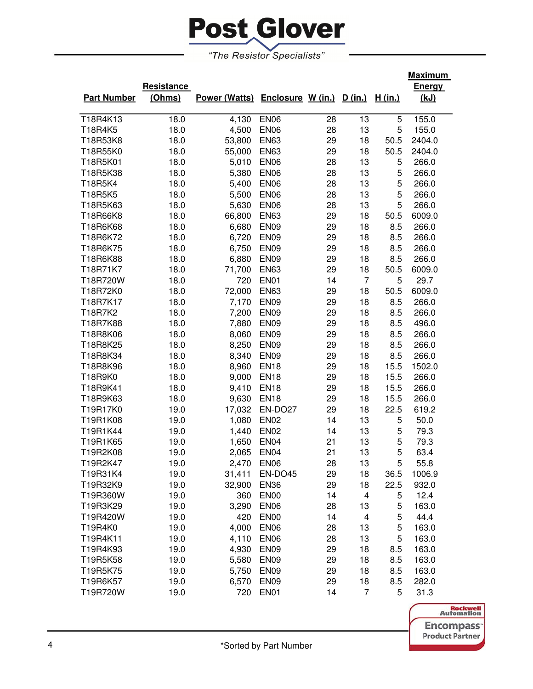

|                    |            |                                         |                  |    |                         |         | <u>Maximum</u> |
|--------------------|------------|-----------------------------------------|------------------|----|-------------------------|---------|----------------|
|                    | Resistance |                                         |                  |    |                         |         | <b>Energy</b>  |
| <b>Part Number</b> | (Ohms)     | Power (Watts) Enclosure W (in.) D (in.) |                  |    |                         | H (in.) | (kJ)           |
|                    |            |                                         |                  |    |                         |         |                |
| T18R4K13           | 18.0       | 4,130                                   | <b>EN06</b>      | 28 | 13                      | 5       | 155.0          |
| T18R4K5            | 18.0       | 4,500                                   | <b>EN06</b>      | 28 | 13                      | 5       | 155.0          |
| T18R53K8           | 18.0       | 53,800                                  | <b>EN63</b>      | 29 | 18                      | 50.5    | 2404.0         |
| T18R55K0           | 18.0       | 55,000                                  | <b>EN63</b>      | 29 | 18                      | 50.5    | 2404.0         |
| T18R5K01           | 18.0       | 5,010                                   | <b>EN06</b>      | 28 | 13                      | 5       | 266.0          |
| T18R5K38           | 18.0       | 5,380                                   | <b>EN06</b>      | 28 | 13                      | 5       | 266.0          |
| T18R5K4            | 18.0       | 5,400                                   | <b>EN06</b>      | 28 | 13                      | 5       | 266.0          |
| T18R5K5            | 18.0       | 5,500                                   | <b>EN06</b>      | 28 | 13                      | 5       | 266.0          |
| T18R5K63           | 18.0       | 5,630                                   | <b>EN06</b>      | 28 | 13                      | 5       | 266.0          |
| T18R66K8           | 18.0       | 66,800                                  | <b>EN63</b>      | 29 | 18                      | 50.5    | 6009.0         |
| T18R6K68           | 18.0       | 6,680                                   | <b>EN09</b>      | 29 | 18                      | 8.5     | 266.0          |
| T18R6K72           | 18.0       | 6,720                                   | <b>EN09</b>      | 29 | 18                      | 8.5     | 266.0          |
| T18R6K75           | 18.0       | 6,750                                   | <b>EN09</b>      | 29 | 18                      | 8.5     | 266.0          |
| T18R6K88           | 18.0       | 6,880                                   | <b>EN09</b>      | 29 | 18                      | 8.5     | 266.0          |
| T18R71K7           | 18.0       | 71,700                                  | <b>EN63</b>      | 29 | 18                      | 50.5    | 6009.0         |
| T18R720W           | 18.0       | 720                                     | <b>EN01</b>      | 14 | $\overline{7}$          | 5       | 29.7           |
| T18R72K0           | 18.0       | 72,000                                  | <b>EN63</b>      | 29 | 18                      | 50.5    | 6009.0         |
| T18R7K17           | 18.0       | 7,170                                   | <b>EN09</b>      | 29 | 18                      | 8.5     | 266.0          |
| T18R7K2            | 18.0       | 7,200                                   | <b>EN09</b>      | 29 | 18                      | 8.5     | 266.0          |
| T18R7K88           | 18.0       | 7,880                                   | EN <sub>09</sub> | 29 | 18                      | 8.5     | 496.0          |
| T18R8K06           | 18.0       | 8,060                                   | EN <sub>09</sub> | 29 | 18                      | 8.5     | 266.0          |
| T18R8K25           | 18.0       | 8,250                                   | <b>EN09</b>      | 29 | 18                      | 8.5     | 266.0          |
| T18R8K34           | 18.0       | 8,340                                   | <b>EN09</b>      | 29 | 18                      | 8.5     | 266.0          |
| T18R8K96           | 18.0       | 8,960                                   | <b>EN18</b>      | 29 | 18                      | 15.5    | 1502.0         |
| T18R9K0            | 18.0       | 9,000                                   | <b>EN18</b>      | 29 | 18                      | 15.5    | 266.0          |
| T18R9K41           | 18.0       | 9,410                                   | <b>EN18</b>      | 29 | 18                      | 15.5    | 266.0          |
| T18R9K63           | 18.0       | 9,630                                   | <b>EN18</b>      | 29 | 18                      | 15.5    | 266.0          |
| T19R17K0           | 19.0       | 17,032                                  | EN-DO27          | 29 | 18                      | 22.5    | 619.2          |
| T19R1K08           | 19.0       | 1,080                                   | <b>EN02</b>      | 14 | 13                      | 5       | 50.0           |
| T19R1K44           | 19.0       | 1,440                                   | <b>EN02</b>      | 14 | 13                      | 5       | 79.3           |
| T19R1K65           | 19.0       | 1,650                                   | <b>EN04</b>      | 21 | 13                      | 5       | 79.3           |
| T19R2K08           | 19.0       | 2,065                                   | <b>EN04</b>      | 21 | 13                      | 5       | 63.4           |
| T19R2K47           | 19.0       | 2,470                                   | <b>EN06</b>      | 28 | 13                      | 5       | 55.8           |
| T19R31K4           | 19.0       | 31,411                                  | EN-DO45          | 29 | 18                      | 36.5    | 1006.9         |
| T19R32K9           | 19.0       | 32,900                                  | <b>EN36</b>      | 29 | 18                      | 22.5    | 932.0          |
| T19R360W           | 19.0       | 360                                     | <b>EN00</b>      | 14 | $\overline{\mathbf{4}}$ | 5       | 12.4           |
| T19R3K29           | 19.0       | 3,290                                   | <b>EN06</b>      | 28 | 13                      | 5       | 163.0          |
| T19R420W           | 19.0       | 420                                     | EN <sub>00</sub> | 14 | 4                       | 5       | 44.4           |
| T19R4K0            | 19.0       | 4,000                                   | <b>EN06</b>      | 28 | 13                      | 5       | 163.0          |
| T19R4K11           | 19.0       | 4,110                                   | <b>EN06</b>      | 28 | 13                      | 5       | 163.0          |
| T19R4K93           | 19.0       | 4,930                                   | EN <sub>09</sub> | 29 | 18                      | 8.5     | 163.0          |
| T19R5K58           | 19.0       | 5,580                                   | EN <sub>09</sub> | 29 | 18                      | 8.5     | 163.0          |
| T19R5K75           | 19.0       | 5,750                                   | <b>EN09</b>      | 29 | 18                      | 8.5     | 163.0          |
| T19R6K57           | 19.0       | 6,570                                   | EN <sub>09</sub> | 29 | 18                      | 8.5     | 282.0          |
| T19R720W           | 19.0       | 720                                     | EN <sub>01</sub> | 14 | $\overline{7}$          | 5       | 31.3           |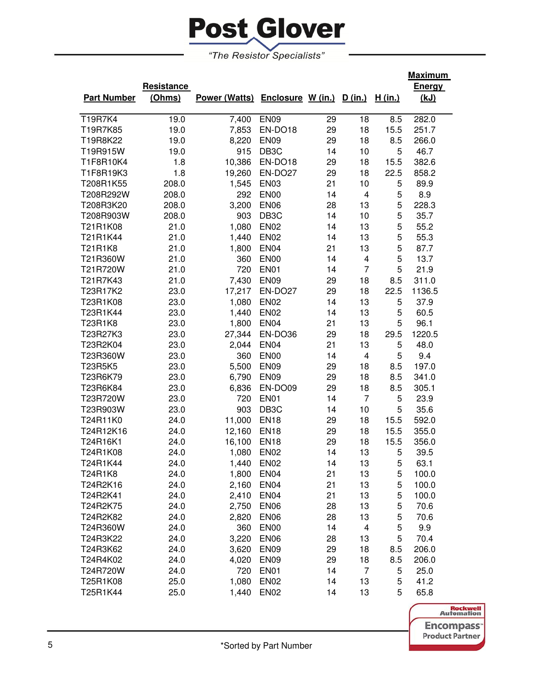

|                    |            |                                         |                   |    |                |                | <u>Maximum</u> |
|--------------------|------------|-----------------------------------------|-------------------|----|----------------|----------------|----------------|
|                    | Resistance |                                         |                   |    |                |                | <b>Energy</b>  |
| <b>Part Number</b> | (Ohms)     | Power (Watts) Enclosure W (in.) D (in.) |                   |    |                | <u>H (in.)</u> | <u>(kJ)</u>    |
|                    |            |                                         |                   |    |                |                |                |
| <b>T19R7K4</b>     | 19.0       | 7,400                                   | <b>EN09</b>       | 29 | 18             | 8.5            | 282.0          |
| T19R7K85           | 19.0       | 7,853                                   | EN-DO18           | 29 | 18             | 15.5           | 251.7          |
| T19R8K22           | 19.0       | 8,220                                   | EN <sub>09</sub>  | 29 | 18             | 8.5            | 266.0          |
| T19R915W           | 19.0       | 915                                     | DB <sub>3</sub> C | 14 | 10             | 5              | 46.7           |
| T1F8R10K4          | 1.8        | 10,386                                  | EN-DO18           | 29 | 18             | 15.5           | 382.6          |
| T1F8R19K3          | 1.8        | 19,260                                  | EN-DO27           | 29 | 18             | 22.5           | 858.2          |
| T208R1K55          | 208.0      | 1,545                                   | <b>EN03</b>       | 21 | 10             | 5              | 89.9           |
| T208R292W          | 208.0      | 292                                     | <b>EN00</b>       | 14 | 4              | 5              | 8.9            |
| T208R3K20          | 208.0      | 3,200                                   | <b>EN06</b>       | 28 | 13             | 5              | 228.3          |
| T208R903W          | 208.0      | 903                                     | DB <sub>3</sub> C | 14 | 10             | 5              | 35.7           |
| T21R1K08           | 21.0       | 1,080                                   | <b>EN02</b>       | 14 | 13             | 5              | 55.2           |
| T21R1K44           | 21.0       | 1,440                                   | <b>EN02</b>       | 14 | 13             | 5              | 55.3           |
| T21R1K8            | 21.0       | 1,800                                   | <b>EN04</b>       | 21 | 13             | 5              | 87.7           |
| T21R360W           | 21.0       | 360                                     | <b>EN00</b>       | 14 | 4              | 5              | 13.7           |
| T21R720W           | 21.0       | 720                                     | EN01              | 14 | $\overline{7}$ | 5              | 21.9           |
| T21R7K43           | 21.0       | 7,430                                   | <b>EN09</b>       | 29 | 18             | 8.5            | 311.0          |
| T23R17K2           | 23.0       | 17,217                                  | EN-DO27           | 29 | 18             | 22.5           | 1136.5         |
| T23R1K08           | 23.0       | 1,080                                   | <b>EN02</b>       | 14 | 13             | 5              | 37.9           |
| T23R1K44           | 23.0       | 1,440                                   | <b>EN02</b>       | 14 | 13             | 5              | 60.5           |
| T23R1K8            | 23.0       | 1,800                                   | EN <sub>04</sub>  | 21 | 13             | 5              | 96.1           |
| T23R27K3           | 23.0       | 27,344                                  | EN-DO36           | 29 | 18             | 29.5           | 1220.5         |
| T23R2K04           | 23.0       | 2,044                                   | <b>EN04</b>       | 21 | 13             | 5              | 48.0           |
| T23R360W           | 23.0       | 360                                     | <b>EN00</b>       | 14 | 4              | 5              | 9.4            |
| T23R5K5            | 23.0       | 5,500                                   | <b>EN09</b>       | 29 | 18             | 8.5            | 197.0          |
| T23R6K79           | 23.0       | 6,790                                   | <b>EN09</b>       | 29 | 18             | 8.5            | 341.0          |
| T23R6K84           | 23.0       | 6,836                                   | EN-DO09           | 29 | 18             | 8.5            | 305.1          |
| T23R720W           | 23.0       | 720                                     | <b>EN01</b>       | 14 | $\overline{7}$ | 5              | 23.9           |
| T23R903W           | 23.0       | 903                                     | DB <sub>3</sub> C | 14 | 10             | 5              | 35.6           |
| T24R11K0           | 24.0       | 11,000                                  | <b>EN18</b>       | 29 | 18             | 15.5           | 592.0          |
| T24R12K16          | 24.0       | 12,160                                  | <b>EN18</b>       | 29 | 18             | 15.5           | 355.0          |
| T24R16K1           | 24.0       | 16,100                                  | <b>EN18</b>       | 29 | 18             | 15.5           | 356.0          |
| T24R1K08           | 24.0       | 1,080                                   | <b>EN02</b>       | 14 | 13             | 5              | 39.5           |
| T24R1K44           | 24.0       | 1,440                                   | <b>EN02</b>       | 14 | 13             | 5              | 63.1           |
| T24R1K8            | 24.0       | 1,800                                   | EN <sub>04</sub>  | 21 | 13             | 5              | 100.0          |
| T24R2K16           | 24.0       | 2,160                                   | <b>EN04</b>       | 21 | 13             | 5              | 100.0          |
| T24R2K41           | 24.0       | 2,410                                   | <b>EN04</b>       | 21 | 13             | 5              | 100.0          |
| T24R2K75           | 24.0       | 2,750                                   | <b>EN06</b>       | 28 | 13             | 5              | 70.6           |
| T24R2K82           | 24.0       | 2,820                                   | <b>EN06</b>       | 28 | 13             | 5              | 70.6           |
| T24R360W           | 24.0       | 360                                     | <b>EN00</b>       | 14 | 4              | 5              | 9.9            |
| T24R3K22           | 24.0       | 3,220                                   | <b>EN06</b>       | 28 | 13             | 5              | 70.4           |
| T24R3K62           | 24.0       | 3,620                                   | EN <sub>09</sub>  | 29 | 18             | 8.5            | 206.0          |
| T24R4K02           | 24.0       | 4,020                                   | <b>EN09</b>       | 29 | 18             | 8.5            | 206.0          |
| T24R720W           | 24.0       | 720                                     | <b>EN01</b>       | 14 | 7              | 5              | 25.0           |
| T25R1K08           | 25.0       | 1,080                                   | <b>EN02</b>       | 14 | 13             | 5              | 41.2           |
| T25R1K44           | 25.0       | 1,440                                   | <b>EN02</b>       | 14 | 13             | 5              | 65.8           |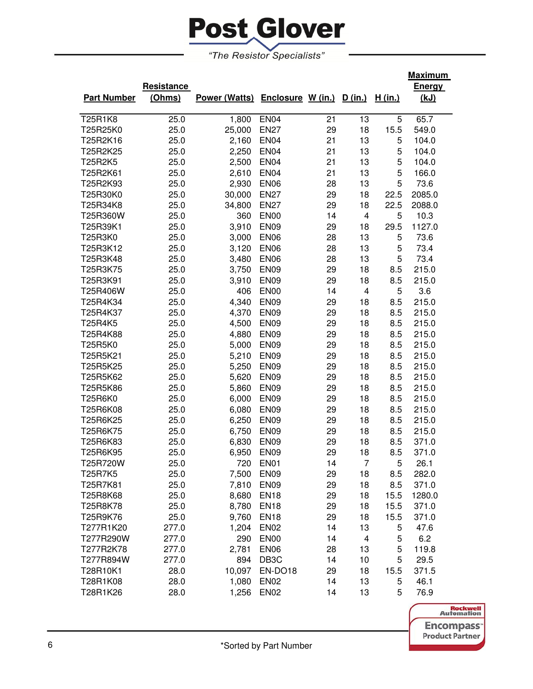

|                    |            |                                         |                   |    |                         |         | <u>Maximum</u> |
|--------------------|------------|-----------------------------------------|-------------------|----|-------------------------|---------|----------------|
|                    | Resistance |                                         |                   |    |                         |         | <b>Energy</b>  |
| <b>Part Number</b> | (Ohms)     | Power (Watts) Enclosure W (in.) D (in.) |                   |    |                         | H (in.) | <u>(kJ)</u>    |
|                    |            |                                         |                   |    |                         |         |                |
| T25R1K8            | 25.0       | 1,800                                   | <b>EN04</b>       | 21 | 13                      | 5       | 65.7           |
| T25R25K0           | 25.0       | 25,000                                  | <b>EN27</b>       | 29 | 18                      | 15.5    | 549.0          |
| T25R2K16           | 25.0       | 2,160                                   | <b>EN04</b>       | 21 | 13                      | 5       | 104.0          |
| T25R2K25           | 25.0       | 2,250                                   | <b>EN04</b>       | 21 | 13                      | 5       | 104.0          |
| T25R2K5            | 25.0       | 2,500                                   | <b>EN04</b>       | 21 | 13                      | 5       | 104.0          |
| T25R2K61           | 25.0       | 2,610                                   | <b>EN04</b>       | 21 | 13                      | 5       | 166.0          |
| T25R2K93           | 25.0       | 2,930                                   | <b>EN06</b>       | 28 | 13                      | 5       | 73.6           |
| T25R30K0           | 25.0       | 30,000                                  | <b>EN27</b>       | 29 | 18                      | 22.5    | 2085.0         |
| T25R34K8           | 25.0       | 34,800                                  | <b>EN27</b>       | 29 | 18                      | 22.5    | 2088.0         |
| T25R360W           | 25.0       | 360                                     | <b>EN00</b>       | 14 | $\overline{\mathbf{4}}$ | 5       | 10.3           |
| T25R39K1           | 25.0       | 3,910                                   | <b>EN09</b>       | 29 | 18                      | 29.5    | 1127.0         |
| T25R3K0            | 25.0       | 3,000                                   | <b>EN06</b>       | 28 | 13                      | 5       | 73.6           |
| T25R3K12           | 25.0       | 3,120                                   | <b>EN06</b>       | 28 | 13                      | 5       | 73.4           |
| T25R3K48           | 25.0       | 3,480                                   | <b>EN06</b>       | 28 | 13                      | 5       | 73.4           |
| T25R3K75           | 25.0       | 3,750                                   | <b>EN09</b>       | 29 | 18                      | 8.5     | 215.0          |
| T25R3K91           | 25.0       | 3,910                                   | <b>EN09</b>       | 29 | 18                      | 8.5     | 215.0          |
| T25R406W           | 25.0       | 406                                     | EN <sub>00</sub>  | 14 | 4                       | 5       | 3.6            |
| T25R4K34           | 25.0       | 4,340                                   | <b>EN09</b>       | 29 | 18                      | 8.5     | 215.0          |
| T25R4K37           | 25.0       | 4,370                                   | <b>EN09</b>       | 29 | 18                      | 8.5     | 215.0          |
| T25R4K5            | 25.0       | 4,500                                   | <b>EN09</b>       | 29 | 18                      | 8.5     | 215.0          |
| T25R4K88           | 25.0       | 4,880                                   | <b>EN09</b>       | 29 | 18                      | 8.5     | 215.0          |
| T25R5K0            | 25.0       | 5,000                                   | EN <sub>09</sub>  | 29 | 18                      | 8.5     | 215.0          |
| T25R5K21           | 25.0       | 5,210                                   | EN <sub>09</sub>  | 29 | 18                      | 8.5     | 215.0          |
| T25R5K25           | 25.0       | 5,250                                   | EN <sub>09</sub>  | 29 | 18                      | 8.5     | 215.0          |
| T25R5K62           | 25.0       | 5,620                                   | <b>EN09</b>       | 29 | 18                      | 8.5     | 215.0          |
| T25R5K86           | 25.0       | 5,860                                   | <b>EN09</b>       | 29 | 18                      | 8.5     | 215.0          |
| T25R6K0            | 25.0       | 6,000                                   | <b>EN09</b>       | 29 | 18                      | 8.5     | 215.0          |
| T25R6K08           | 25.0       | 6,080                                   | <b>EN09</b>       | 29 | 18                      | 8.5     | 215.0          |
| T25R6K25           | 25.0       | 6,250                                   | EN <sub>09</sub>  | 29 | 18                      | 8.5     | 215.0          |
| T25R6K75           | 25.0       | 6,750                                   | <b>EN09</b>       | 29 | 18                      | 8.5     | 215.0          |
| T25R6K83           | 25.0       | 6,830                                   | <b>EN09</b>       | 29 | 18                      | 8.5     | 371.0          |
| T25R6K95           | 25.0       | 6,950                                   | <b>EN09</b>       | 29 | 18                      | 8.5     | 371.0          |
| T25R720W           | 25.0       | 720                                     | EN01              | 14 | $\overline{7}$          | 5       | 26.1           |
| T25R7K5            | 25.0       | 7,500                                   | EN <sub>09</sub>  | 29 | 18                      | 8.5     | 282.0          |
| T25R7K81           | 25.0       | 7,810                                   | <b>EN09</b>       | 29 | 18                      | 8.5     | 371.0          |
| T25R8K68           | 25.0       | 8,680                                   | EN <sub>18</sub>  | 29 | 18                      | 15.5    | 1280.0         |
| T25R8K78           | 25.0       | 8,780                                   | <b>EN18</b>       | 29 | 18                      | 15.5    | 371.0          |
| T25R9K76           | 25.0       | 9,760                                   | <b>EN18</b>       | 29 | 18                      | 15.5    | 371.0          |
| T277R1K20          | 277.0      | 1,204                                   | <b>EN02</b>       | 14 | 13                      | 5       | 47.6           |
| T277R290W          | 277.0      | 290                                     | EN <sub>00</sub>  | 14 | 4                       | 5       | 6.2            |
| T277R2K78          | 277.0      | 2,781                                   | <b>EN06</b>       | 28 | 13                      | 5       | 119.8          |
| T277R894W          | 277.0      | 894                                     | DB <sub>3</sub> C | 14 | 10                      | 5       | 29.5           |
| T28R10K1           | 28.0       | 10,097                                  | EN-DO18           | 29 | 18                      | 15.5    | 371.5          |
| T28R1K08           | 28.0       | 1,080                                   | <b>EN02</b>       | 14 | 13                      | 5       | 46.1           |
| T28R1K26           | 28.0       | 1,256                                   | EN <sub>02</sub>  | 14 | 13                      | 5       | 76.9           |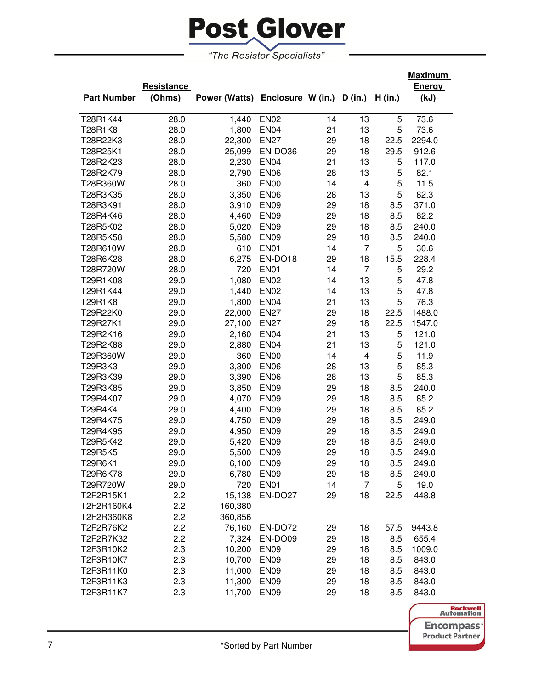

|                    |            |                                         |                  |    |                         |                | <u>Maximum</u> |
|--------------------|------------|-----------------------------------------|------------------|----|-------------------------|----------------|----------------|
|                    | Resistance |                                         |                  |    |                         |                | <b>Energy</b>  |
| <b>Part Number</b> | (Ohms)     | Power (Watts) Enclosure W (in.) D (in.) |                  |    |                         | <u>H (in.)</u> | <u>(kJ)</u>    |
|                    |            |                                         |                  |    |                         |                |                |
| T28R1K44           | 28.0       | 1,440                                   | <b>EN02</b>      | 14 | 13                      | 5              | 73.6           |
| T28R1K8            | 28.0       | 1,800                                   | <b>EN04</b>      | 21 | 13                      | 5              | 73.6           |
| T28R22K3           | 28.0       | 22,300                                  | <b>EN27</b>      | 29 | 18                      | 22.5           | 2294.0         |
| T28R25K1           | 28.0       | 25,099                                  | EN-DO36          | 29 | 18                      | 29.5           | 912.6          |
| T28R2K23           | 28.0       | 2,230                                   | <b>EN04</b>      | 21 | 13                      | 5              | 117.0          |
| T28R2K79           | 28.0       | 2,790                                   | <b>EN06</b>      | 28 | 13                      | 5              | 82.1           |
| T28R360W           | 28.0       | 360                                     | <b>EN00</b>      | 14 | $\overline{\mathbf{4}}$ | 5              | 11.5           |
| T28R3K35           | 28.0       | 3,350                                   | <b>EN06</b>      | 28 | 13                      | 5              | 82.3           |
| T28R3K91           | 28.0       | 3,910                                   | <b>EN09</b>      | 29 | 18                      | 8.5            | 371.0          |
| T28R4K46           | 28.0       | 4,460                                   | <b>EN09</b>      | 29 | 18                      | 8.5            | 82.2           |
| T28R5K02           | 28.0       | 5,020                                   | <b>EN09</b>      | 29 | 18                      | 8.5            | 240.0          |
| T28R5K58           | 28.0       | 5,580                                   | <b>EN09</b>      | 29 | 18                      | 8.5            | 240.0          |
| T28R610W           | 28.0       | 610                                     | <b>EN01</b>      | 14 | $\overline{7}$          | 5              | 30.6           |
| T28R6K28           | 28.0       | 6,275                                   | EN-DO18          | 29 | 18                      | 15.5           | 228.4          |
| T28R720W           | 28.0       | 720                                     | <b>EN01</b>      | 14 | $\overline{7}$          | 5              | 29.2           |
| T29R1K08           | 29.0       | 1,080                                   | <b>EN02</b>      | 14 | 13                      | 5              | 47.8           |
| T29R1K44           | 29.0       | 1,440                                   | <b>EN02</b>      | 14 | 13                      | 5              | 47.8           |
| T29R1K8            | 29.0       | 1,800                                   | <b>EN04</b>      | 21 | 13                      | 5              | 76.3           |
| T29R22K0           | 29.0       | 22,000                                  | <b>EN27</b>      | 29 | 18                      | 22.5           | 1488.0         |
| T29R27K1           | 29.0       | 27,100                                  | <b>EN27</b>      | 29 | 18                      | 22.5           | 1547.0         |
| T29R2K16           | 29.0       | 2,160                                   | <b>EN04</b>      | 21 | 13                      | 5              | 121.0          |
| T29R2K88           | 29.0       | 2,880                                   | <b>EN04</b>      | 21 | 13                      | 5              | 121.0          |
| T29R360W           | 29.0       | 360                                     | <b>EN00</b>      | 14 | 4                       | 5              | 11.9           |
| T29R3K3            | 29.0       | 3,300                                   | <b>EN06</b>      | 28 | 13                      | 5              | 85.3           |
| T29R3K39           | 29.0       | 3,390                                   | <b>EN06</b>      | 28 | 13                      | 5              | 85.3           |
| T29R3K85           | 29.0       | 3,850                                   | <b>EN09</b>      | 29 | 18                      | 8.5            | 240.0          |
| T29R4K07           | 29.0       | 4,070                                   | <b>EN09</b>      | 29 | 18                      | 8.5            | 85.2           |
| T29R4K4            | 29.0       | 4,400                                   | <b>EN09</b>      | 29 | 18                      | 8.5            | 85.2           |
| T29R4K75           | 29.0       | 4,750                                   | <b>EN09</b>      | 29 | 18                      | 8.5            | 249.0          |
| T29R4K95           | 29.0       | 4,950                                   | <b>EN09</b>      | 29 | 18                      | 8.5            | 249.0          |
| T29R5K42           | 29.0       | 5,420                                   | <b>EN09</b>      | 29 | 18                      | 8.5            | 249.0          |
| T29R5K5            | 29.0       | 5,500                                   | <b>EN09</b>      | 29 | 18                      | 8.5            | 249.0          |
| T29R6K1            | 29.0       | 6,100 EN09                              |                  | 29 | 18                      | 8.5            | 249.0          |
| T29R6K78           | 29.0       | 6,780                                   | EN <sub>09</sub> | 29 | 18                      | 8.5            | 249.0          |
| T29R720W           | 29.0       | 720                                     | EN01             | 14 | $\overline{7}$          | 5              | 19.0           |
| T2F2R15K1          | 2.2        | 15,138                                  | EN-DO27          | 29 | 18                      | 22.5           | 448.8          |
| T2F2R160K4         | 2.2        | 160,380                                 |                  |    |                         |                |                |
| T2F2R360K8         | 2.2        | 360,856                                 |                  |    |                         |                |                |
| T2F2R76K2          | 2.2        | 76,160                                  | EN-DO72          | 29 | 18                      | 57.5           | 9443.8         |
| T2F2R7K32          | 2.2        | 7,324                                   | EN-DO09          | 29 | 18                      | 8.5            | 655.4          |
| T2F3R10K2          | 2.3        | 10,200                                  | <b>EN09</b>      | 29 | 18                      | 8.5            | 1009.0         |
| T2F3R10K7          | 2.3        | 10,700                                  | <b>EN09</b>      | 29 | 18                      | 8.5            | 843.0          |
| T2F3R11K0          | 2.3        | 11,000                                  | <b>EN09</b>      | 29 | 18                      | 8.5            | 843.0          |
| T2F3R11K3          | 2.3        | 11,300                                  | <b>EN09</b>      | 29 | 18                      | 8.5            | 843.0          |
| T2F3R11K7          | 2.3        | 11,700                                  | <b>EN09</b>      | 29 | 18                      | 8.5            | 843.0          |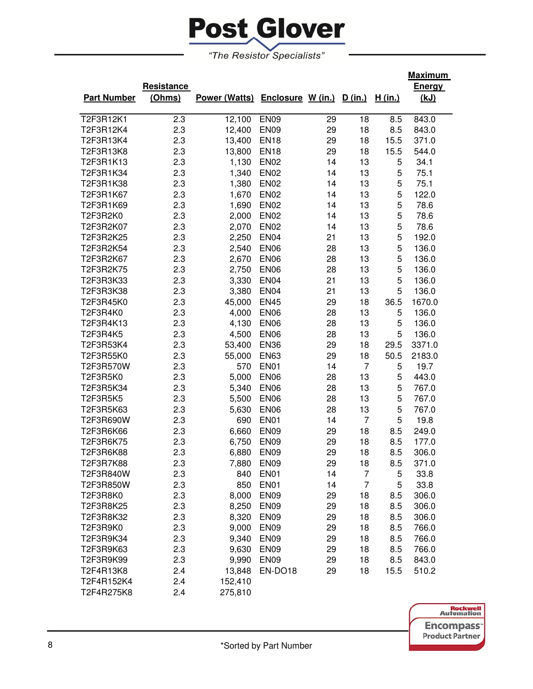

| <b>Part Number</b> | <b>Resistance</b><br>(Ohms) | Power (Watts) Enclosure W (in.) |                  |    | D (in.)        | H (in.) | <b>Maximum</b><br><b>Energy</b><br><u>(kJ)</u> |
|--------------------|-----------------------------|---------------------------------|------------------|----|----------------|---------|------------------------------------------------|
| T2F3R12K1          | 2.3                         | 12,100                          | <b>EN09</b>      | 29 | 18             | 8.5     | 843.0                                          |
| T2F3R12K4          | 2.3                         | 12,400                          | <b>EN09</b>      | 29 | 18             | 8.5     | 843.0                                          |
| T2F3R13K4          | 2.3                         | 13,400                          | <b>EN18</b>      | 29 | 18             | 15.5    | 371.0                                          |
| T2F3R13K8          | 2.3                         | 13,800                          | <b>EN18</b>      | 29 | 18             | 15.5    | 544.0                                          |
| T2F3R1K13          | 2.3                         | 1,130                           | <b>EN02</b>      | 14 | 13             | 5       | 34.1                                           |
| T2F3R1K34          | 2.3                         | 1,340                           | <b>EN02</b>      | 14 | 13             | 5       | 75.1                                           |
| T2F3R1K38          | 2.3                         | 1,380                           | <b>EN02</b>      | 14 | 13             | 5       | 75.1                                           |
| T2F3R1K67          | 2.3                         | 1,670                           | <b>EN02</b>      | 14 | 13             | 5       | 122.0                                          |
| T2F3R1K69          | 2.3                         | 1,690                           | <b>EN02</b>      | 14 | 13             | 5       | 78.6                                           |
| T2F3R2K0           | 2.3                         | 2,000                           | <b>EN02</b>      | 14 | 13             | 5       | 78.6                                           |
| T2F3R2K07          | 2.3                         | 2,070                           | <b>EN02</b>      | 14 | 13             | 5       | 78.6                                           |
| T2F3R2K25          | 2.3                         | 2,250                           | <b>EN04</b>      | 21 | 13             | 5       | 192.0                                          |
| T2F3R2K54          | 2.3                         | 2,540                           | <b>EN06</b>      | 28 | 13             | 5       | 136.0                                          |
| T2F3R2K67          | 2.3                         | 2,670                           | <b>EN06</b>      | 28 | 13             | 5       | 136.0                                          |
| T2F3R2K75          | 2.3                         | 2,750                           | <b>EN06</b>      | 28 | 13             | 5       | 136.0                                          |
| T2F3R3K33          | 2.3                         | 3,330                           | <b>EN04</b>      | 21 | 13             | 5       | 136.0                                          |
| T2F3R3K38          | 2.3                         | 3,380                           | <b>EN04</b>      | 21 | 13             | 5       | 136.0                                          |
| T2F3R45K0          | 2.3                         | 45,000                          | <b>EN45</b>      | 29 | 18             | 36.5    | 1670.0                                         |
| T2F3R4K0           | 2.3                         | 4,000                           | <b>EN06</b>      | 28 | 13             | 5       | 136.0                                          |
| T2F3R4K13          | 2.3                         | 4,130                           | <b>EN06</b>      | 28 | 13             | 5       | 136.0                                          |
| T2F3R4K5           | 2.3                         | 4,500                           | <b>EN06</b>      | 28 | 13             | 5       | 136.0                                          |
| T2F3R53K4          | 2.3                         | 53,400                          | <b>EN36</b>      | 29 | 18             | 29.5    | 3371.0                                         |
| T2F3R55K0          | 2.3                         | 55,000                          | <b>EN63</b>      | 29 | 18             | 50.5    | 2183.0                                         |
| T2F3R570W          | 2.3                         | 570                             | EN <sub>01</sub> | 14 | $\overline{7}$ | 5       | 19.7                                           |
| T2F3R5K0           | 2.3                         | 5,000                           | <b>EN06</b>      | 28 | 13             | 5       | 443.0                                          |
| T2F3R5K34          | 2.3                         | 5,340                           | <b>EN06</b>      | 28 | 13             | 5       | 767.0                                          |
| T2F3R5K5           | 2.3                         | 5,500                           | <b>EN06</b>      | 28 | 13             | 5       | 767.0                                          |
| T2F3R5K63          | 2.3                         | 5,630                           | <b>EN06</b>      | 28 | 13             | 5       | 767.0                                          |
| T2F3R690W          | 2.3                         | 690                             | EN <sub>01</sub> | 14 | $\overline{7}$ | 5       | 19.8                                           |
| T2F3R6K66          | 2.3                         | 6,660                           | EN <sub>09</sub> | 29 | 18             | 8.5     | 249.0                                          |
| T2F3R6K75          | 2.3                         | 6,750                           | <b>EN09</b>      | 29 | 18             | 8.5     | 177.0                                          |
| T2F3R6K88          | 2.3                         | 6,880                           | <b>EN09</b>      | 29 | 18             | 8.5     | 306.0                                          |
| T2F3R7K88          | 2.3                         | 7,880                           | <b>EN09</b>      | 29 | 18             | 8.5     | 371.0                                          |
| T2F3R840W          | 2.3                         | 840                             | <b>EN01</b>      | 14 | $\overline{7}$ | 5       | 33.8                                           |
| T2F3R850W          | 2.3                         | 850                             | <b>EN01</b>      | 14 | $\overline{7}$ | 5       | 33.8                                           |
| T2F3R8K0           | 2.3                         | 8,000                           | <b>EN09</b>      | 29 | 18             | 8.5     | 306.0                                          |
| T2F3R8K25          | 2.3                         | 8,250                           | <b>EN09</b>      | 29 | 18             | 8.5     | 306.0                                          |
| T2F3R8K32          | 2.3                         | 8,320                           | <b>EN09</b>      | 29 | 18             | 8.5     | 306.0                                          |
| T2F3R9K0           | 2.3                         | 9,000                           | <b>EN09</b>      | 29 | 18             | 8.5     | 766.0                                          |
| T2F3R9K34          | 2.3                         | 9,340                           | EN <sub>09</sub> | 29 | 18             | 8.5     | 766.0                                          |
| T2F3R9K63          | 2.3                         | 9,630                           | EN <sub>09</sub> | 29 | 18             | 8.5     | 766.0                                          |
| T2F3R9K99          | 2.3                         | 9,990                           | EN <sub>09</sub> | 29 | 18             | 8.5     | 843.0                                          |
| T2F4R13K8          | 2.4                         | 13,848                          | EN-DO18          | 29 | 18             | 15.5    | 510.2                                          |
| T2F4R152K4         | 2.4                         | 152,410                         |                  |    |                |         |                                                |
| T2F4R275K8         | 2.4                         | 275,810                         |                  |    |                |         |                                                |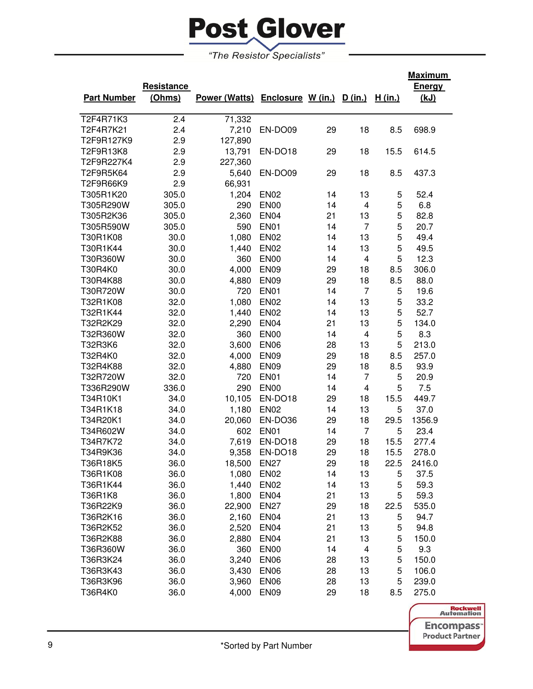# **Post Glover**

"The Resistor Specialists"

|                    |            |                      |                   |    |                         |        | <b>Maximum</b> |
|--------------------|------------|----------------------|-------------------|----|-------------------------|--------|----------------|
|                    | Resistance |                      |                   |    |                         |        | <b>Energy</b>  |
| <b>Part Number</b> | (Ohms)     | <b>Power (Watts)</b> | Enclosure W (in.) |    | <u>D (in.)</u>          | H(in.) | (kJ)           |
|                    |            |                      |                   |    |                         |        |                |
| T2F4R71K3          | 2.4        | 71,332               |                   |    |                         |        |                |
| T2F4R7K21          | 2.4        | 7,210                | EN-DO09           | 29 | 18                      | 8.5    | 698.9          |
| T2F9R127K9         | 2.9        | 127,890              |                   |    |                         |        |                |
| T2F9R13K8          | 2.9        | 13,791               | EN-DO18           | 29 | 18                      | 15.5   | 614.5          |
| T2F9R227K4         | 2.9        | 227,360              |                   |    |                         |        |                |
| T2F9R5K64          | 2.9        | 5,640                | EN-DO09           | 29 | 18                      | 8.5    | 437.3          |
| T2F9R66K9          | 2.9        | 66,931               |                   |    |                         |        |                |
| T305R1K20          | 305.0      | 1,204                | <b>EN02</b>       | 14 | 13                      | 5      | 52.4           |
| T305R290W          | 305.0      | 290                  | <b>EN00</b>       | 14 | 4                       | 5      | 6.8            |
| T305R2K36          | 305.0      | 2,360                | <b>EN04</b>       | 21 | 13                      | 5      | 82.8           |
| T305R590W          | 305.0      | 590                  | <b>EN01</b>       | 14 | $\overline{7}$          | 5      | 20.7           |
| T30R1K08           | 30.0       | 1,080                | <b>EN02</b>       | 14 | 13                      | 5      | 49.4           |
| T30R1K44           | 30.0       | 1,440                | <b>EN02</b>       | 14 | 13                      | 5      | 49.5           |
| T30R360W           | 30.0       | 360                  | <b>EN00</b>       | 14 | 4                       | 5      | 12.3           |
| T30R4K0            | 30.0       | 4,000                | <b>EN09</b>       | 29 | 18                      | 8.5    | 306.0          |
| T30R4K88           | 30.0       | 4,880                | <b>EN09</b>       | 29 | 18                      | 8.5    | 88.0           |
| T30R720W           | 30.0       | 720                  | <b>EN01</b>       | 14 | $\overline{7}$          | 5      | 19.6           |
| T32R1K08           | 32.0       | 1,080                | <b>EN02</b>       | 14 | 13                      | 5      | 33.2           |
| T32R1K44           | 32.0       | 1,440                | <b>EN02</b>       | 14 | 13                      | 5      | 52.7           |
| T32R2K29           | 32.0       | 2,290                | <b>EN04</b>       | 21 | 13                      | 5      | 134.0          |
| T32R360W           | 32.0       | 360                  | <b>EN00</b>       | 14 | 4                       | 5      | 8.3            |
| T32R3K6            | 32.0       | 3,600                | <b>EN06</b>       | 28 | 13                      | 5      | 213.0          |
| T32R4K0            | 32.0       | 4,000                | <b>EN09</b>       | 29 | 18                      | 8.5    | 257.0          |
| T32R4K88           | 32.0       | 4,880                | <b>EN09</b>       | 29 | 18                      | 8.5    | 93.9           |
| T32R720W           | 32.0       | 720                  | <b>EN01</b>       | 14 | $\overline{7}$          | 5      | 20.9           |
| T336R290W          | 336.0      | 290                  | <b>EN00</b>       | 14 | $\overline{\mathbf{4}}$ | 5      | 7.5            |
| T34R10K1           | 34.0       | 10,105               | EN-DO18           | 29 | 18                      | 15.5   | 449.7          |
| T34R1K18           | 34.0       | 1,180                | <b>EN02</b>       | 14 | 13                      | 5      | 37.0           |
| T34R20K1           | 34.0       | 20,060               | EN-DO36           | 29 | 18                      | 29.5   | 1356.9         |
| T34R602W           | 34.0       | 602                  | <b>EN01</b>       | 14 | $\overline{7}$          | 5      | 23.4           |
| T34R7K72           | 34.0       | 7,619                | EN-DO18           | 29 | 18                      | 15.5   | 277.4          |
| T34R9K36           | 34.0       | 9,358                | EN-DO18           | 29 | 18                      | 15.5   | 278.0          |
| T36R18K5           | 36.0       | 18,500               | <b>EN27</b>       | 29 | 18                      | 22.5   | 2416.0         |
| T36R1K08           | 36.0       | 1,080                | <b>EN02</b>       | 14 | 13                      | 5      | 37.5           |
| T36R1K44           | 36.0       | 1,440                | <b>EN02</b>       | 14 | 13                      | 5      | 59.3           |
| T36R1K8            | 36.0       | 1,800                | <b>EN04</b>       | 21 | 13                      | 5      | 59.3           |
| T36R22K9           | 36.0       | 22,900               | <b>EN27</b>       | 29 | 18                      | 22.5   | 535.0          |
| T36R2K16           | 36.0       | 2,160                | <b>EN04</b>       | 21 | 13                      | 5      | 94.7           |
| T36R2K52           | 36.0       | 2,520                | <b>EN04</b>       | 21 | 13                      | 5      | 94.8           |
| T36R2K88           | 36.0       | 2,880                | <b>EN04</b>       | 21 | 13                      | 5      | 150.0          |
| T36R360W           | 36.0       | 360                  | <b>EN00</b>       | 14 | 4                       | 5      | 9.3            |
| T36R3K24           | 36.0       | 3,240                | <b>EN06</b>       | 28 | 13                      | 5      | 150.0          |
| T36R3K43           | 36.0       | 3,430                | <b>EN06</b>       | 28 | 13                      | 5      | 106.0          |
| T36R3K96           | 36.0       | 3,960                | <b>EN06</b>       | 28 | 13                      | 5      | 239.0          |
| T36R4K0            | 36.0       | 4,000                | <b>EN09</b>       | 29 | 18                      | 8.5    | 275.0          |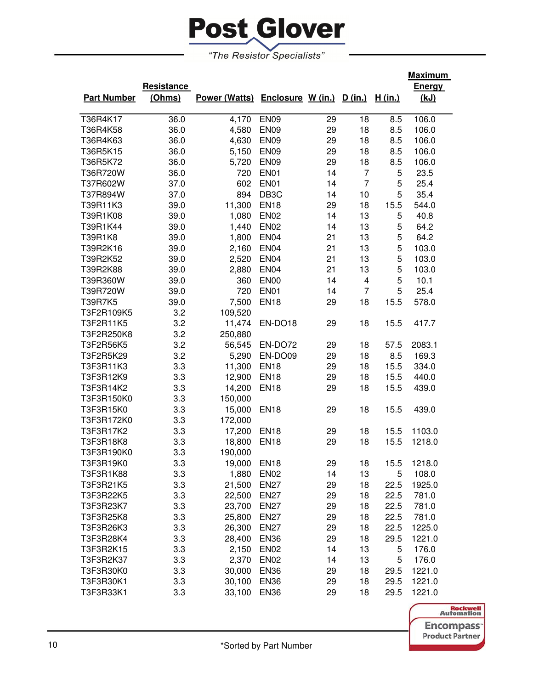

|                                                                                           | <u>Maximum</u> |
|-------------------------------------------------------------------------------------------|----------------|
| Resistance                                                                                | <b>Energy</b>  |
| Power (Watts) Enclosure W (in.) D (in.)<br><b>Part Number</b><br>(Ohms)<br><u>H (in.)</u> | (kJ)           |
|                                                                                           |                |
| <b>EN09</b><br>T36R4K17<br>36.0<br>4,170<br>18<br>29<br>8.5                               | 106.0          |
| 36.0<br>4,580<br><b>EN09</b><br>29<br>18<br>T36R4K58<br>8.5                               | 106.0          |
| T36R4K63<br>36.0<br><b>EN09</b><br>18<br>4,630<br>29<br>8.5                               | 106.0          |
| T36R5K15<br>36.0<br><b>EN09</b><br>29<br>18<br>5,150<br>8.5                               | 106.0          |
| T36R5K72<br>36.0<br><b>EN09</b><br>29<br>18<br>5,720<br>8.5                               | 106.0          |
| T36R720W<br>36.0<br><b>EN01</b><br>14<br>720<br>7<br>5                                    | 23.5           |
| 602<br><b>EN01</b><br>14<br>$\overline{7}$<br>5<br>T37R602W<br>37.0                       | 25.4           |
| 37.0<br>894<br>DB <sub>3</sub> C<br>10<br>5<br>T37R894W<br>14                             | 35.4           |
| 39.0<br>11,300<br><b>EN18</b><br>29<br>18<br>15.5<br>T39R11K3                             | 544.0          |
| T39R1K08<br>39.0<br><b>EN02</b><br>13<br>1,080<br>14<br>5                                 | 40.8           |
| T39R1K44<br>39.0<br>1,440<br><b>EN02</b><br>13<br>14<br>5                                 | 64.2           |
| 39.0<br>1,800<br><b>EN04</b><br>21<br>13<br>5<br>T39R1K8                                  | 64.2           |
| 5<br>39.0<br>2,160<br>EN <sub>04</sub><br>21<br>13<br>T39R2K16                            | 103.0          |
| 5<br>39.0<br>2,520<br>EN <sub>04</sub><br>21<br>13<br>T39R2K52                            | 103.0          |
| 5<br>39.0<br>2,880<br>EN <sub>04</sub><br>21<br>13<br>T39R2K88                            | 103.0          |
| 5<br>39.0<br><b>EN00</b><br>14<br>T39R360W<br>360<br>4                                    | 10.1           |
| 5<br>39.0<br>720<br><b>EN01</b><br>14<br>$\overline{7}$<br>T39R720W                       | 25.4           |
| 39.0<br>7,500<br><b>EN18</b><br>29<br>18<br>T39R7K5<br>15.5                               | 578.0          |
| T3F2R109K5<br>3.2<br>109,520                                                              |                |
| 3.2<br>11,474<br>EN-DO18<br>18<br>T3F2R11K5<br>29<br>15.5                                 | 417.7          |
| T3F2R250K8<br>3.2<br>250,880                                                              |                |
| T3F2R56K5<br>3.2<br>EN-DO72<br>56,545<br>29<br>18<br>57.5                                 | 2083.1         |
| T3F2R5K29<br>3.2<br>EN-DO09<br>18<br>5,290<br>29<br>8.5                                   | 169.3          |
| T3F3R11K3<br>3.3<br>11,300<br><b>EN18</b><br>18<br>29<br>15.5                             | 334.0          |
| T3F3R12K9<br>3.3<br><b>EN18</b><br>18<br>12,900<br>29<br>15.5                             | 440.0          |
| T3F3R14K2<br>3.3<br>14,200<br><b>EN18</b><br>29<br>18<br>15.5                             | 439.0          |
| T3F3R150K0<br>3.3<br>150,000                                                              |                |
| T3F3R15K0<br>3.3<br><b>EN18</b><br>29<br>18<br>15,000<br>15.5                             | 439.0          |
| T3F3R172K0<br>3.3<br>172,000                                                              |                |
| T3F3R17K2<br>3.3<br><b>EN18</b><br>29<br>18<br>17,200<br>15.5                             | 1103.0         |
| T3F3R18K8<br>3.3<br><b>EN18</b><br>18<br>18,800<br>29<br>15.5                             | 1218.0         |
| T3F3R190K0<br>3.3<br>190,000                                                              |                |
| 3.3<br><b>EN18</b><br>18<br>T3F3R19K0<br>19,000<br>29<br>15.5                             | 1218.0         |
| T3F3R1K88<br>3.3<br>1,880<br>EN <sub>02</sub><br>14<br>13<br>5                            | 108.0          |
| 3.3<br>21,500<br>T3F3R21K5<br><b>EN27</b><br>29<br>18<br>22.5                             | 1925.0         |
| 18<br>T3F3R22K5<br>3.3<br>22,500<br><b>EN27</b><br>29<br>22.5                             | 781.0          |
| T3F3R23K7<br>3.3<br>23,700<br><b>EN27</b><br>29<br>18<br>22.5                             | 781.0          |
| 18<br>T3F3R25K8<br>3.3<br>25,800<br><b>EN27</b><br>29<br>22.5                             | 781.0          |
| 18<br>T3F3R26K3<br>3.3<br>26,300<br><b>EN27</b><br>29<br>22.5                             | 1225.0         |
| 18<br>T3F3R28K4<br>3.3<br>28,400<br><b>EN36</b><br>29<br>29.5                             | 1221.0         |
| 13<br>T3F3R2K15<br>3.3<br>2,150<br><b>EN02</b><br>14<br>5                                 | 176.0          |
| 13<br>T3F3R2K37<br>3.3<br>2,370<br><b>EN02</b><br>14<br>5                                 | 176.0          |
| 29<br>T3F3R30K0<br>3.3<br>30,000<br><b>EN36</b><br>18<br>29.5                             | 1221.0         |
| T3F3R30K1<br>30,100<br>18<br>3.3<br><b>EN36</b><br>29<br>29.5                             | 1221.0         |
| T3F3R33K1<br>3.3<br>33,100<br><b>EN36</b><br>29<br>18<br>29.5                             | 1221.0         |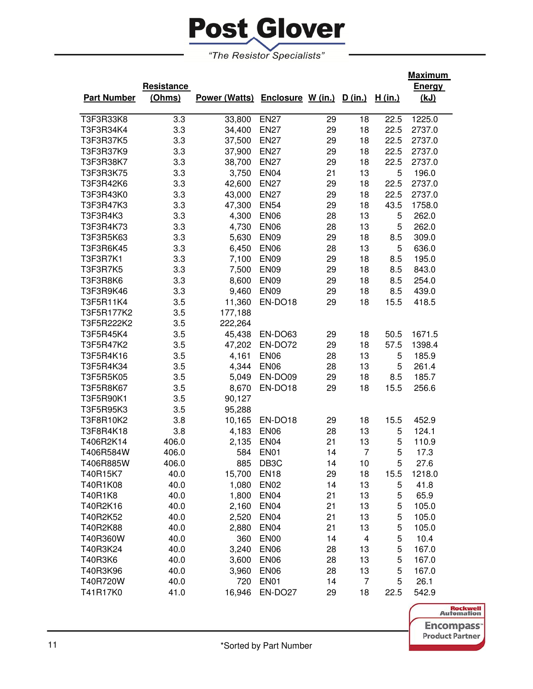

|                    |            |                                         |                   |    |                |                | <u>Maximum</u> |
|--------------------|------------|-----------------------------------------|-------------------|----|----------------|----------------|----------------|
|                    | Resistance |                                         |                   |    |                |                | <b>Energy</b>  |
| <b>Part Number</b> | (Ohms)     | Power (Watts) Enclosure W (in.) D (in.) |                   |    |                | <u>H (in.)</u> | <u>(kJ)</u>    |
|                    |            |                                         |                   |    |                |                |                |
| T3F3R33K8          | 3.3        | 33,800                                  | <b>EN27</b>       | 29 | 18             | 22.5           | 1225.0         |
| T3F3R34K4          | 3.3        | 34,400                                  | <b>EN27</b>       | 29 | 18             | 22.5           | 2737.0         |
| T3F3R37K5          | 3.3        | 37,500                                  | <b>EN27</b>       | 29 | 18             | 22.5           | 2737.0         |
| T3F3R37K9          | 3.3        | 37,900                                  | <b>EN27</b>       | 29 | 18             | 22.5           | 2737.0         |
| T3F3R38K7          | 3.3        | 38,700                                  | <b>EN27</b>       | 29 | 18             | 22.5           | 2737.0         |
| T3F3R3K75          | 3.3        | 3,750                                   | <b>EN04</b>       | 21 | 13             | 5              | 196.0          |
| T3F3R42K6          | 3.3        | 42,600                                  | <b>EN27</b>       | 29 | 18             | 22.5           | 2737.0         |
| T3F3R43K0          | 3.3        | 43,000                                  | <b>EN27</b>       | 29 | 18             | 22.5           | 2737.0         |
| T3F3R47K3          | 3.3        | 47,300                                  | <b>EN54</b>       | 29 | 18             | 43.5           | 1758.0         |
| T3F3R4K3           | 3.3        | 4,300                                   | <b>EN06</b>       | 28 | 13             | 5              | 262.0          |
| T3F3R4K73          | 3.3        | 4,730                                   | <b>EN06</b>       | 28 | 13             | 5              | 262.0          |
| T3F3R5K63          | 3.3        | 5,630                                   | <b>EN09</b>       | 29 | 18             | 8.5            | 309.0          |
| T3F3R6K45          | 3.3        | 6,450                                   | <b>EN06</b>       | 28 | 13             | 5              | 636.0          |
| T3F3R7K1           | 3.3        | 7,100                                   | <b>EN09</b>       | 29 | 18             | 8.5            | 195.0          |
| T3F3R7K5           | 3.3        | 7,500                                   | <b>EN09</b>       | 29 | 18             | 8.5            | 843.0          |
| T3F3R8K6           | 3.3        | 8,600                                   | <b>EN09</b>       | 29 | 18             | 8.5            | 254.0          |
| T3F3R9K46          | 3.3        | 9,460                                   | <b>EN09</b>       | 29 | 18             | 8.5            | 439.0          |
| T3F5R11K4          | 3.5        | 11,360                                  | EN-DO18           | 29 | 18             | 15.5           | 418.5          |
| T3F5R177K2         | 3.5        | 177,188                                 |                   |    |                |                |                |
| T3F5R222K2         | 3.5        | 222,264                                 |                   |    |                |                |                |
| T3F5R45K4          | 3.5        | 45,438                                  | EN-DO63           | 29 | 18             | 50.5           | 1671.5         |
| T3F5R47K2          | 3.5        | 47,202                                  | EN-DO72           | 29 | 18             | 57.5           | 1398.4         |
| T3F5R4K16          | 3.5        | 4,161                                   | <b>EN06</b>       | 28 | 13             | 5              | 185.9          |
| T3F5R4K34          | 3.5        | 4,344                                   | <b>EN06</b>       | 28 | 13             | 5              | 261.4          |
| T3F5R5K05          | 3.5        | 5,049                                   | EN-DO09           | 29 | 18             | 8.5            | 185.7          |
| T3F5R8K67          | 3.5        | 8,670                                   | EN-DO18           | 29 | 18             | 15.5           | 256.6          |
| T3F5R90K1          | 3.5        | 90,127                                  |                   |    |                |                |                |
| T3F5R95K3          | 3.5        | 95,288                                  |                   |    |                |                |                |
| T3F8R10K2          | 3.8        | 10,165                                  | EN-DO18           | 29 | 18             | 15.5           | 452.9          |
| T3F8R4K18          | 3.8        | 4,183                                   | <b>EN06</b>       | 28 | 13             | 5              | 124.1          |
| T406R2K14          | 406.0      | 2,135                                   | EN <sub>04</sub>  | 21 | 13             | 5              | 110.9          |
| T406R584W          | 406.0      | 584                                     | EN01              | 14 | $\overline{7}$ | 5              | 17.3           |
| T406R885W          | 406.0      | 885                                     | DB <sub>3</sub> C | 14 | 10             | 5              | 27.6           |
| T40R15K7           | 40.0       | 15,700                                  | <b>EN18</b>       | 29 | 18             | 15.5           | 1218.0         |
| T40R1K08           | 40.0       | 1,080                                   | <b>EN02</b>       | 14 | 13             | 5              | 41.8           |
| T40R1K8            | 40.0       | 1,800                                   | EN <sub>04</sub>  | 21 | 13             | 5              | 65.9           |
| T40R2K16           | 40.0       | 2,160                                   | EN <sub>04</sub>  | 21 | 13             | 5              | 105.0          |
| T40R2K52           | 40.0       | 2,520                                   | EN <sub>04</sub>  | 21 | 13             | 5              | 105.0          |
| T40R2K88           | 40.0       | 2,880                                   | <b>EN04</b>       | 21 | 13             | 5              | 105.0          |
| T40R360W           | 40.0       | 360                                     | EN <sub>00</sub>  | 14 | 4              | 5              | 10.4           |
| T40R3K24           | 40.0       | 3,240                                   | <b>EN06</b>       | 28 | 13             | 5              | 167.0          |
| T40R3K6            | 40.0       | 3,600                                   | <b>EN06</b>       | 28 | 13             | 5              | 167.0          |
| T40R3K96           | 40.0       | 3,960                                   | <b>EN06</b>       | 28 | 13             | 5              | 167.0          |
| T40R720W           | 40.0       | 720                                     | <b>EN01</b>       | 14 | $\overline{7}$ | 5              | 26.1           |
| T41R17K0           | 41.0       | 16,946                                  | EN-DO27           | 29 | 18             | 22.5           | 542.9          |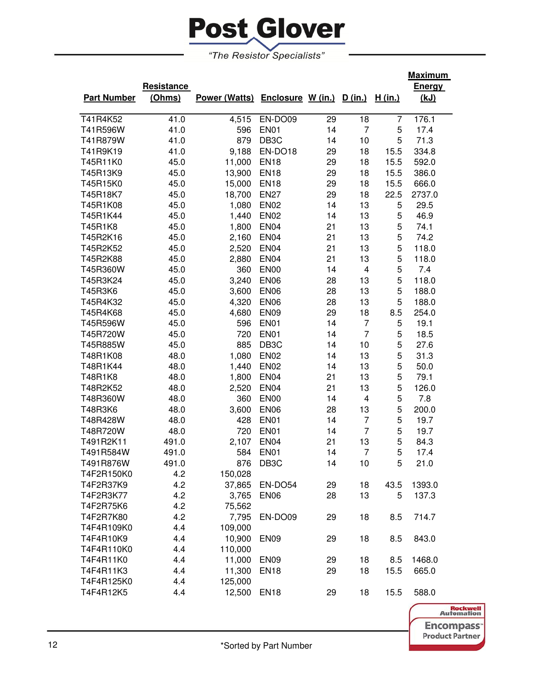

|                    |            |                                         |                   |    |                         |         | <u>Maximum</u> |
|--------------------|------------|-----------------------------------------|-------------------|----|-------------------------|---------|----------------|
|                    | Resistance |                                         |                   |    |                         |         | <b>Energy</b>  |
| <b>Part Number</b> | (Ohms)     | Power (Watts) Enclosure W (in.) D (in.) |                   |    |                         | H (in.) | (kJ)           |
|                    |            |                                         |                   |    |                         |         |                |
| T41R4K52           | 41.0       | 4,515                                   | EN-DO09           | 29 | 18                      | 7       | 176.1          |
| T41R596W           | 41.0       | 596                                     | <b>EN01</b>       | 14 | $\overline{7}$          | 5       | 17.4           |
| T41R879W           | 41.0       | 879                                     | DB <sub>3</sub> C | 14 | 10                      | 5       | 71.3           |
| T41R9K19           | 41.0       | 9,188                                   | EN-DO18           | 29 | 18                      | 15.5    | 334.8          |
| T45R11K0           | 45.0       | 11,000                                  | <b>EN18</b>       | 29 | 18                      | 15.5    | 592.0          |
| T45R13K9           | 45.0       | 13,900                                  | <b>EN18</b>       | 29 | 18                      | 15.5    | 386.0          |
| T45R15K0           | 45.0       | 15,000                                  | <b>EN18</b>       | 29 | 18                      | 15.5    | 666.0          |
| T45R18K7           | 45.0       | 18,700                                  | <b>EN27</b>       | 29 | 18                      | 22.5    | 2737.0         |
| T45R1K08           | 45.0       | 1,080                                   | <b>EN02</b>       | 14 | 13                      | 5       | 29.5           |
| T45R1K44           | 45.0       | 1,440                                   | <b>EN02</b>       | 14 | 13                      | 5       | 46.9           |
| T45R1K8            | 45.0       | 1,800                                   | <b>EN04</b>       | 21 | 13                      | 5       | 74.1           |
| T45R2K16           | 45.0       | 2,160                                   | EN <sub>04</sub>  | 21 | 13                      | 5       | 74.2           |
| T45R2K52           | 45.0       | 2,520                                   | <b>EN04</b>       | 21 | 13                      | 5       | 118.0          |
| T45R2K88           | 45.0       | 2,880                                   | <b>EN04</b>       | 21 | 13                      | 5       | 118.0          |
| T45R360W           | 45.0       | 360                                     | <b>EN00</b>       | 14 | $\overline{\mathbf{4}}$ | 5       | 7.4            |
| T45R3K24           | 45.0       | 3,240                                   | <b>EN06</b>       | 28 | 13                      | 5       | 118.0          |
| T45R3K6            | 45.0       | 3,600                                   | <b>EN06</b>       | 28 | 13                      | 5       | 188.0          |
| T45R4K32           | 45.0       | 4,320                                   | <b>EN06</b>       | 28 | 13                      | 5       | 188.0          |
| T45R4K68           | 45.0       | 4,680                                   | <b>EN09</b>       | 29 | 18                      | 8.5     | 254.0          |
| T45R596W           | 45.0       | 596                                     | <b>EN01</b>       | 14 | 7                       | 5       | 19.1           |
| T45R720W           | 45.0       | 720                                     | <b>EN01</b>       | 14 | $\overline{7}$          | 5       | 18.5           |
| T45R885W           | 45.0       | 885                                     | DB <sub>3</sub> C | 14 | 10                      | 5       | 27.6           |
| T48R1K08           | 48.0       | 1,080                                   | <b>EN02</b>       | 14 | 13                      | 5       | 31.3           |
| T48R1K44           | 48.0       | 1,440                                   | <b>EN02</b>       | 14 | 13                      | 5       | 50.0           |
| T48R1K8            | 48.0       | 1,800                                   | <b>EN04</b>       | 21 | 13                      | 5       | 79.1           |
| T48R2K52           | 48.0       | 2,520                                   | EN <sub>04</sub>  | 21 | 13                      | 5       | 126.0          |
| T48R360W           | 48.0       | 360                                     | <b>EN00</b>       | 14 | 4                       | 5       | 7.8            |
| T48R3K6            | 48.0       | 3,600                                   | <b>EN06</b>       | 28 | 13                      | 5       | 200.0          |
| T48R428W           | 48.0       | 428                                     | <b>EN01</b>       | 14 | 7                       | 5       | 19.7           |
| T48R720W           | 48.0       | 720                                     | EN01              | 14 | $\overline{7}$          | 5       | 19.7           |
| T491R2K11          | 491.0      | 2,107                                   | EN <sub>04</sub>  | 21 | 13                      | 5       | 84.3           |
| T491R584W          | 491.0      | 584                                     | <b>EN01</b>       | 14 | $\overline{7}$          | 5       | 17.4           |
| T491R876W          | 491.0      | 876                                     | DB <sub>3</sub> C | 14 | 10                      | 5       | 21.0           |
| T4F2R150K0         | 4.2        | 150,028                                 |                   |    |                         |         |                |
| T4F2R37K9          | 4.2        | 37,865                                  | EN-DO54           | 29 | 18                      | 43.5    | 1393.0         |
| T4F2R3K77          | 4.2        | 3,765                                   | EN <sub>06</sub>  | 28 | 13                      | 5       | 137.3          |
| T4F2R75K6          | 4.2        | 75,562                                  |                   |    |                         |         |                |
| T4F2R7K80          | 4.2        | 7,795                                   | EN-DO09           | 29 | 18                      | 8.5     | 714.7          |
| T4F4R109K0         | 4.4        | 109,000                                 |                   |    |                         |         |                |
| T4F4R10K9          | 4.4        | 10,900                                  | EN <sub>09</sub>  | 29 | 18                      | 8.5     | 843.0          |
| T4F4R110K0         | 4.4        | 110,000                                 |                   |    |                         |         |                |
| T4F4R11K0          | 4.4        | 11,000                                  | <b>EN09</b>       | 29 | 18                      | 8.5     | 1468.0         |
| T4F4R11K3          | 4.4        | 11,300                                  | <b>EN18</b>       | 29 | 18                      | 15.5    | 665.0          |
| T4F4R125K0         | 4.4        | 125,000                                 |                   |    |                         |         |                |
| T4F4R12K5          | 4.4        | 12,500                                  | <b>EN18</b>       | 29 | 18                      | 15.5    | 588.0          |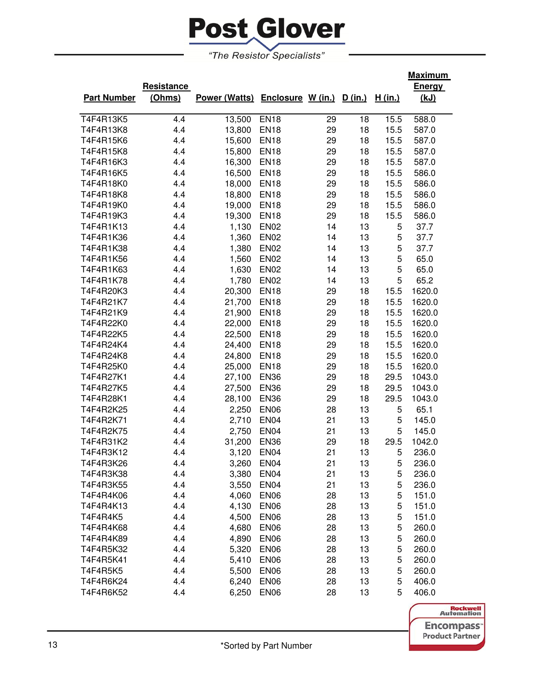

|                    |            |                                         |                  |    |    |         | <u>Maximum</u> |
|--------------------|------------|-----------------------------------------|------------------|----|----|---------|----------------|
|                    | Resistance |                                         |                  |    |    |         | <b>Energy</b>  |
| <b>Part Number</b> | (Ohms)     | Power (Watts) Enclosure W (in.) D (in.) |                  |    |    | H (in.) | (kJ)           |
|                    |            |                                         |                  |    |    |         |                |
| T4F4R13K5          | 4.4        | 13,500                                  | <b>EN18</b>      | 29 | 18 | 15.5    | 588.0          |
| T4F4R13K8          | 4.4        | 13,800                                  | <b>EN18</b>      | 29 | 18 | 15.5    | 587.0          |
| T4F4R15K6          | 4.4        | 15,600                                  | <b>EN18</b>      | 29 | 18 | 15.5    | 587.0          |
| T4F4R15K8          | 4.4        | 15,800                                  | <b>EN18</b>      | 29 | 18 | 15.5    | 587.0          |
| T4F4R16K3          | 4.4        | 16,300                                  | <b>EN18</b>      | 29 | 18 | 15.5    | 587.0          |
| T4F4R16K5          | 4.4        | 16,500                                  | <b>EN18</b>      | 29 | 18 | 15.5    | 586.0          |
| T4F4R18K0          | 4.4        | 18,000                                  | <b>EN18</b>      | 29 | 18 | 15.5    | 586.0          |
| T4F4R18K8          | 4.4        | 18,800                                  | <b>EN18</b>      | 29 | 18 | 15.5    | 586.0          |
| T4F4R19K0          | 4.4        | 19,000                                  | <b>EN18</b>      | 29 | 18 | 15.5    | 586.0          |
| T4F4R19K3          | 4.4        | 19,300                                  | <b>EN18</b>      | 29 | 18 | 15.5    | 586.0          |
| T4F4R1K13          | 4.4        | 1,130                                   | <b>EN02</b>      | 14 | 13 | 5       | 37.7           |
| T4F4R1K36          | 4.4        | 1,360                                   | <b>EN02</b>      | 14 | 13 | 5       | 37.7           |
| T4F4R1K38          | 4.4        | 1,380                                   | <b>EN02</b>      | 14 | 13 | 5       | 37.7           |
| T4F4R1K56          | 4.4        | 1,560                                   | <b>EN02</b>      | 14 | 13 | 5       | 65.0           |
| T4F4R1K63          | 4.4        | 1,630                                   | <b>EN02</b>      | 14 | 13 | 5       | 65.0           |
| T4F4R1K78          | 4.4        | 1,780                                   | <b>EN02</b>      | 14 | 13 | 5       | 65.2           |
| T4F4R20K3          | 4.4        | 20,300                                  | <b>EN18</b>      | 29 | 18 | 15.5    | 1620.0         |
| T4F4R21K7          | 4.4        | 21,700                                  | <b>EN18</b>      | 29 | 18 | 15.5    | 1620.0         |
| T4F4R21K9          | 4.4        | 21,900                                  | <b>EN18</b>      | 29 | 18 | 15.5    | 1620.0         |
| T4F4R22K0          | 4.4        | 22,000                                  | <b>EN18</b>      | 29 | 18 | 15.5    | 1620.0         |
| T4F4R22K5          | 4.4        | 22,500                                  | <b>EN18</b>      | 29 | 18 | 15.5    | 1620.0         |
| T4F4R24K4          | 4.4        | 24,400                                  | <b>EN18</b>      | 29 | 18 | 15.5    | 1620.0         |
| T4F4R24K8          | 4.4        | 24,800                                  | <b>EN18</b>      | 29 | 18 | 15.5    | 1620.0         |
| T4F4R25K0          | 4.4        | 25,000                                  | <b>EN18</b>      | 29 | 18 | 15.5    | 1620.0         |
| T4F4R27K1          | 4.4        | 27,100                                  | <b>EN36</b>      | 29 | 18 | 29.5    | 1043.0         |
| T4F4R27K5          | 4.4        | 27,500                                  | <b>EN36</b>      | 29 | 18 | 29.5    | 1043.0         |
| T4F4R28K1          | 4.4        | 28,100                                  | <b>EN36</b>      | 29 | 18 | 29.5    | 1043.0         |
| T4F4R2K25          | 4.4        | 2,250                                   | <b>EN06</b>      | 28 | 13 | 5       | 65.1           |
| T4F4R2K71          | 4.4        | 2,710                                   | <b>EN04</b>      | 21 | 13 | 5       | 145.0          |
| T4F4R2K75          | 4.4        | 2,750                                   | EN <sub>04</sub> | 21 | 13 | 5       | 145.0          |
| T4F4R31K2          | 4.4        | 31,200                                  | <b>EN36</b>      | 29 | 18 | 29.5    | 1042.0         |
| T4F4R3K12          | 4.4        | 3,120                                   | EN <sub>04</sub> | 21 | 13 | 5       | 236.0          |
| T4F4R3K26          | 4.4        | 3,260                                   | EN <sub>04</sub> | 21 | 13 | 5       | 236.0          |
| T4F4R3K38          | 4.4        | 3,380                                   | EN <sub>04</sub> | 21 | 13 | 5       | 236.0          |
| T4F4R3K55          | 4.4        | 3,550                                   | EN <sub>04</sub> | 21 | 13 | 5       | 236.0          |
| T4F4R4K06          | 4.4        | 4,060                                   | EN <sub>06</sub> | 28 | 13 | 5       | 151.0          |
| T4F4R4K13          | 4.4        | 4,130                                   | EN <sub>06</sub> | 28 | 13 | 5       | 151.0          |
| T4F4R4K5           | 4.4        | 4,500                                   | EN <sub>06</sub> | 28 | 13 | 5       | 151.0          |
| T4F4R4K68          | 4.4        | 4,680                                   | EN <sub>06</sub> | 28 | 13 | 5       | 260.0          |
| T4F4R4K89          | 4.4        | 4,890                                   | <b>EN06</b>      | 28 | 13 | 5       | 260.0          |
| T4F4R5K32          | 4.4        | 5,320                                   | <b>EN06</b>      | 28 | 13 | 5       | 260.0          |
| T4F4R5K41          | 4.4        | 5,410                                   | <b>EN06</b>      | 28 | 13 | 5       | 260.0          |
| T4F4R5K5           | 4.4        | 5,500                                   | <b>EN06</b>      | 28 | 13 | 5       | 260.0          |
| T4F4R6K24          | 4.4        | 6,240                                   | <b>EN06</b>      | 28 | 13 | 5       | 406.0          |
| T4F4R6K52          | 4.4        | 6,250                                   | <b>EN06</b>      | 28 | 13 | 5       | 406.0          |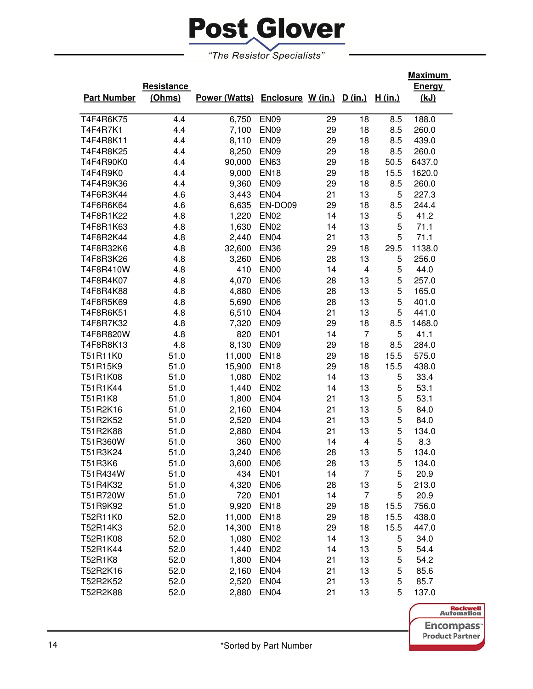

|                    |                   |                                         |                  |    |                         |         | <b>Maximum</b> |
|--------------------|-------------------|-----------------------------------------|------------------|----|-------------------------|---------|----------------|
|                    | <b>Resistance</b> |                                         |                  |    |                         |         | <b>Energy</b>  |
| <b>Part Number</b> | (Ohms)            | Power (Watts) Enclosure W (in.) D (in.) |                  |    |                         | H (in.) | (kJ)           |
| T4F4R6K75          | 4.4               | 6,750                                   | <b>EN09</b>      | 29 | 18                      | 8.5     | 188.0          |
| T4F4R7K1           | 4.4               | 7,100                                   | <b>EN09</b>      | 29 | 18                      | 8.5     | 260.0          |
| T4F4R8K11          | 4.4               | 8,110                                   | <b>EN09</b>      | 29 | 18                      | 8.5     | 439.0          |
| T4F4R8K25          | 4.4               | 8,250                                   | <b>EN09</b>      | 29 | 18                      | 8.5     | 260.0          |
| T4F4R90K0          | 4.4               | 90,000                                  | <b>EN63</b>      | 29 | 18                      | 50.5    | 6437.0         |
| T4F4R9K0           | 4.4               | 9,000                                   | <b>EN18</b>      | 29 | 18                      | 15.5    | 1620.0         |
| T4F4R9K36          | 4.4               | 9,360                                   | <b>EN09</b>      | 29 | 18                      | 8.5     | 260.0          |
| T4F6R3K44          | 4.6               | 3,443                                   | <b>EN04</b>      | 21 | 13                      | 5       | 227.3          |
| T4F6R6K64          | 4.6               | 6,635                                   | EN-DO09          | 29 | 18                      | 8.5     | 244.4          |
| T4F8R1K22          | 4.8               | 1,220                                   | <b>EN02</b>      | 14 | 13                      | 5       | 41.2           |
| T4F8R1K63          | 4.8               | 1,630                                   | <b>EN02</b>      | 14 | 13                      | 5       | 71.1           |
| T4F8R2K44          | 4.8               | 2,440                                   | <b>EN04</b>      | 21 | 13                      | 5       | 71.1           |
| T4F8R32K6          | 4.8               | 32,600                                  | <b>EN36</b>      | 29 | 18                      | 29.5    | 1138.0         |
| T4F8R3K26          | 4.8               | 3,260                                   | <b>EN06</b>      | 28 | 13                      | 5       | 256.0          |
| T4F8R410W          | 4.8               | 410                                     | <b>EN00</b>      | 14 | $\overline{\mathbf{4}}$ | 5       | 44.0           |
| T4F8R4K07          | 4.8               | 4,070                                   | <b>EN06</b>      | 28 | 13                      | 5       | 257.0          |
| T4F8R4K88          | 4.8               | 4,880                                   | <b>EN06</b>      | 28 | 13                      | 5       | 165.0          |
| T4F8R5K69          | 4.8               | 5,690                                   | <b>EN06</b>      | 28 | 13                      | 5       | 401.0          |
| T4F8R6K51          | 4.8               | 6,510                                   | <b>EN04</b>      | 21 | 13                      | 5       | 441.0          |
| T4F8R7K32          | 4.8               | 7,320                                   | <b>EN09</b>      | 29 | 18                      | 8.5     | 1468.0         |
| T4F8R820W          | 4.8               | 820                                     | <b>EN01</b>      | 14 | $\overline{7}$          | 5       | 41.1           |
| T4F8R8K13          | 4.8               | 8,130                                   | <b>EN09</b>      | 29 | 18                      | 8.5     | 284.0          |
| T51R11K0           | 51.0              | 11,000                                  | <b>EN18</b>      | 29 | 18                      | 15.5    | 575.0          |
| T51R15K9           | 51.0              | 15,900                                  | <b>EN18</b>      | 29 | 18                      | 15.5    | 438.0          |
| T51R1K08           | 51.0              | 1,080                                   | <b>EN02</b>      | 14 | 13                      | 5       | 33.4           |
| T51R1K44           | 51.0              | 1,440                                   | <b>EN02</b>      | 14 | 13                      | 5       | 53.1           |
| T51R1K8            | 51.0              | 1,800                                   | <b>EN04</b>      | 21 | 13                      | 5       | 53.1           |
| T51R2K16           | 51.0              | 2,160                                   | <b>EN04</b>      | 21 | 13                      | 5       | 84.0           |
| T51R2K52           | 51.0              | 2,520                                   | <b>EN04</b>      | 21 | 13                      | 5       | 84.0           |
| T51R2K88           | 51.0              | 2,880                                   | <b>EN04</b>      | 21 | 13                      | 5       | 134.0          |
| T51R360W           | 51.0              | 360                                     | <b>EN00</b>      | 14 | $\overline{\mathbf{4}}$ | 5       | 8.3            |
| T51R3K24           | 51.0              | 3,240                                   | <b>EN06</b>      | 28 | 13                      | 5       | 134.0          |
| T51R3K6            | 51.0              | 3,600                                   | EN <sub>06</sub> | 28 | 13                      | 5       | 134.0          |
| T51R434W           | 51.0              | 434                                     | <b>EN01</b>      | 14 | $\overline{7}$          | 5       | 20.9           |
| T51R4K32           | 51.0              | 4,320                                   | <b>EN06</b>      | 28 | 13                      | 5       | 213.0          |
| T51R720W           | 51.0              | 720                                     | <b>EN01</b>      | 14 | 7                       | 5       | 20.9           |
| T51R9K92           | 51.0              | 9,920                                   | <b>EN18</b>      | 29 | 18                      | 15.5    | 756.0          |
| T52R11K0           | 52.0              | 11,000                                  | <b>EN18</b>      | 29 | 18                      | 15.5    | 438.0          |
| T52R14K3           | 52.0              | 14,300                                  | <b>EN18</b>      | 29 | 18                      | 15.5    | 447.0          |
| T52R1K08           | 52.0              | 1,080                                   | <b>EN02</b>      | 14 | 13                      | 5       | 34.0           |
| T52R1K44           | 52.0              | 1,440                                   | <b>EN02</b>      | 14 | 13                      | 5       | 54.4           |
| T52R1K8            | 52.0              | 1,800                                   | <b>EN04</b>      | 21 | 13                      | 5       | 54.2           |
| T52R2K16           | 52.0              | 2,160                                   | EN <sub>04</sub> | 21 | 13                      | 5       | 85.6           |
| T52R2K52           | 52.0              | 2,520                                   | EN <sub>04</sub> | 21 | 13                      | 5       | 85.7           |
| T52R2K88           | 52.0              | 2,880                                   | <b>EN04</b>      | 21 | 13                      | 5       | 137.0          |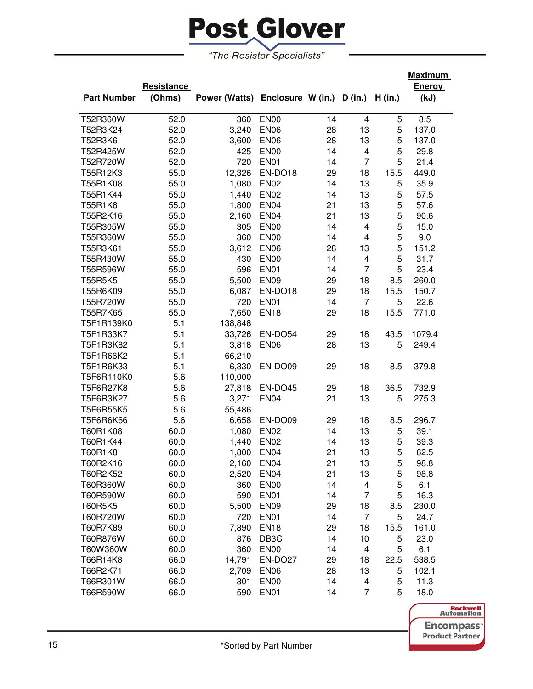

|                    |            |                                         |                   |    |                |                | Maximum |
|--------------------|------------|-----------------------------------------|-------------------|----|----------------|----------------|---------|
|                    | Resistance |                                         |                   |    |                |                | Energy  |
| <b>Part Number</b> | (Ohms)     | Power (Watts) Enclosure W (in.) D (in.) |                   |    |                | <u>H (in.)</u> | (kJ)    |
|                    |            |                                         |                   |    |                |                |         |
| T52R360W           | 52.0       | 360                                     | <b>EN00</b>       | 14 | 4              | 5              | 8.5     |
| T52R3K24           | 52.0       | 3,240                                   | <b>EN06</b>       | 28 | 13             | 5              | 137.0   |
| T52R3K6            | 52.0       | 3,600                                   | <b>EN06</b>       | 28 | 13             | 5              | 137.0   |
| T52R425W           | 52.0       | 425                                     | <b>EN00</b>       | 14 | 4              | 5              | 29.8    |
| T52R720W           | 52.0       | 720                                     | <b>EN01</b>       | 14 | $\overline{7}$ | 5              | 21.4    |
| T55R12K3           | 55.0       | 12,326                                  | EN-DO18           | 29 | 18             | 15.5           | 449.0   |
| T55R1K08           | 55.0       | 1,080                                   | <b>EN02</b>       | 14 | 13             | 5              | 35.9    |
| T55R1K44           | 55.0       | 1,440                                   | <b>EN02</b>       | 14 | 13             | 5              | 57.5    |
| T55R1K8            | 55.0       | 1,800                                   | <b>EN04</b>       | 21 | 13             | 5              | 57.6    |
| T55R2K16           | 55.0       | 2,160                                   | <b>EN04</b>       | 21 | 13             | 5              | 90.6    |
| T55R305W           | 55.0       | 305                                     | <b>EN00</b>       | 14 | 4              | 5              | 15.0    |
| T55R360W           | 55.0       | 360                                     | <b>EN00</b>       | 14 | 4              | 5              | 9.0     |
| T55R3K61           | 55.0       | 3,612                                   | <b>EN06</b>       | 28 | 13             | 5              | 151.2   |
| T55R430W           | 55.0       | 430                                     | <b>EN00</b>       | 14 | 4              | 5              | 31.7    |
| T55R596W           | 55.0       | 596                                     | <b>EN01</b>       | 14 | $\overline{7}$ | 5              | 23.4    |
| T55R5K5            | 55.0       | 5,500                                   | <b>EN09</b>       | 29 | 18             | 8.5            | 260.0   |
| T55R6K09           | 55.0       | 6,087                                   | EN-DO18           | 29 | 18             | 15.5           | 150.7   |
| T55R720W           | 55.0       | 720                                     | <b>EN01</b>       | 14 | $\overline{7}$ | 5              | 22.6    |
| T55R7K65           | 55.0       | 7,650                                   | <b>EN18</b>       | 29 | 18             | 15.5           | 771.0   |
| T5F1R139K0         | 5.1        | 138,848                                 |                   |    |                |                |         |
| T5F1R33K7          | 5.1        | 33,726                                  | EN-DO54           | 29 | 18             | 43.5           | 1079.4  |
| T5F1R3K82          | 5.1        | 3,818                                   | <b>EN06</b>       | 28 | 13             | 5              | 249.4   |
| T5F1R66K2          | 5.1        | 66,210                                  |                   |    |                |                |         |
| T5F1R6K33          | 5.1        | 6,330                                   | EN-DO09           | 29 | 18             | 8.5            | 379.8   |
| T5F6R110K0         | 5.6        | 110,000                                 |                   |    |                |                |         |
| T5F6R27K8          | 5.6        | 27,818                                  | EN-DO45           | 29 | 18             | 36.5           | 732.9   |
| T5F6R3K27          | 5.6        | 3,271                                   | <b>EN04</b>       | 21 | 13             | 5              | 275.3   |
| T5F6R55K5          | 5.6        | 55,486                                  |                   |    |                |                |         |
| T5F6R6K66          | 5.6        | 6,658                                   | EN-DO09           | 29 | 18             | 8.5            | 296.7   |
| T60R1K08           | 60.0       | 1,080                                   | <b>EN02</b>       | 14 | 13             | 5              | 39.1    |
| T60R1K44           | 60.0       | 1,440                                   | <b>EN02</b>       | 14 | 13             | 5              | 39.3    |
| T60R1K8            | 60.0       | 1,800                                   | <b>EN04</b>       | 21 | 13             | 5              | 62.5    |
| T60R2K16           | 60.0       | 2,160                                   | EN <sub>04</sub>  | 21 | 13             | 5              | 98.8    |
| T60R2K52           | 60.0       | 2,520                                   | <b>EN04</b>       | 21 | 13             | 5              | 98.8    |
| T60R360W           | 60.0       | 360                                     | <b>EN00</b>       | 14 | 4              | 5              | 6.1     |
| T60R590W           | 60.0       | 590                                     | EN01              | 14 | $\overline{7}$ | 5              | 16.3    |
| T60R5K5            | 60.0       | 5,500                                   | <b>EN09</b>       | 29 | 18             | 8.5            | 230.0   |
| T60R720W           | 60.0       | 720                                     | <b>EN01</b>       | 14 | $\overline{7}$ | 5              | 24.7    |
| T60R7K89           | 60.0       | 7,890                                   | <b>EN18</b>       | 29 | 18             | 15.5           | 161.0   |
| T60R876W           | 60.0       | 876                                     | DB <sub>3</sub> C | 14 | 10             | 5              | 23.0    |
| T60W360W           | 60.0       | 360                                     | <b>EN00</b>       | 14 | 4              | 5              | 6.1     |
| T66R14K8           | 66.0       | 14,791                                  | EN-DO27           | 29 | 18             | 22.5           | 538.5   |
| T66R2K71           | 66.0       | 2,709                                   | <b>EN06</b>       | 28 | 13             | 5              | 102.1   |
| T66R301W           | 66.0       | 301                                     | <b>EN00</b>       | 14 | 4              | 5              | 11.3    |
| T66R590W           | 66.0       | 590                                     | <b>EN01</b>       | 14 | $\overline{7}$ | 5              | 18.0    |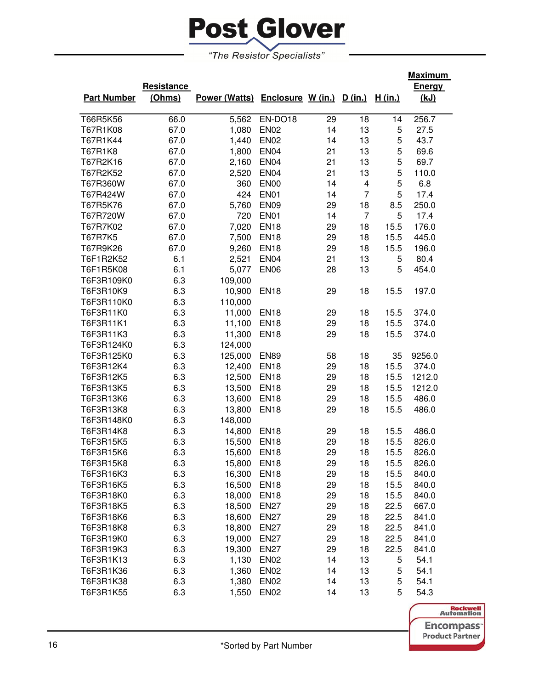

|                    |            |                                         |                  |    |                |                | <u>Maximum</u> |
|--------------------|------------|-----------------------------------------|------------------|----|----------------|----------------|----------------|
|                    | Resistance |                                         |                  |    |                |                | <b>Energy</b>  |
| <b>Part Number</b> | (Ohms)     | Power (Watts) Enclosure W (in.) D (in.) |                  |    |                | <u>H (in.)</u> | <u>(kJ)</u>    |
|                    |            |                                         |                  |    |                |                |                |
| T66R5K56           | 66.0       | 5,562                                   | EN-DO18          | 29 | 18             | 14             | 256.7          |
| T67R1K08           | 67.0       | 1,080                                   | <b>EN02</b>      | 14 | 13             | 5              | 27.5           |
| T67R1K44           | 67.0       | 1,440                                   | <b>EN02</b>      | 14 | 13             | 5              | 43.7           |
| T67R1K8            | 67.0       | 1,800                                   | <b>EN04</b>      | 21 | 13             | 5              | 69.6           |
| T67R2K16           | 67.0       | 2,160                                   | <b>EN04</b>      | 21 | 13             | 5              | 69.7           |
| T67R2K52           | 67.0       | 2,520                                   | <b>EN04</b>      | 21 | 13             | 5              | 110.0          |
| T67R360W           | 67.0       | 360                                     | <b>EN00</b>      | 14 | 4              | 5              | 6.8            |
| T67R424W           | 67.0       | 424                                     | <b>EN01</b>      | 14 | $\overline{7}$ | 5              | 17.4           |
| T67R5K76           | 67.0       | 5,760                                   | <b>EN09</b>      | 29 | 18             | 8.5            | 250.0          |
| T67R720W           | 67.0       | 720                                     | <b>EN01</b>      | 14 | $\overline{7}$ | 5              | 17.4           |
| T67R7K02           | 67.0       | 7,020                                   | <b>EN18</b>      | 29 | 18             | 15.5           | 176.0          |
| T67R7K5            | 67.0       | 7,500                                   | <b>EN18</b>      | 29 | 18             | 15.5           | 445.0          |
| T67R9K26           | 67.0       | 9,260                                   | <b>EN18</b>      | 29 | 18             | 15.5           | 196.0          |
| T6F1R2K52          | 6.1        | 2,521                                   | <b>EN04</b>      | 21 | 13             | 5              | 80.4           |
| T6F1R5K08          | 6.1        | 5,077                                   | <b>EN06</b>      | 28 | 13             | 5              | 454.0          |
| T6F3R109K0         | 6.3        | 109,000                                 |                  |    |                |                |                |
| T6F3R10K9          | 6.3        | 10,900                                  | <b>EN18</b>      | 29 | 18             | 15.5           | 197.0          |
| T6F3R110K0         | 6.3        | 110,000                                 |                  |    |                |                |                |
| T6F3R11K0          | 6.3        | 11,000                                  | <b>EN18</b>      | 29 | 18             | 15.5           | 374.0          |
| T6F3R11K1          | 6.3        | 11,100                                  | <b>EN18</b>      | 29 | 18             | 15.5           | 374.0          |
| T6F3R11K3          | 6.3        | 11,300                                  | <b>EN18</b>      | 29 | 18             | 15.5           | 374.0          |
| T6F3R124K0         | 6.3        | 124,000                                 |                  |    |                |                |                |
| T6F3R125K0         | 6.3        | 125,000                                 | <b>EN89</b>      | 58 | 18             | 35             | 9256.0         |
| T6F3R12K4          | 6.3        | 12,400                                  | <b>EN18</b>      | 29 | 18             | 15.5           | 374.0          |
| T6F3R12K5          | 6.3        | 12,500                                  | <b>EN18</b>      | 29 | 18             | 15.5           | 1212.0         |
| T6F3R13K5          | 6.3        | 13,500                                  | <b>EN18</b>      | 29 | 18             | 15.5           | 1212.0         |
| T6F3R13K6          | 6.3        | 13,600                                  | <b>EN18</b>      | 29 | 18             | 15.5           | 486.0          |
| T6F3R13K8          | 6.3        | 13,800                                  | <b>EN18</b>      | 29 | 18             | 15.5           | 486.0          |
| T6F3R148K0         | 6.3        | 148,000                                 |                  |    |                |                |                |
| T6F3R14K8          | 6.3        | 14,800                                  | <b>EN18</b>      | 29 | 18             | 15.5           | 486.0          |
| T6F3R15K5          | 6.3        | 15,500                                  | <b>EN18</b>      | 29 | 18             | 15.5           | 826.0          |
| T6F3R15K6          | 6.3        | 15,600                                  | <b>EN18</b>      | 29 | 18             | 15.5           | 826.0          |
| T6F3R15K8          | 6.3        | 15,800                                  | <b>EN18</b>      | 29 | 18             | 15.5           | 826.0          |
| T6F3R16K3          | 6.3        | 16,300                                  | <b>EN18</b>      | 29 | 18             | 15.5           | 840.0          |
| T6F3R16K5          | 6.3        | 16,500                                  | <b>EN18</b>      | 29 | 18             | 15.5           | 840.0          |
| T6F3R18K0          | 6.3        | 18,000                                  | <b>EN18</b>      | 29 | 18             | 15.5           | 840.0          |
| T6F3R18K5          | 6.3        | 18,500                                  | <b>EN27</b>      | 29 | 18             | 22.5           | 667.0          |
| T6F3R18K6          | 6.3        | 18,600                                  | <b>EN27</b>      | 29 | 18             | 22.5           | 841.0          |
| T6F3R18K8          | 6.3        | 18,800                                  | <b>EN27</b>      | 29 | 18             | 22.5           | 841.0          |
| T6F3R19K0          | 6.3        | 19,000                                  | <b>EN27</b>      | 29 | 18             | 22.5           | 841.0          |
| T6F3R19K3          | 6.3        | 19,300                                  | <b>EN27</b>      | 29 | 18             | 22.5           | 841.0          |
| T6F3R1K13          | 6.3        | 1,130                                   | <b>EN02</b>      | 14 | 13             | 5              | 54.1           |
| T6F3R1K36          | 6.3        | 1,360                                   | <b>EN02</b>      | 14 | 13             | 5              | 54.1           |
| T6F3R1K38          | 6.3        | 1,380                                   | <b>EN02</b>      | 14 | 13             | 5              | 54.1           |
| T6F3R1K55          | 6.3        |                                         |                  | 14 | 13             | 5              | 54.3           |
|                    |            | 1,550                                   | EN <sub>02</sub> |    |                |                |                |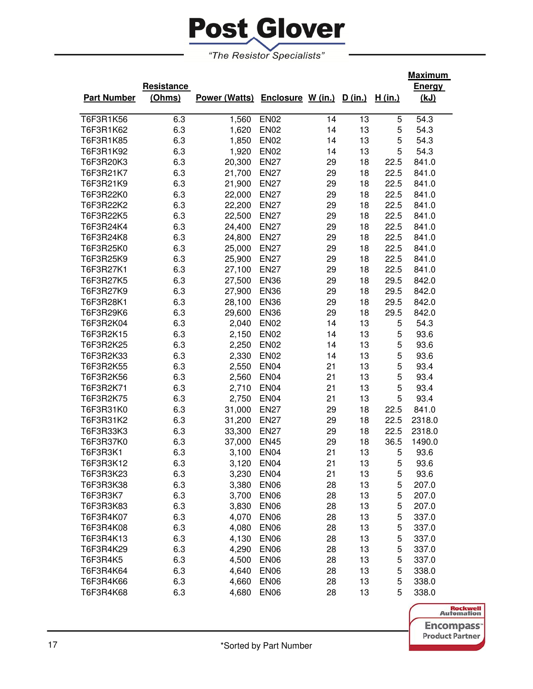

|                    |            |                                         |                  |    |    |         | <u>Maximum</u> |
|--------------------|------------|-----------------------------------------|------------------|----|----|---------|----------------|
|                    | Resistance |                                         |                  |    |    |         | Energy         |
| <b>Part Number</b> | (Ohms)     | Power (Watts) Enclosure W (in.) D (in.) |                  |    |    | H (in.) | (kJ)           |
|                    |            |                                         |                  |    |    |         |                |
| T6F3R1K56          | 6.3        | 1,560                                   | <b>EN02</b>      | 14 | 13 | 5       | 54.3           |
| T6F3R1K62          | 6.3        | 1,620                                   | <b>EN02</b>      | 14 | 13 | 5       | 54.3           |
| T6F3R1K85          | 6.3        | 1,850                                   | <b>EN02</b>      | 14 | 13 | 5       | 54.3           |
| T6F3R1K92          | 6.3        | 1,920                                   | <b>EN02</b>      | 14 | 13 | 5       | 54.3           |
| T6F3R20K3          | 6.3        | 20,300                                  | <b>EN27</b>      | 29 | 18 | 22.5    | 841.0          |
| T6F3R21K7          | 6.3        | 21,700                                  | <b>EN27</b>      | 29 | 18 | 22.5    | 841.0          |
| T6F3R21K9          | 6.3        | 21,900                                  | <b>EN27</b>      | 29 | 18 | 22.5    | 841.0          |
| T6F3R22K0          | 6.3        | 22,000                                  | <b>EN27</b>      | 29 | 18 | 22.5    | 841.0          |
| T6F3R22K2          | 6.3        | 22,200                                  | <b>EN27</b>      | 29 | 18 | 22.5    | 841.0          |
| T6F3R22K5          | 6.3        | 22,500                                  | <b>EN27</b>      | 29 | 18 | 22.5    | 841.0          |
| T6F3R24K4          | 6.3        | 24,400                                  | <b>EN27</b>      | 29 | 18 | 22.5    | 841.0          |
| T6F3R24K8          | 6.3        | 24,800                                  | <b>EN27</b>      | 29 | 18 | 22.5    | 841.0          |
| T6F3R25K0          | 6.3        | 25,000                                  | <b>EN27</b>      | 29 | 18 | 22.5    | 841.0          |
| T6F3R25K9          | 6.3        | 25,900                                  | <b>EN27</b>      | 29 | 18 | 22.5    | 841.0          |
| T6F3R27K1          | 6.3        | 27,100                                  | <b>EN27</b>      | 29 | 18 | 22.5    | 841.0          |
| T6F3R27K5          | 6.3        | 27,500                                  | <b>EN36</b>      | 29 | 18 | 29.5    | 842.0          |
| T6F3R27K9          | 6.3        | 27,900                                  | <b>EN36</b>      | 29 | 18 | 29.5    | 842.0          |
| T6F3R28K1          | 6.3        | 28,100                                  | <b>EN36</b>      | 29 | 18 | 29.5    | 842.0          |
| T6F3R29K6          | 6.3        | 29,600                                  | <b>EN36</b>      | 29 | 18 | 29.5    | 842.0          |
| T6F3R2K04          | 6.3        | 2,040                                   | <b>EN02</b>      | 14 | 13 | 5       | 54.3           |
| T6F3R2K15          | 6.3        | 2,150                                   | <b>EN02</b>      | 14 | 13 | 5       | 93.6           |
| T6F3R2K25          | 6.3        | 2,250                                   | <b>EN02</b>      | 14 | 13 | 5       | 93.6           |
| T6F3R2K33          | 6.3        | 2,330                                   | <b>EN02</b>      | 14 | 13 | 5       | 93.6           |
| T6F3R2K55          | 6.3        | 2,550                                   | <b>EN04</b>      | 21 | 13 | 5       | 93.4           |
| T6F3R2K56          | 6.3        | 2,560                                   | <b>EN04</b>      | 21 | 13 | 5       | 93.4           |
| T6F3R2K71          | 6.3        | 2,710                                   | <b>EN04</b>      | 21 | 13 | 5       | 93.4           |
| T6F3R2K75          | 6.3        | 2,750                                   | <b>EN04</b>      | 21 | 13 | 5       | 93.4           |
| T6F3R31K0          | 6.3        | 31,000                                  | <b>EN27</b>      | 29 | 18 | 22.5    | 841.0          |
| T6F3R31K2          | 6.3        | 31,200                                  | <b>EN27</b>      | 29 | 18 | 22.5    | 2318.0         |
| T6F3R33K3          | 6.3        | 33,300                                  | <b>EN27</b>      | 29 | 18 | 22.5    | 2318.0         |
| T6F3R37K0          | 6.3        | 37,000                                  | <b>EN45</b>      | 29 | 18 | 36.5    | 1490.0         |
| T6F3R3K1           | 6.3        | 3,100                                   | <b>EN04</b>      | 21 | 13 | 5       | 93.6           |
| T6F3R3K12          | 6.3        | 3,120                                   | <b>EN04</b>      | 21 | 13 | 5       | 93.6           |
| T6F3R3K23          | 6.3        | 3,230                                   | EN <sub>04</sub> | 21 | 13 | 5       | 93.6           |
| T6F3R3K38          | 6.3        | 3,380                                   | <b>EN06</b>      | 28 | 13 | 5       | 207.0          |
| T6F3R3K7           | 6.3        | 3,700                                   | <b>EN06</b>      | 28 | 13 | 5       | 207.0          |
| T6F3R3K83          | 6.3        | 3,830                                   | <b>EN06</b>      | 28 | 13 | 5       | 207.0          |
| T6F3R4K07          | 6.3        | 4,070                                   | <b>EN06</b>      | 28 | 13 | 5       | 337.0          |
| T6F3R4K08          | 6.3        | 4,080                                   | <b>EN06</b>      | 28 | 13 | 5       | 337.0          |
| T6F3R4K13          | 6.3        | 4,130                                   | <b>EN06</b>      | 28 | 13 | 5       | 337.0          |
| T6F3R4K29          | 6.3        | 4,290                                   | <b>EN06</b>      | 28 | 13 | 5       | 337.0          |
| T6F3R4K5           | 6.3        | 4,500                                   | <b>EN06</b>      | 28 | 13 | 5       | 337.0          |
| T6F3R4K64          | 6.3        | 4,640                                   | <b>EN06</b>      | 28 | 13 | 5       | 338.0          |
| T6F3R4K66          | 6.3        | 4,660                                   | <b>EN06</b>      | 28 | 13 | 5       | 338.0          |
| T6F3R4K68          | 6.3        | 4,680                                   | <b>EN06</b>      | 28 | 13 | 5       | 338.0          |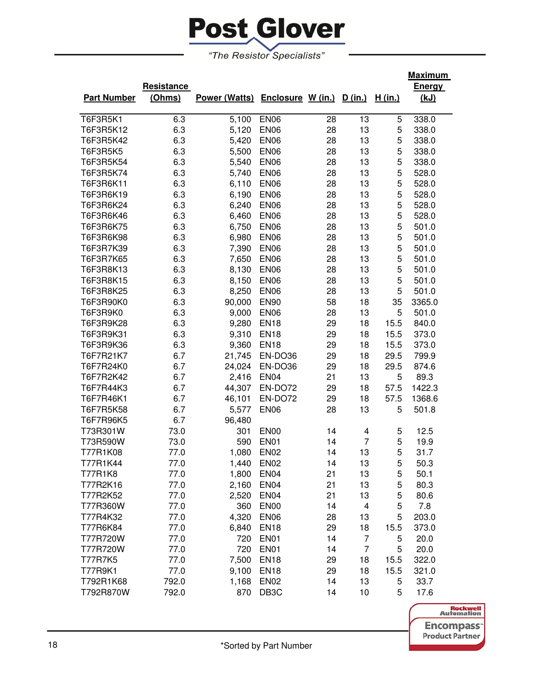

|                    |            |                                         |                   |    |    |         | <b>Maximum</b> |
|--------------------|------------|-----------------------------------------|-------------------|----|----|---------|----------------|
|                    | Resistance |                                         |                   |    |    |         | <b>Energy</b>  |
| <b>Part Number</b> | (Ohms)     | Power (Watts) Enclosure W (in.) D (in.) |                   |    |    | H (in.) | <u>(kJ)</u>    |
|                    |            |                                         |                   |    |    |         |                |
| T6F3R5K1           | 6.3        | 5,100                                   | <b>EN06</b>       | 28 | 13 | 5       | 338.0          |
| T6F3R5K12          | 6.3        | 5,120                                   | <b>EN06</b>       | 28 | 13 | 5       | 338.0          |
| T6F3R5K42          | 6.3        | 5,420                                   | <b>EN06</b>       | 28 | 13 | 5       | 338.0          |
| <b>T6F3R5K5</b>    | 6.3        | 5,500                                   | <b>EN06</b>       | 28 | 13 | 5       | 338.0          |
| T6F3R5K54          | 6.3        | 5,540                                   | <b>EN06</b>       | 28 | 13 | 5       | 338.0          |
| T6F3R5K74          | 6.3        | 5,740                                   | <b>EN06</b>       | 28 | 13 | 5       | 528.0          |
| T6F3R6K11          | 6.3        | 6,110                                   | <b>EN06</b>       | 28 | 13 | 5       | 528.0          |
| T6F3R6K19          | 6.3        | 6,190                                   | <b>EN06</b>       | 28 | 13 | 5       | 528.0          |
| T6F3R6K24          | 6.3        | 6,240                                   | <b>EN06</b>       | 28 | 13 | 5       | 528.0          |
| T6F3R6K46          | 6.3        | 6,460                                   | <b>EN06</b>       | 28 | 13 | 5       | 528.0          |
| T6F3R6K75          | 6.3        | 6,750                                   | <b>EN06</b>       | 28 | 13 | 5       | 501.0          |
| T6F3R6K98          | 6.3        | 6,980                                   | <b>EN06</b>       | 28 | 13 | 5       | 501.0          |
| T6F3R7K39          | 6.3        | 7,390                                   | <b>EN06</b>       | 28 | 13 | 5       | 501.0          |
| T6F3R7K65          | 6.3        | 7,650                                   | <b>EN06</b>       | 28 | 13 | 5       | 501.0          |
| T6F3R8K13          | 6.3        | 8,130                                   | <b>EN06</b>       | 28 | 13 | 5       | 501.0          |
| T6F3R8K15          | 6.3        | 8,150                                   | <b>EN06</b>       | 28 | 13 | 5       | 501.0          |
| T6F3R8K25          | 6.3        | 8,250                                   | <b>EN06</b>       | 28 | 13 | 5       | 501.0          |
| T6F3R90K0          | 6.3        | 90,000                                  | <b>EN90</b>       | 58 | 18 | 35      | 3365.0         |
| T6F3R9K0           | 6.3        | 9,000                                   | <b>EN06</b>       | 28 | 13 | 5       | 501.0          |
| T6F3R9K28          | 6.3        | 9,280                                   | <b>EN18</b>       | 29 | 18 | 15.5    | 840.0          |
| T6F3R9K31          | 6.3        | 9,310                                   | <b>EN18</b>       | 29 | 18 | 15.5    | 373.0          |
| T6F3R9K36          | 6.3        | 9,360                                   | <b>EN18</b>       | 29 | 18 | 15.5    | 373.0          |
| T6F7R21K7          | 6.7        | 21,745                                  | EN-DO36           | 29 | 18 | 29.5    | 799.9          |
| T6F7R24K0          | 6.7        | 24,024                                  | EN-DO36           | 29 | 18 | 29.5    | 874.6          |
| T6F7R2K42          | 6.7        | 2,416                                   | <b>EN04</b>       | 21 | 13 | 5       | 89.3           |
| T6F7R44K3          | 6.7        | 44,307                                  | EN-DO72           | 29 | 18 | 57.5    | 1422.3         |
| T6F7R46K1          | 6.7        | 46,101                                  | EN-DO72           | 29 | 18 | 57.5    | 1368.6         |
| T6F7R5K58          | 6.7        | 5,577                                   | <b>EN06</b>       | 28 | 13 | 5       | 501.8          |
| T6F7R96K5          | 6.7        | 96,480                                  |                   |    |    |         |                |
| T73R301W           | 73.0       | 301                                     | <b>EN00</b>       | 14 | 4  | 5       | 12.5           |
| T73R590W           | 73.0       | 590                                     | <b>EN01</b>       | 14 | 7  | 5       | 19.9           |
| T77R1K08           | 77.0       | 1,080                                   | <b>EN02</b>       | 14 | 13 | 5       | 31.7           |
| T77R1K44           | 77.0       | 1,440                                   | <b>EN02</b>       | 14 | 13 | 5       | 50.3           |
| T77R1K8            | 77.0       | 1,800                                   | EN <sub>04</sub>  | 21 | 13 | 5       | 50.1           |
| T77R2K16           | 77.0       | 2,160                                   | EN <sub>04</sub>  | 21 | 13 | 5       | 80.3           |
| T77R2K52           | 77.0       | 2,520                                   | EN <sub>04</sub>  | 21 | 13 | 5       | 80.6           |
| T77R360W           | 77.0       | 360                                     | EN <sub>00</sub>  | 14 | 4  | 5       | 7.8            |
| T77R4K32           | 77.0       | 4,320                                   | <b>EN06</b>       | 28 | 13 | 5       | 203.0          |
| T77R6K84           | 77.0       | 6,840                                   | <b>EN18</b>       | 29 | 18 | 15.5    | 373.0          |
| T77R720W           | 77.0       | 720                                     | <b>EN01</b>       | 14 | 7  | 5       | 20.0           |
| T77R720W           | 77.0       | 720                                     | EN <sub>01</sub>  | 14 | 7  | 5       | 20.0           |
| <b>T77R7K5</b>     | 77.0       | 7,500                                   | <b>EN18</b>       | 29 | 18 | 15.5    | 322.0          |
| T77R9K1            | 77.0       | 9,100                                   | <b>EN18</b>       | 29 | 18 | 15.5    | 321.0          |
| T792R1K68          | 792.0      | 1,168                                   | EN <sub>02</sub>  | 14 | 13 | 5       | 33.7           |
| T792R870W          | 792.0      | 870                                     | DB <sub>3</sub> C | 14 | 10 | 5       | 17.6           |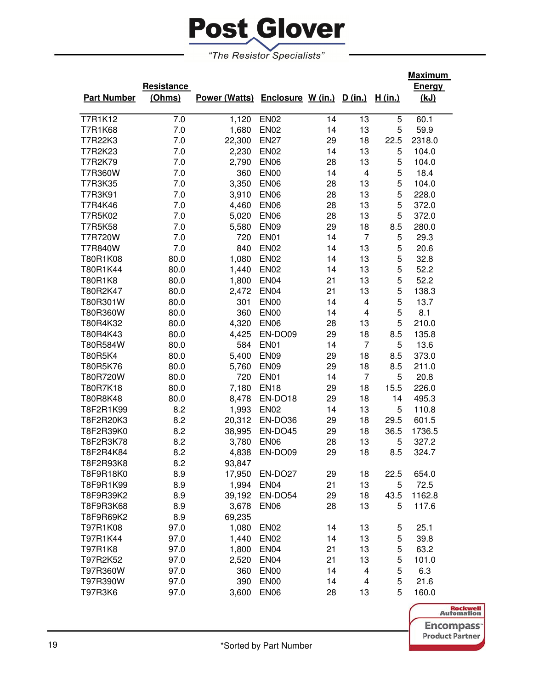

|                    |            |                                         |                  |    |                         |                | <u>Maximum</u> |
|--------------------|------------|-----------------------------------------|------------------|----|-------------------------|----------------|----------------|
|                    | Resistance |                                         |                  |    |                         |                | <b>Energy</b>  |
| <b>Part Number</b> | (Ohms)     | Power (Watts) Enclosure W (in.) D (in.) |                  |    |                         | <u>H (in.)</u> | <u>(kJ)</u>    |
|                    |            |                                         |                  |    |                         |                |                |
| <b>T7R1K12</b>     | 7.0        | 1,120                                   | <b>EN02</b>      | 14 | 13                      | 5              | 60.1           |
| T7R1K68            | 7.0        | 1,680                                   | <b>EN02</b>      | 14 | 13                      | 5              | 59.9           |
| T7R22K3            | 7.0        | 22,300                                  | <b>EN27</b>      | 29 | 18                      | 22.5           | 2318.0         |
| T7R2K23            | 7.0        | 2,230                                   | <b>EN02</b>      | 14 | 13                      | 5              | 104.0          |
| T7R2K79            | 7.0        | 2,790                                   | <b>EN06</b>      | 28 | 13                      | 5              | 104.0          |
| T7R360W            | 7.0        | 360                                     | <b>EN00</b>      | 14 | 4                       | 5              | 18.4           |
| T7R3K35            | 7.0        | 3,350                                   | <b>EN06</b>      | 28 | 13                      | 5              | 104.0          |
| T7R3K91            | 7.0        | 3,910                                   | <b>EN06</b>      | 28 | 13                      | 5              | 228.0          |
| T7R4K46            | 7.0        | 4,460                                   | <b>EN06</b>      | 28 | 13                      | 5              | 372.0          |
| T7R5K02            | 7.0        | 5,020                                   | <b>EN06</b>      | 28 | 13                      | 5              | 372.0          |
| <b>T7R5K58</b>     | 7.0        | 5,580                                   | <b>EN09</b>      | 29 | 18                      | 8.5            | 280.0          |
| <b>T7R720W</b>     | 7.0        | 720                                     | <b>EN01</b>      | 14 | $\overline{7}$          | 5              | 29.3           |
| T7R840W            | 7.0        | 840                                     | <b>EN02</b>      | 14 | 13                      | 5              | 20.6           |
| T80R1K08           | 80.0       | 1,080                                   | <b>EN02</b>      | 14 | 13                      | 5              | 32.8           |
| T80R1K44           | 80.0       | 1,440                                   | <b>EN02</b>      | 14 | 13                      | 5              | 52.2           |
| T80R1K8            | 80.0       | 1,800                                   | <b>EN04</b>      | 21 | 13                      | 5              | 52.2           |
| T80R2K47           | 80.0       | 2,472                                   | <b>EN04</b>      | 21 | 13                      | 5              | 138.3          |
| T80R301W           | 80.0       | 301                                     | <b>EN00</b>      | 14 | 4                       | 5              | 13.7           |
| T80R360W           | 80.0       | 360                                     | EN <sub>00</sub> | 14 | 4                       | 5              | 8.1            |
| T80R4K32           | 80.0       | 4,320                                   | <b>EN06</b>      | 28 | 13                      | 5              | 210.0          |
| T80R4K43           | 80.0       | 4,425                                   | EN-DO09          | 29 | 18                      | 8.5            | 135.8          |
| T80R584W           | 80.0       | 584                                     | EN01             | 14 | $\overline{7}$          | 5              | 13.6           |
| T80R5K4            | 80.0       | 5,400                                   | <b>EN09</b>      | 29 | 18                      | 8.5            | 373.0          |
| T80R5K76           | 80.0       | 5,760                                   | <b>EN09</b>      | 29 | 18                      | 8.5            | 211.0          |
| T80R720W           | 80.0       | 720                                     | <b>EN01</b>      | 14 | $\overline{7}$          | 5              | 20.8           |
| T80R7K18           | 80.0       | 7,180                                   | <b>EN18</b>      | 29 | 18                      | 15.5           | 226.0          |
| T80R8K48           | 80.0       | 8,478                                   | EN-DO18          | 29 | 18                      | 14             | 495.3          |
| T8F2R1K99          | 8.2        | 1,993                                   | <b>EN02</b>      | 14 | 13                      | 5              | 110.8          |
| T8F2R20K3          | 8.2        | 20,312                                  | EN-DO36          | 29 | 18                      | 29.5           | 601.5          |
| T8F2R39K0          | 8.2        | 38,995                                  | EN-DO45          | 29 | 18                      | 36.5           | 1736.5         |
| T8F2R3K78          | 8.2        | 3,780                                   | <b>EN06</b>      | 28 | 13                      | 5              | 327.2          |
| T8F2R4K84          | 8.2        | 4,838                                   | EN-DO09          | 29 | 18                      | 8.5            | 324.7          |
| T8F2R93K8          | 8.2        | 93,847                                  |                  |    |                         |                |                |
| T8F9R18K0          | 8.9        | 17,950                                  | EN-DO27          | 29 | 18                      | 22.5           | 654.0          |
| T8F9R1K99          | 8.9        | 1,994                                   | EN <sub>04</sub> | 21 | 13                      | 5              | 72.5           |
| T8F9R39K2          | 8.9        | 39,192                                  | EN-DO54          | 29 | 18                      | 43.5           | 1162.8         |
| T8F9R3K68          | 8.9        | 3,678                                   | EN <sub>06</sub> | 28 | 13                      | 5              | 117.6          |
| T8F9R69K2          | 8.9        | 69,235                                  |                  |    |                         |                |                |
| T97R1K08           | 97.0       | 1,080                                   | <b>EN02</b>      | 14 | 13                      | 5              | 25.1           |
| T97R1K44           | 97.0       | 1,440                                   | <b>EN02</b>      | 14 | 13                      | 5              | 39.8           |
| T97R1K8            | 97.0       | 1,800                                   | <b>EN04</b>      | 21 | 13                      | 5              | 63.2           |
| T97R2K52           | 97.0       | 2,520                                   | <b>EN04</b>      | 21 | 13                      | 5              | 101.0          |
| T97R360W           | 97.0       | 360                                     | <b>EN00</b>      | 14 | 4                       | 5              | 6.3            |
| T97R390W           | 97.0       | 390                                     | EN <sub>00</sub> | 14 | $\overline{\mathbf{4}}$ | 5              | 21.6           |
| T97R3K6            | 97.0       | 3,600                                   | EN <sub>06</sub> | 28 | 13                      | 5              | 160.0          |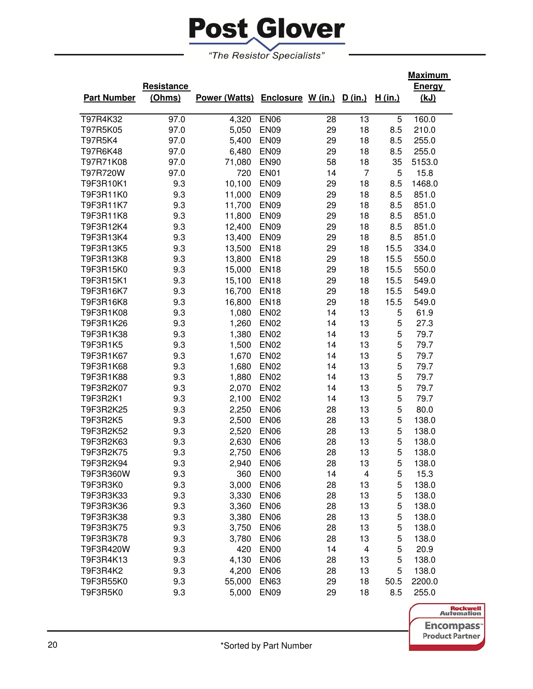

|                    |            |                                         |                  |    |    |         | <u>Maximum</u> |
|--------------------|------------|-----------------------------------------|------------------|----|----|---------|----------------|
|                    | Resistance |                                         |                  |    |    |         | <b>Energy</b>  |
| <b>Part Number</b> | (Ohms)     | Power (Watts) Enclosure W (in.) D (in.) |                  |    |    | H (in.) | (kJ)           |
|                    |            |                                         |                  |    |    |         |                |
| T97R4K32           | 97.0       | 4,320                                   | <b>EN06</b>      | 28 | 13 | 5       | 160.0          |
| T97R5K05           | 97.0       | 5,050                                   | <b>EN09</b>      | 29 | 18 | 8.5     | 210.0          |
| T97R5K4            | 97.0       | 5,400                                   | <b>EN09</b>      | 29 | 18 | 8.5     | 255.0          |
| T97R6K48           | 97.0       | 6,480                                   | <b>EN09</b>      | 29 | 18 | 8.5     | 255.0          |
| T97R71K08          | 97.0       | 71,080                                  | <b>EN90</b>      | 58 | 18 | 35      | 5153.0         |
| T97R720W           | 97.0       | 720                                     | <b>EN01</b>      | 14 | 7  | 5       | 15.8           |
| T9F3R10K1          | 9.3        | 10,100                                  | <b>EN09</b>      | 29 | 18 | 8.5     | 1468.0         |
| T9F3R11K0          | 9.3        | 11,000                                  | <b>EN09</b>      | 29 | 18 | 8.5     | 851.0          |
| T9F3R11K7          | 9.3        | 11,700                                  | <b>EN09</b>      | 29 | 18 | 8.5     | 851.0          |
| T9F3R11K8          | 9.3        | 11,800                                  | <b>EN09</b>      | 29 | 18 | 8.5     | 851.0          |
| T9F3R12K4          | 9.3        | 12,400                                  | <b>EN09</b>      | 29 | 18 | 8.5     | 851.0          |
| T9F3R13K4          | 9.3        | 13,400                                  | <b>EN09</b>      | 29 | 18 | 8.5     | 851.0          |
| T9F3R13K5          | 9.3        | 13,500                                  | <b>EN18</b>      | 29 | 18 | 15.5    | 334.0          |
| T9F3R13K8          | 9.3        | 13,800                                  | <b>EN18</b>      | 29 | 18 | 15.5    | 550.0          |
| T9F3R15K0          | 9.3        | 15,000                                  | <b>EN18</b>      | 29 | 18 | 15.5    | 550.0          |
| T9F3R15K1          | 9.3        | 15,100                                  | <b>EN18</b>      | 29 | 18 | 15.5    | 549.0          |
| T9F3R16K7          | 9.3        | 16,700                                  | <b>EN18</b>      | 29 | 18 | 15.5    | 549.0          |
| T9F3R16K8          | 9.3        | 16,800                                  | <b>EN18</b>      | 29 | 18 | 15.5    | 549.0          |
| T9F3R1K08          | 9.3        | 1,080                                   | <b>EN02</b>      | 14 | 13 | 5       | 61.9           |
| T9F3R1K26          | 9.3        | 1,260                                   | <b>EN02</b>      | 14 | 13 | 5       | 27.3           |
| T9F3R1K38          | 9.3        | 1,380                                   | <b>EN02</b>      | 14 | 13 | 5       | 79.7           |
| T9F3R1K5           | 9.3        | 1,500                                   | <b>EN02</b>      | 14 | 13 | 5       | 79.7           |
| T9F3R1K67          | 9.3        | 1,670                                   | <b>EN02</b>      | 14 | 13 | 5       | 79.7           |
| T9F3R1K68          | 9.3        | 1,680                                   | <b>EN02</b>      | 14 | 13 | 5       | 79.7           |
| T9F3R1K88          | 9.3        | 1,880                                   | <b>EN02</b>      | 14 | 13 | 5       | 79.7           |
| T9F3R2K07          | 9.3        | 2,070                                   | <b>EN02</b>      | 14 | 13 | 5       | 79.7           |
| T9F3R2K1           | 9.3        | 2,100                                   | <b>EN02</b>      | 14 | 13 | 5       | 79.7           |
| T9F3R2K25          | 9.3        | 2,250                                   | <b>EN06</b>      | 28 | 13 | 5       | 80.0           |
| T9F3R2K5           | 9.3        | 2,500                                   | <b>EN06</b>      | 28 | 13 | 5       | 138.0          |
| T9F3R2K52          | 9.3        | 2,520                                   | <b>EN06</b>      | 28 | 13 | 5       | 138.0          |
| T9F3R2K63          | 9.3        | 2,630                                   | <b>EN06</b>      | 28 | 13 | 5       | 138.0          |
| T9F3R2K75          | 9.3        | 2,750                                   | <b>EN06</b>      | 28 | 13 | 5       | 138.0          |
| T9F3R2K94          | 9.3        | 2,940                                   | <b>EN06</b>      | 28 | 13 | 5       | 138.0          |
| T9F3R360W          | 9.3        | 360                                     | EN <sub>00</sub> | 14 | 4  | 5       | 15.3           |
| T9F3R3K0           | 9.3        | 3,000                                   | <b>EN06</b>      | 28 | 13 | 5       | 138.0          |
| T9F3R3K33          | 9.3        | 3,330                                   | EN <sub>06</sub> | 28 | 13 | 5       | 138.0          |
| T9F3R3K36          | 9.3        | 3,360                                   | <b>EN06</b>      | 28 | 13 | 5       | 138.0          |
| T9F3R3K38          | 9.3        | 3,380                                   | <b>EN06</b>      | 28 | 13 | 5       | 138.0          |
| T9F3R3K75          | 9.3        | 3,750                                   | <b>EN06</b>      | 28 | 13 | 5       | 138.0          |
| T9F3R3K78          | 9.3        | 3,780                                   | <b>EN06</b>      | 28 | 13 | 5       | 138.0          |
| T9F3R420W          | 9.3        | 420                                     | EN <sub>00</sub> | 14 | 4  | 5       | 20.9           |
| T9F3R4K13          | 9.3        | 4,130                                   | <b>EN06</b>      | 28 | 13 | 5       | 138.0          |
| T9F3R4K2           | 9.3        | 4,200                                   | <b>EN06</b>      | 28 | 13 | 5       | 138.0          |
| T9F3R55K0          | 9.3        | 55,000                                  | <b>EN63</b>      | 29 | 18 | 50.5    | 2200.0         |
| T9F3R5K0           | 9.3        | 5,000                                   | EN <sub>09</sub> | 29 | 18 | 8.5     | 255.0          |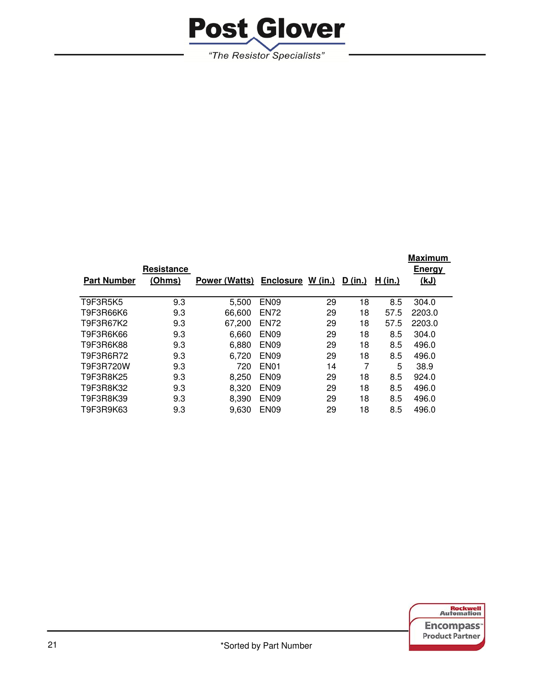

|                    |            |               |                  |           |         |         | <b>Maximum</b> |
|--------------------|------------|---------------|------------------|-----------|---------|---------|----------------|
|                    | Resistance |               |                  |           |         |         | <b>Energy</b>  |
| <b>Part Number</b> | (Ohms)     | Power (Watts) | <b>Enclosure</b> | $W$ (in.) | D (in.) | H (in.) | (kJ)           |
|                    |            |               |                  |           |         |         |                |
| T9F3R5K5           | 9.3        | 5.500         | EN <sub>09</sub> | 29        | 18      | 8.5     | 304.0          |
| T9F3R66K6          | 9.3        | 66,600        | <b>EN72</b>      | 29        | 18      | 57.5    | 2203.0         |
| T9F3R67K2          | 9.3        | 67.200        | <b>EN72</b>      | 29        | 18      | 57.5    | 2203.0         |
| T9F3R6K66          | 9.3        | 6,660         | <b>EN09</b>      | 29        | 18      | 8.5     | 304.0          |
| T9F3R6K88          | 9.3        | 6.880         | EN <sub>09</sub> | 29        | 18      | 8.5     | 496.0          |
| T9F3R6R72          | 9.3        | 6,720         | EN <sub>09</sub> | 29        | 18      | 8.5     | 496.0          |
| T9F3R720W          | 9.3        | 720           | EN <sub>01</sub> | 14        | 7       | 5       | 38.9           |
| T9F3R8K25          | 9.3        | 8,250         | EN <sub>09</sub> | 29        | 18      | 8.5     | 924.0          |
| T9F3R8K32          | 9.3        | 8,320         | EN <sub>09</sub> | 29        | 18      | 8.5     | 496.0          |
| T9F3R8K39          | 9.3        | 8,390         | <b>EN09</b>      | 29        | 18      | 8.5     | 496.0          |
| T9F3R9K63          | 9.3        | 9,630         | EN <sub>09</sub> | 29        | 18      | 8.5     | 496.0          |